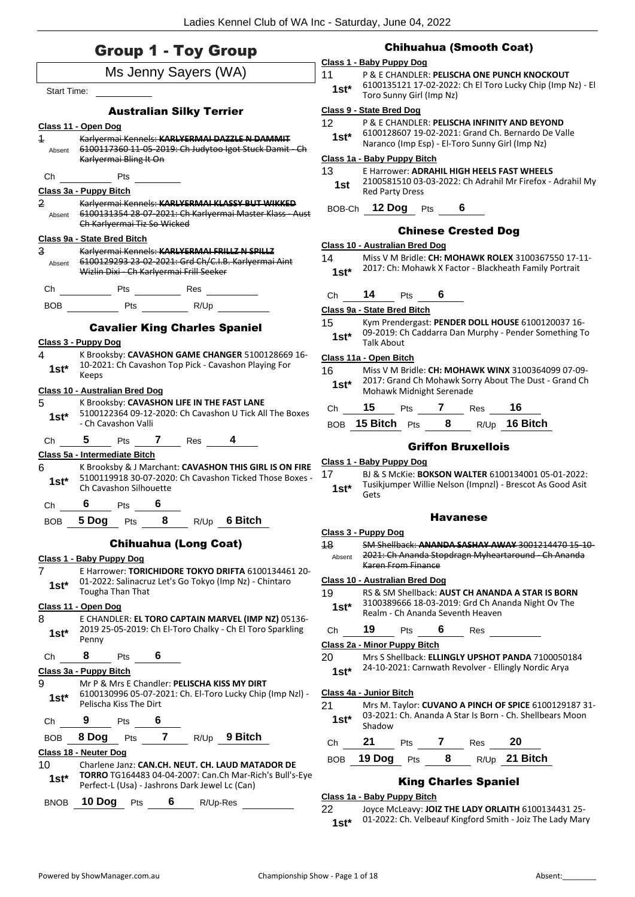## Group 1 - Toy Group

|                    |                                |                             |                | Ms Jenny Sayers (WA)                           |                                                                                                                     |
|--------------------|--------------------------------|-----------------------------|----------------|------------------------------------------------|---------------------------------------------------------------------------------------------------------------------|
| <b>Start Time:</b> |                                |                             |                |                                                |                                                                                                                     |
|                    |                                |                             |                | <b>Australian Silky Terrier</b>                |                                                                                                                     |
|                    | Class 11 - Open Dog            |                             |                |                                                |                                                                                                                     |
| $\overline{1}$     |                                |                             |                |                                                | Karlyermai Kennels: KARLYERMAI DAZZLE N DAMMIT                                                                      |
|                    |                                | Karlyermai Bling It On      |                |                                                | Absent 6100117360 11 05 2019: Ch Judytoo Igot Stuck Damit Ch                                                        |
|                    | Ch Pts                         |                             |                |                                                |                                                                                                                     |
|                    | Class 3a - Puppy Bitch         |                             |                |                                                |                                                                                                                     |
| 2                  |                                | Ch Karlyermai Tiz So Wicked |                |                                                | Karlyermai Kennels: KARLYERMAI KLASSY BUT WIKKED<br>Absent 6100131354 28-07-2021: Ch Karlyermai Master Klass - Aust |
|                    | Class 9a - State Bred Bitch    |                             |                |                                                |                                                                                                                     |
| 3                  |                                |                             |                |                                                | Karlyermai Kennels: KARLYERMAI FRILLZ N SPILLZ                                                                      |
|                    |                                |                             |                | Wizlin Dixi - Ch Karlyermai Frill Seeker       | Absent 6100129293 23-02-2021: Grd Ch/C.I.B. Karlyermai Aint                                                         |
| Ch                 |                                |                             |                |                                                |                                                                                                                     |
|                    |                                |                             |                | BOB Pts NUp                                    |                                                                                                                     |
|                    |                                |                             |                |                                                | <b>Cavalier King Charles Spaniel</b>                                                                                |
|                    | Class 3 - Puppy Dog            |                             |                |                                                |                                                                                                                     |
| 4<br>$1st*$        | Keeps                          |                             |                |                                                | K Brooksby: CAVASHON GAME CHANGER 5100128669 16-<br>10-2021: Ch Cavashon Top Pick - Cavashon Playing For            |
|                    | Class 10 - Australian Bred Dog |                             |                |                                                |                                                                                                                     |
| 5<br>$1st^*$       |                                | - Ch Cavashon Valli         |                |                                                | K Brooksby: CAVASHON LIFE IN THE FAST LANE<br>5100122364 09-12-2020: Ch Cavashon U Tick All The Boxes               |
|                    |                                |                             |                | Ch 5 Pts 7 Res 4                               |                                                                                                                     |
|                    | Class 5a - Intermediate Bitch  |                             |                |                                                |                                                                                                                     |
| 6 —<br>$1st^*$     |                                | Ch Cavashon Silhouette      |                |                                                | K Brooksby & J Marchant: CAVASHON THIS GIRL IS ON FIRE<br>5100119918 30-07-2020: Ch Cavashon Ticked Those Boxes -   |
|                    | Ch $6$ Pts $6$                 |                             |                |                                                |                                                                                                                     |
|                    |                                |                             |                |                                                | BOB 5 Dog Pts 8 R/Up 6 Bitch                                                                                        |
|                    |                                |                             |                | <b>Chihuahua (Long Coat)</b>                   |                                                                                                                     |
|                    | Class 1 - Baby Puppy Dog       |                             |                |                                                |                                                                                                                     |
| 7                  |                                |                             |                |                                                | E Harrower: TORICHIDORE TOKYO DRIFTA 6100134461 20-                                                                 |
| $1st*$             |                                | <b>Tougha Than That</b>     |                |                                                | 01-2022: Salinacruz Let's Go Tokyo (Imp Nz) - Chintaro                                                              |
|                    | Class 11 - Open Dog            |                             |                |                                                |                                                                                                                     |
| 8<br>$1st^*$       | Penny                          |                             |                |                                                | E CHANDLER: EL TORO CAPTAIN MARVEL (IMP NZ) 05136-<br>2019 25-05-2019: Ch El-Toro Chalky - Ch El Toro Sparkling     |
| Сh                 | 8                              | Pts                         | 6              |                                                |                                                                                                                     |
|                    | Class 3a - Puppy Bitch         |                             |                |                                                |                                                                                                                     |
| 9<br>$1st^*$       |                                | Pelischa Kiss The Dirt      |                |                                                | Mr P & Mrs E Chandler: PELISCHA KISS MY DIRT<br>6100130996 05-07-2021: Ch. El-Toro Lucky Chip (Imp NzI) -           |
| Ch                 | 9                              | Pts                         | 6              |                                                |                                                                                                                     |
| <b>BOB</b>         | 8 Dog                          | Pts                         | 7 <sup>7</sup> |                                                | R/Up 9 Bitch                                                                                                        |
|                    | Class 18 - Neuter Dog          |                             |                |                                                |                                                                                                                     |
| 10<br>$1st^*$      |                                |                             |                | Perfect-L (Usa) - Jashrons Dark Jewel Lc (Can) | Charlene Janz: CAN.CH. NEUT. CH. LAUD MATADOR DE<br>TORRO TG164483 04-04-2007: Can.Ch Mar-Rich's Bull's-Eye         |
| <b>BNOB</b>        | 10 Dog                         | Pts                         | 6              | R/Up-Res                                       |                                                                                                                     |

## Chihuahua (Smooth Coat)

### **Class 1 - Baby Puppy Dog**

11 P & E CHANDLER: **PELISCHA ONE PUNCH KNOCKOUT** 6100135121 17-02-2022: Ch El Toro Lucky Chip (Imp Nz) - El Toro Sunny Girl (Imp Nz) **1st\***

#### **Class 9 - State Bred Dog**

- 12 P & E CHANDLER: **PELISCHA INFINITY AND BEYOND**
	- 6100128607 19-02-2021: Grand Ch. Bernardo De Valle Naranco (Imp Esp) - El-Toro Sunny Girl (Imp Nz) **1st\***

#### **Class 1a - Baby Puppy Bitch**

13 E Harrower: **ADRAHIL HIGH HEELS FAST WHEELS** 2100581510 03-03-2022: Ch Adrahil Mr Firefox - Adrahil My Red Party Dress **1st**

BOB-Ch **12 Dog** Pts **6**

## Chinese Crested Dog

#### **Class 10 - Australian Bred Dog**

- 14 Miss V M Bridle: **CH: MOHAWK ROLEX** 3100367550 17-11- 2017: Ch: Mohawk X Factor - Blackheath Family Portrait **1st\***
- Ch **14** Pts **6**

**Class 9a - State Bred Bitch**

15 Kym Prendergast: **PENDER DOLL HOUSE** 6100120037 16- 09-2019: Ch Caddarra Dan Murphy - Pender Something To 1st<sup>\*</sup> U<sup>9-2019: U</sup>

#### **Class 11a - Open Bitch**

16 Miss V M Bridle: **CH: MOHAWK WINX** 3100364099 07-09- 2017: Grand Ch Mohawk Sorry About The Dust - Grand Ch 1st\* 2017: Grand Ch Mohawk Sor<br>Mohawk Midnight Serenade

| Ch | 15               | <b>Pts</b> |   | Res | 16.           |
|----|------------------|------------|---|-----|---------------|
|    | BOB 15 Bitch Pts |            | 8 |     | R/Up 16 Bitch |

#### Griffon Bruxellois

#### **Class 1 - Baby Puppy Dog**

17 BJ & S McKie: **BOKSON WALTER** 6100134001 05-01-2022: Tusikjumper Willie Nelson (Impnzl) - Brescot As Good Asit Gets **1st\***

#### Havanese

#### **Class 3 - Puppy Dog**

18 SM Shellback: **ANANDA SASHAY AWAY** 3001214470 15-10- 2021: Ch Ananda Stopdragn Myheartaround - Ch Ananda Karen From Finance Absent

#### **Class 10 - Australian Bred Dog**

- 19 RS & SM Shellback: **AUST CH ANANDA A STAR IS BORN** 3100389666 18-03-2019: Grd Ch Ananda Night Ov The
	- 1st\* 3100389666 18-03-2019: Grd Ch Ananda Seventh Heaven

Ch **19** Pts **6** Res

## **Class 2a - Minor Puppy Bitch**

20 Mrs S Shellback: **ELLINGLY UPSHOT PANDA** 7100050184 24-10-2021: Carnwath Revolver - Ellingly Nordic Arya **1st\***

#### **Class 4a - Junior Bitch**

21 Mrs M. Taylor: **CUVANO A PINCH OF SPICE** 6100129187 31- 03-2021: Ch. Ananda A Star Is Born - Ch. Shellbears Moon Shadow **1st\***

| Ch $21$ Pts |  | 7 Res | -20                            |
|-------------|--|-------|--------------------------------|
|             |  |       | BOB 19 Dog Pts 8 R/Up 21 Bitch |

## King Charles Spaniel

#### **Class 1a - Baby Puppy Bitch**

22 Joyce McLeavy: **JOIZ THE LADY ORLAITH** 6100134431 25- 01-2022: Ch. Velbeauf Kingford Smith - Joiz The Lady Mary **1st\***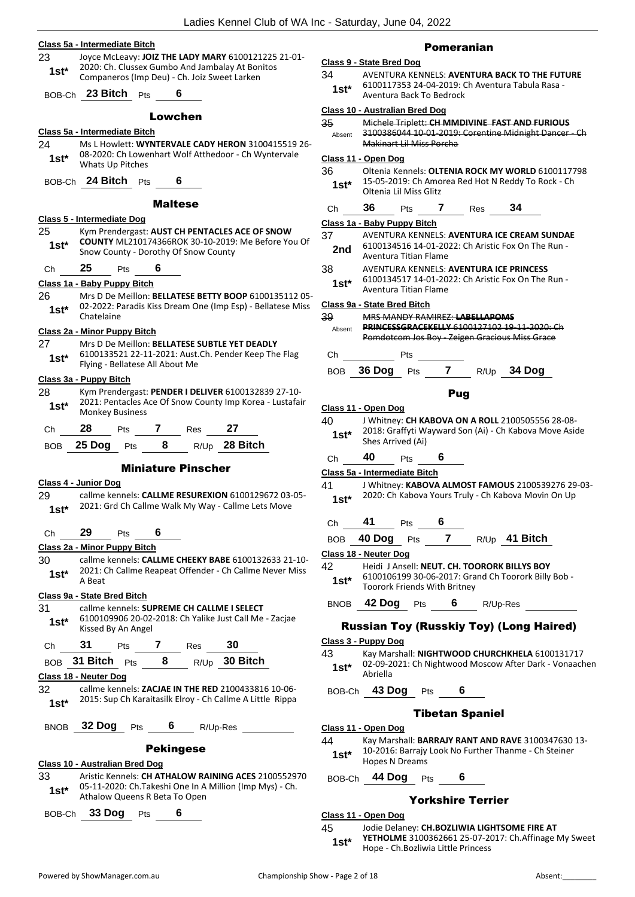**Class 5a - Intermediate Bitch** 23 Joyce McLeavy: **JOIZ THE LADY MARY** 6100121225 21-01- 2020: Ch. Clussex Gumbo And Jambalay At Bonitos Companeros (Imp Deu) - Ch. Joiz Sweet Larken **1st\*** BOB-Ch **23 Bitch** Pts **6** Lowchen **Class 5a - Intermediate Bitch** 24 Ms L Howlett: **WYNTERVALE CADY HERON** 3100415519 26- 08-2020: Ch Lowenhart Wolf Atthedoor - Ch Wyntervale Whats Up Pitches **1st\*** BOB-Ch **24 Bitch** Pts **6** Maltese **Class 5 - Intermediate Dog** 25 Kym Prendergast: **AUST CH PENTACLES ACE OF SNOW COUNTY** ML210174366ROK 30-10-2019: Me Before You Of Snow County - Dorothy Of Snow County **1st\*** Ch **25** Pts **6 Class 1a - Baby Puppy Bitch** 26 Mrs D De Meillon: **BELLATESE BETTY BOOP** 6100135112 05- 02-2022: Paradis Kiss Dream One (Imp Esp) - Bellatese Miss 1st\* <sup>02-2022: P</sup><br>Chatelaine **Class 2a - Minor Puppy Bitch** 27 Mrs D De Meillon: **BELLATESE SUBTLE YET DEADLY** 6100133521 22-11-2021: Aust.Ch. Pender Keep The Flag Flying - Bellatese All About Me **1st\* Class 3a - Puppy Bitch** 28 Kym Prendergast: **PENDER I DELIVER** 6100132839 27-10- 2021: Pentacles Ace Of Snow County Imp Korea - Lustafair **1st**\* <sup>2021: Pentacles *P*<br>Monkey Business</sup> Ch **28** Pts **7** Res **27** BOB **25 Dog** Pts **8** R/Up **28 Bitch** Miniature Pinscher **Class 4 - Junior Dog** 29 callme kennels: **CALLME RESUREXION** 6100129672 03-05- 1st\* 2021: Grd Ch Callme Walk My Way - Callme Lets Move Ch **29** Pts **6 Class 2a - Minor Puppy Bitch** 30 callme kennels: **CALLME CHEEKY BABE** 6100132633 21-10- 2021: Ch Callme Reapeat Offender - Ch Callme Never Miss  $1$  st<sup>\*</sup>  $\frac{202111}{A}$ **Class 9a - State Bred Bitch** 31 callme kennels: **SUPREME CH CALLME I SELECT** 6100109906 20-02-2018: Ch Yalike Just Call Me - Zacjae 1st<sup>\*</sup> b<sup>100109906</sup> <sup>20-02</sup><br>Kissed By An Angel Ch **31** Pts **7** Res **30** BOB **31 Bitch** Pts **8** R/Up **30 Bitch Class 18 - Neuter Dog** 32 callme kennels: **ZACJAE IN THE RED** 2100433816 10-06- 2015: Sup Ch Karaitasilk Elroy - Ch Callme A Little Rippa **1st\*** BNOB **32 Dog** Pts **6** R/Up-Res

## Pekingese

- **Class 10 - Australian Bred Dog**
- 33 Aristic Kennels: **CH ATHALOW RAINING ACES** 2100552970 05-11-2020: Ch.Takeshi One In A Million (Imp Mys) - Ch. **1st** US-11-2020: Cn. Fakesni One in A<br>Athalow Queens R Beta To Open

BOB-Ch **33 Dog** Pts **6**

#### Pomeranian

#### **Class 9 - State Bred Dog**

- 34 AVENTURA KENNELS: **AVENTURA BACK TO THE FUTURE** 6100117353 24-04-2019: Ch Aventura Tabula Rasa -
- Aventura Back To Bedrock **1st\***

#### **Class 10 - Australian Bred Dog**

| 35     | Michele Triplett: CH MMDIVINE FAST AND FURIOUS        |
|--------|-------------------------------------------------------|
| Absent | 3100386044 10-01-2019: Corentine Midnight Dancer - Ch |
|        | Makinart Lil Miss Porcha                              |

#### **Class 11 - Open Dog** 36 Oltenia Kennels: **OLTENIA ROCK MY WORLD** 6100117798

| - OO   | <u>UILEIIIA KEIIIIEIS. <b>ULI LIVIA NUCK IVII VVUNLD</b> U1UU117750</u> |
|--------|-------------------------------------------------------------------------|
| $1st*$ | 15-05-2019: Ch Amorea Red Hot N Reddy To Rock - Ch                      |
|        | Oltenia Lil Miss Glitz                                                  |
|        |                                                                         |

| Ch | 36 | Pts | Res | 34 |
|----|----|-----|-----|----|
|    |    |     |     |    |

**Class 1a - Baby Puppy Bitch**

- 37 AVENTURA KENNELS: **AVENTURA ICE CREAM SUNDAE** 6100134516 14-01-2022: Ch Aristic Fox On The Run - Aventura Titian Flame **2nd**
- 38 AVENTURA KENNELS: **AVENTURA ICE PRINCESS**
- 6100134517 14-01-2022: Ch Aristic Fox On The Run Aventura Titian Flame **1st\***

**Class 9a - State Bred Bitch**

39 MRS MANDY RAMIREZ: **LABELLAPOMS PRINCESSGRACEKELLY** 6100127102 19-11-2020: Ch Pomdotcom Jos Boy - Zeigen Gracious Miss Grace Absent

Ch Pts

BOB **36 Dog** Pts **7** R/Up **34 Dog**

## Pug

- **Class 11 - Open Dog**
- 40 J Whitney: **CH KABOVA ON A ROLL** 2100505556 28-08- 2018: Graffyti Wayward Son (Ai) - Ch Kabova Move Aside **1st**\* <sup>2018: Graffyti Wi<br>Shes Arrived (Ai)</sup>
- Ch **40** Pts **6**

**Class 5a - Intermediate Bitch**

- 41 J Whitney: **KABOVA ALMOST FAMOUS** 2100539276 29-03- 2020: Ch Kabova Yours Truly - Ch Kabova Movin On Up **1st\***
- Ch **41** Pts **6**
- BOB **40 Dog** Pts **7** R/Up **41 Bitch**
- **Class 18 - Neuter Dog**
- 42 Heidi J Ansell: **NEUT. CH. TOORORK BILLYS BOY**
- 6100106199 30-06-2017: Grand Ch Toorork Billy Bob Toorork Friends With Britney **1st\***

BNOB **42 Dog** Pts **6** R/Up-Res

## Russian Toy (Russkiy Toy) (Long Haired)

## **Class 3 - Puppy Dog**

43 Kay Marshall: **NIGHTWOOD CHURCHKHELA** 6100131717

- 02-09-2021: Ch Nightwood Moscow After Dark Vonaachen Abriella **1st\***
- BOB-Ch **43 Dog** Pts **6**

#### Tibetan Spaniel

#### **Class 11 - Open Dog**

- 44 Kay Marshall: **BARRAJY RANT AND RAVE** 3100347630 13-
	- 10-2016: Barrajy Look No Further Thanme Ch Steiner **1st**\* <sup>10-2016: Barrajy<br>Hopes N Dreams</sup>

BOB-Ch **44 Dog** Pts **6**

## Yorkshire Terrier

- **Class 11 - Open Dog**
- 45 Jodie Delaney: **CH.BOZLIWIA LIGHTSOME FIRE AT YETHOLME** 3100362661 25-07-2017: Ch.Affinage My Sweet 1st\* **TETHOLIVIE** 3100362661 25-07-20<br>Hope - Ch.Bozliwia Little Princess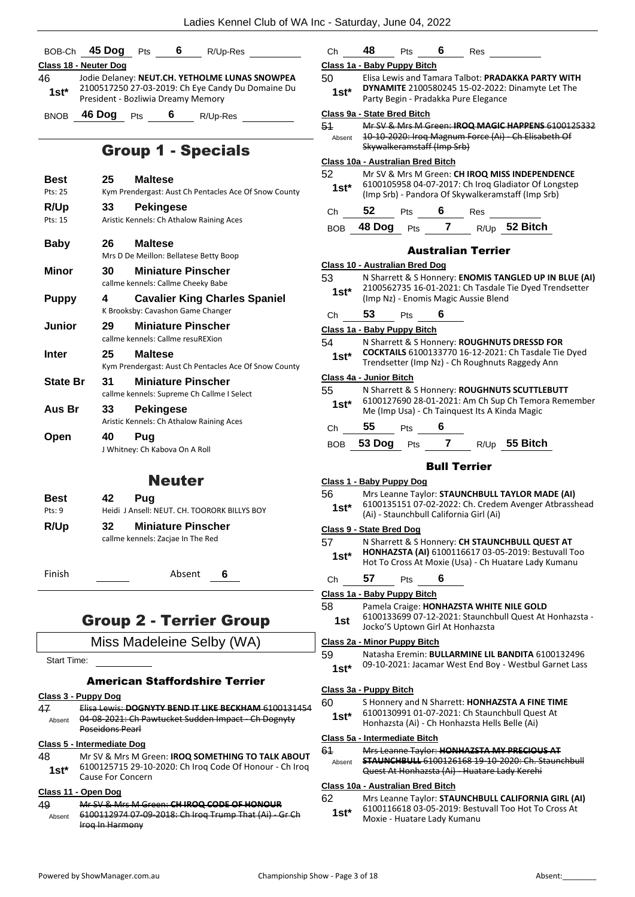Ch **48** Pts **6** Res

|                                                                              | BOB-Ch 45 Dog Pts 6 R/Up-Res                                                            |  |  |  |  |  |  |  |
|------------------------------------------------------------------------------|-----------------------------------------------------------------------------------------|--|--|--|--|--|--|--|
|                                                                              | Class 18 - Neuter Dog                                                                   |  |  |  |  |  |  |  |
| 46.                                                                          | Jodie Delaney: NEUT.CH. YETHOLME LUNAS SNOWPEA                                          |  |  |  |  |  |  |  |
| $1st^*$                                                                      | 2100517250 27-03-2019: Ch Eye Candy Du Domaine Du<br>President - Bozliwia Dreamy Memory |  |  |  |  |  |  |  |
| BNOB                                                                         | 46 Dog Pts 6 R/Up-Res                                                                   |  |  |  |  |  |  |  |
|                                                                              | <b>Group 1 - Specials</b>                                                               |  |  |  |  |  |  |  |
| Best                                                                         | 25<br><b>Maltese</b>                                                                    |  |  |  |  |  |  |  |
| Pts: 25                                                                      | Kym Prendergast: Aust Ch Pentacles Ace Of Snow County                                   |  |  |  |  |  |  |  |
| R/Up                                                                         | 33<br><b>Pekingese</b>                                                                  |  |  |  |  |  |  |  |
| Pts: 15                                                                      | Aristic Kennels: Ch Athalow Raining Aces                                                |  |  |  |  |  |  |  |
| Baby                                                                         | 26.<br><b>Maltese</b><br>Mrs D De Meillon: Bellatese Betty Boop                         |  |  |  |  |  |  |  |
| Minor                                                                        | <b>Miniature Pinscher</b><br>30<br>callme kennels: Callme Cheeky Babe                   |  |  |  |  |  |  |  |
| <b>Puppy</b>                                                                 | 4<br><b>Cavalier King Charles Spaniel</b>                                               |  |  |  |  |  |  |  |
|                                                                              | K Brooksby: Cavashon Game Changer                                                       |  |  |  |  |  |  |  |
| Junior                                                                       | <b>Miniature Pinscher</b><br>29<br>callme kennels: Callme resuREXion                    |  |  |  |  |  |  |  |
| Inter                                                                        | 25<br><b>Maltese</b>                                                                    |  |  |  |  |  |  |  |
|                                                                              | Kym Prendergast: Aust Ch Pentacles Ace Of Snow County                                   |  |  |  |  |  |  |  |
| <b>State Br</b>                                                              | <b>Miniature Pinscher</b><br>31<br>callme kennels: Supreme Ch Callme I Select           |  |  |  |  |  |  |  |
| Aus Br                                                                       | 33<br><b>Pekingese</b><br>Aristic Kennels: Ch Athalow Raining Aces                      |  |  |  |  |  |  |  |
| Open                                                                         | 40 Pug<br>J Whitney: Ch Kabova On A Roll                                                |  |  |  |  |  |  |  |
|                                                                              | Neuter                                                                                  |  |  |  |  |  |  |  |
| Best                                                                         | 42<br>Pug                                                                               |  |  |  |  |  |  |  |
| Pts: 9                                                                       | Heidi J Ansell: NEUT. CH. TOORORK BILLYS BOY                                            |  |  |  |  |  |  |  |
| R/Up<br>32<br><b>Miniature Pinscher</b><br>callme kennels: Zacjae In The Red |                                                                                         |  |  |  |  |  |  |  |
| Finish                                                                       | Absent<br>6                                                                             |  |  |  |  |  |  |  |
| <b>Group 2 - Terrier Group</b>                                               |                                                                                         |  |  |  |  |  |  |  |
|                                                                              | Miss Madeleine Selby (WA)                                                               |  |  |  |  |  |  |  |

Start Time:

## American Staffordshire Terrier

## **Class 3 - Puppy Dog**

| 47<br>Absent | <u> Elisa Lewis: DOGNYTY BEND IT LIKE BECKHAM 6100131454</u><br>04-08-2021: Ch Pawtucket Sudden Impact - Ch Dognyty<br>Poseidons Pearl          |
|--------------|-------------------------------------------------------------------------------------------------------------------------------------------------|
|              | Class 5 - Intermediate Dog                                                                                                                      |
| 48<br>$1st*$ | Mr SV & Mrs M Green: <b>IROQ SOMETHING TO TALK ABOUT</b><br>6100125715 29-10-2020: Ch Irog Code Of Honour - Ch Irog<br><b>Cause For Concern</b> |

## **Class 11 - Open Dog**

| 49     | Mr SV & Mrs M Green: CH IROQ CODE OF HONOUR                             |  |
|--------|-------------------------------------------------------------------------|--|
| Absent | 6100112974 07 09 2018: Ch Irog Trump That (Ai) Gr Ch<br>Irog In Harmony |  |

|     |              | Class 1a - Baby Puppy Bitch                                                                                |                     |               |  |
|-----|--------------|------------------------------------------------------------------------------------------------------------|---------------------|---------------|--|
|     | 50           | Elisa Lewis and Tamara Talbot: PRADAKKA PARTY WITH                                                         |                     |               |  |
|     | 1st*         | DYNAMITE 2100580245 15-02-2022: Dinamyte Let The<br>Party Begin - Pradakka Pure Elegance                   |                     |               |  |
|     |              |                                                                                                            |                     |               |  |
|     |              | Class 9a - State Bred Bitch                                                                                |                     |               |  |
|     | 51<br>Absent | Mr SV & Mrs M Green: IROQ MAGIC HAPPENS 6100125332<br>10-10-2020: Irog Magnum Force (Ai) - Ch Elisabeth Of |                     |               |  |
|     |              | Skywalkeramstaff (Imp Srb)                                                                                 |                     |               |  |
|     |              | Class 10a - Australian Bred Bitch                                                                          |                     |               |  |
|     | 52           | Mr SV & Mrs M Green: CH IROQ MISS INDEPENDENCE                                                             |                     |               |  |
|     | $1st*$       | 6100105958 04-07-2017: Ch Iroq Gladiator Of Longstep                                                       |                     |               |  |
|     |              | (Imp Srb) - Pandora Of Skywalkeramstaff (Imp Srb)                                                          |                     |               |  |
|     | Сh           | 52<br>Pts                                                                                                  | 6                   | Res           |  |
|     | <b>BOB</b>   | 48 Dog<br>Pts                                                                                              | 7                   | R/Up 52 Bitch |  |
|     |              |                                                                                                            |                     |               |  |
|     |              | Australian Terrier                                                                                         |                     |               |  |
|     |              | <b>Class 10 - Australian Bred Dog</b>                                                                      |                     |               |  |
|     | 53           | N Sharrett & S Honnery: ENOMIS TANGLED UP IN BLUE (AI)                                                     |                     |               |  |
|     | $1st*$       | 2100562735 16-01-2021: Ch Tasdale Tie Dyed Trendsetter                                                     |                     |               |  |
|     |              | (Imp Nz) - Enomis Magic Aussie Blend                                                                       |                     |               |  |
|     | Ch           | 53<br>Pts                                                                                                  | 6                   |               |  |
|     |              | Class 1a - Baby Puppy Bitch                                                                                |                     |               |  |
|     | 54           | N Sharrett & S Honnery: ROUGHNUTS DRESSD FOR                                                               |                     |               |  |
|     | 1st*         | <b>COCKTAILS</b> 6100133770 16-12-2021: Ch Tasdale Tie Dyed                                                |                     |               |  |
|     |              | Trendsetter (Imp Nz) - Ch Roughnuts Raggedy Ann                                                            |                     |               |  |
|     |              | Class 4a - Junior Bitch                                                                                    |                     |               |  |
|     | 55           | N Sharrett & S Honnery: ROUGHNUTS SCUTTLEBUTT                                                              |                     |               |  |
|     | $1st*$       | 6100127690 28-01-2021: Am Ch Sup Ch Temora Remember<br>Me (Imp Usa) - Ch Tainquest Its A Kinda Magic       |                     |               |  |
|     |              |                                                                                                            |                     |               |  |
|     | Ch           | 55<br>Pts                                                                                                  | 6                   |               |  |
|     | BOB          | 53 Dog<br>Pts                                                                                              | 7                   | R/Up 55 Bitch |  |
|     |              |                                                                                                            |                     |               |  |
|     |              |                                                                                                            | <b>Bull Terrier</b> |               |  |
|     |              | Class 1 - Baby Puppy Dog                                                                                   |                     |               |  |
|     | 56           | Mrs Leanne Taylor: STAUNCHBULL TAYLOR MADE (AI)                                                            |                     |               |  |
|     | $1st*$       | 6100135151 07-02-2022: Ch. Credem Avenger Atbrasshead<br>(Ai) - Staunchbull California Girl (Ai)           |                     |               |  |
|     |              |                                                                                                            |                     |               |  |
|     | 57           | Class 9 - State Bred Dog<br>N Sharrett & S Honnery: CH STAUNCHBULL QUEST AT                                |                     |               |  |
|     |              | HONHAZSTA (AI) 6100116617 03-05-2019: Bestuvall Too                                                        |                     |               |  |
|     | $1st*$       | Hot To Cross At Moxie (Usa) - Ch Huatare Lady Kumanu                                                       |                     |               |  |
|     | Сh           | 57<br>Pts                                                                                                  | 6                   |               |  |
|     |              | Class 1a - Baby Puppy Bitch                                                                                |                     |               |  |
|     | 58           | Pamela Craige: HONHAZSTA WHITE NILE GOLD                                                                   |                     |               |  |
|     | 1st          | 6100133699 07-12-2021: Staunchbull Quest At Honhazsta -                                                    |                     |               |  |
|     |              | Jocko'S Uptown Girl At Honhazsta                                                                           |                     |               |  |
|     |              | <b>Class 2a - Minor Puppy Bitch</b>                                                                        |                     |               |  |
|     | 59           | Natasha Eremin: BULLARMINE LIL BANDITA 6100132496                                                          |                     |               |  |
|     |              | 09-10-2021: Jacamar West End Boy - Westbul Garnet Lass                                                     |                     |               |  |
|     | 1st*         |                                                                                                            |                     |               |  |
|     |              |                                                                                                            |                     |               |  |
|     |              | Class 3a - Puppy Bitch                                                                                     |                     |               |  |
| 454 | 60           | S Honnery and N Sharrett: HONHAZSTA A FINE TIME                                                            |                     |               |  |
|     | $1st*$       | 6100130991 01-07-2021: Ch Staunchbull Quest At<br>Honhazsta (Ai) - Ch Honhazsta Hells Belle (Ai)           |                     |               |  |
|     |              |                                                                                                            |                     |               |  |
|     |              | Class 5a - Intermediate Bitch                                                                              |                     |               |  |
| UΤ  | 61<br>Absent | Mrs Leanne Taylor: HONHAZSTA MY PRECIOUS AT<br><b>STAUNCHBULL</b> 6100126168 19-10-2020: Ch. Staunchbull   |                     |               |  |
| þo. |              | Quest At Honhazsta (Ai) - Huatare Lady Kerehi                                                              |                     |               |  |
|     |              | Class 10a - Australian Bred Bitch                                                                          |                     |               |  |
|     | 62           | Mrs Leanne Taylor: STAUNCHBULL CALIFORNIA GIRL (AI)                                                        |                     |               |  |
| ł   | $1st*$       | 6100116618 03-05-2019: Bestuvall Too Hot To Cross At<br>Moxie - Huatare Lady Kumanu                        |                     |               |  |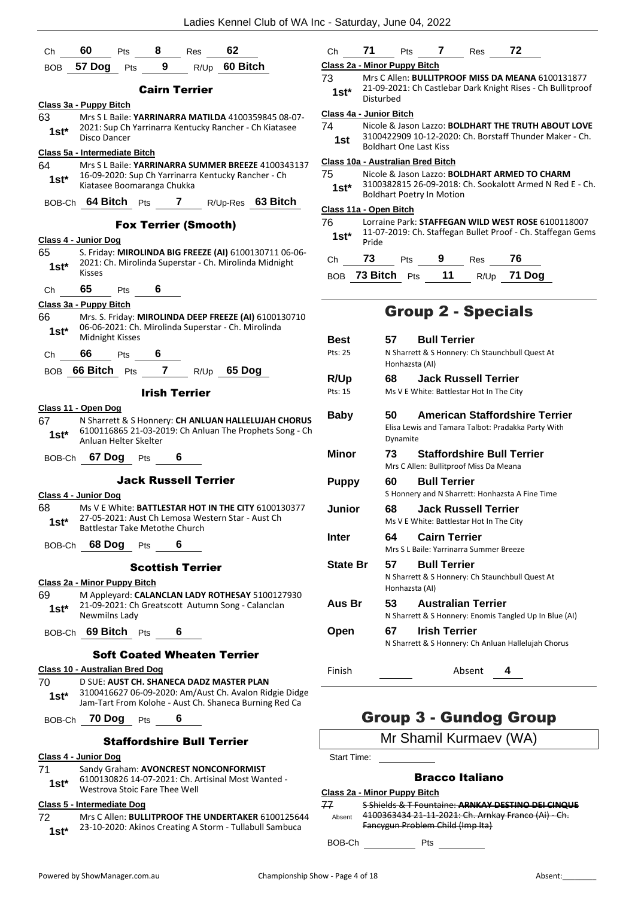| Class 2a - Minor Puppy Bitch<br>9<br>60 Bitch<br>57 Dog<br>Pts<br><b>BOB</b><br>R/Up<br>Mrs C Allen: BULLITPROOF MISS DA MEANA 6100131877<br>73<br>21-09-2021: Ch Castlebar Dark Knight Rises - Ch Bullitproof<br><b>Cairn Terrier</b><br>$1st*$<br>Disturbed<br>Class 3a - Puppy Bitch<br>Class 4a - Junior Bitch<br>63<br>Mrs S L Baile: YARRINARRA MATILDA 4100359845 08-07-<br>74<br>Nicole & Jason Lazzo: BOLDHART THE TRUTH ABOUT LOVE<br>2021: Sup Ch Yarrinarra Kentucky Rancher - Ch Kiatasee<br>$1st*$<br>3100422909 10-12-2020: Ch. Borstaff Thunder Maker - Ch.<br>Disco Dancer<br>1st<br><b>Boldhart One Last Kiss</b><br>Class 5a - Intermediate Bitch<br>Class 10a - Australian Bred Bitch<br>64<br>Mrs S L Baile: YARRINARRA SUMMER BREEZE 4100343137<br>75<br>Nicole & Jason Lazzo: <b>BOLDHART ARMED TO CHARM</b><br>16-09-2020: Sup Ch Yarrinarra Kentucky Rancher - Ch<br>$1st*$<br>3100382815 26-09-2018: Ch. Sookalott Armed N Red E - Ch.<br>Kiatasee Boomaranga Chukka<br>$1st*$<br><b>Boldhart Poetry In Motion</b><br>63 Bitch<br>BOB-Ch 64 Bitch Pts<br>7<br>R/Up-Res<br>Class 11a - Open Bitch<br>76<br>Lorraine Park: STAFFEGAN WILD WEST ROSE 6100118007<br><b>Fox Terrier (Smooth)</b><br>11-07-2019: Ch. Staffegan Bullet Proof - Ch. Staffegan Gems<br>$1st*$<br>Class 4 - Junior Dog<br>Pride<br>65<br>S. Friday: MIROLINDA BIG FREEZE (AI) 6100130711 06-06-<br>73<br>76<br>9<br>Pts<br>Ch<br>Res<br>2021: Ch. Mirolinda Superstar - Ch. Mirolinda Midnight<br>$1st*$<br><b>Kisses</b><br>11<br>73 Bitch Pts<br>71 Dog<br>R/Up<br><b>BOB</b><br>65<br>6<br>Ch<br>Pts<br>Class 3a - Puppy Bitch<br><b>Group 2 - Specials</b><br>66<br>Mrs. S. Friday: MIROLINDA DEEP FREEZE (AI) 6100130710<br>06-06-2021: Ch. Mirolinda Superstar - Ch. Mirolinda<br>$1st*$<br>Midnight Kisses<br><b>Bull Terrier</b><br>Best<br>57<br>N Sharrett & S Honnery: Ch Staunchbull Quest At<br>Pts: 25<br>66<br>6<br>Pts<br>Ch<br>Honhazsta (AI)<br>66 Bitch Pts<br>7<br>65 Dog<br><b>BOB</b><br>R/Up<br><b>Jack Russell Terrier</b><br>R/Up<br>68<br>Ms V E White: Battlestar Hot In The City<br>Pts: 15<br><b>Irish Terrier</b><br>Class 11 - Open Dog<br><b>Baby</b><br>50<br><b>American Staffordshire Terrier</b><br>67<br>N Sharrett & S Honnery: CH ANLUAN HALLELUJAH CHORUS<br>Elisa Lewis and Tamara Talbot: Pradakka Party With<br>6100116865 21-03-2019: Ch Anluan The Prophets Song - Ch<br>$1st^*$<br>Dynamite<br>Anluan Helter Skelter<br><b>Minor</b><br><b>Staffordshire Bull Terrier</b><br>73<br>BOB-Ch 67 Dog<br>6<br>Pts<br>Mrs C Allen: Bullitproof Miss Da Meana<br><b>Jack Russell Terrier</b><br>60<br><b>Bull Terrier</b><br><b>Puppy</b><br>S Honnery and N Sharrett: Honhazsta A Fine Time<br>Class 4 - Junior Dog<br>68<br>Ms V E White: <b>BATTLESTAR HOT IN THE CITY</b> 6100130377<br><b>Jack Russell Terrier</b><br>68<br>Junior<br>27-05-2021: Aust Ch Lemosa Western Star - Aust Ch<br>$1st^*$<br>Ms V E White: Battlestar Hot In The City<br>Battlestar Take Metothe Church<br><b>Inter</b><br><b>Cairn Terrier</b><br>64<br>BOB-Ch 68 Dog Pts<br>6<br>Mrs S L Baile: Yarrinarra Summer Breeze<br><b>Bull Terrier</b><br><b>State Br</b><br>57<br><b>Scottish Terrier</b><br>N Sharrett & S Honnery: Ch Staunchbull Quest At<br>Class 2a - Minor Puppy Bitch<br>Honhazsta (AI)<br>M Appleyard: CALANCLAN LADY ROTHESAY 5100127930<br>69<br>Aus Br<br>53<br><b>Australian Terrier</b><br>21-09-2021: Ch Greatscott Autumn Song - Calanclan<br>$1st^*$<br>Newmilns Ladv<br>N Sharrett & S Honnery: Enomis Tangled Up In Blue (AI)<br>67<br><b>Irish Terrier</b><br>BOB-Ch 69 Bitch Pts<br><b>Open</b><br>6<br>N Sharrett & S Honnery: Ch Anluan Hallelujah Chorus<br><b>Soft Coated Wheaten Terrier</b><br>Class 10 - Australian Bred Dog<br>Finish<br>Absent<br>4<br>D SUE: AUST CH. SHANECA DADZ MASTER PLAN<br>70<br>3100416627 06-09-2020: Am/Aust Ch. Avalon Ridgie Didge<br>$1st^*$<br>Jam-Tart From Kolohe - Aust Ch. Shaneca Burning Red Ca<br><b>Group 3 - Gundog Group</b><br>BOB-Ch 70 Dog Pts<br>6<br>Mr Shamil Kurmaev (WA)<br><b>Staffordshire Bull Terrier</b><br>Class 4 - Junior Dog<br>Start Time:<br>71<br>Sandy Graham: AVONCREST NONCONFORMIST<br><b>Bracco Italiano</b><br>6100130826 14-07-2021: Ch. Artisinal Most Wanted -<br>$1st^*$<br>Westrova Stoic Fare Thee Well<br>Class 2a - Minor Puppy Bitch<br>77<br>S Shields & T Fountaine: ARNKAY DESTINO DEI CINQUE<br><b>Class 5 - Intermediate Dog</b><br>4100363434 21-11-2021: Ch. Arnkay Franco (Ai) - Ch.<br>72<br>Mrs C Allen: <b>BULLITPROOF THE UNDERTAKER</b> 6100125644<br>Absent<br>Fancygun Problem Child (Imp Ita)<br>23-10-2020: Akinos Creating A Storm - Tullabull Sambuca<br>$1st*$ | Ch | 60 | Pts | 8 | Res | 62 | Сh | 71 | Pts | 7 | Res | 72 |
|------------------------------------------------------------------------------------------------------------------------------------------------------------------------------------------------------------------------------------------------------------------------------------------------------------------------------------------------------------------------------------------------------------------------------------------------------------------------------------------------------------------------------------------------------------------------------------------------------------------------------------------------------------------------------------------------------------------------------------------------------------------------------------------------------------------------------------------------------------------------------------------------------------------------------------------------------------------------------------------------------------------------------------------------------------------------------------------------------------------------------------------------------------------------------------------------------------------------------------------------------------------------------------------------------------------------------------------------------------------------------------------------------------------------------------------------------------------------------------------------------------------------------------------------------------------------------------------------------------------------------------------------------------------------------------------------------------------------------------------------------------------------------------------------------------------------------------------------------------------------------------------------------------------------------------------------------------------------------------------------------------------------------------------------------------------------------------------------------------------------------------------------------------------------------------------------------------------------------------------------------------------------------------------------------------------------------------------------------------------------------------------------------------------------------------------------------------------------------------------------------------------------------------------------------------------------------------------------------------------------------------------------------------------------------------------------------------------------------------------------------------------------------------------------------------------------------------------------------------------------------------------------------------------------------------------------------------------------------------------------------------------------------------------------------------------------------------------------------------------------------------------------------------------------------------------------------------------------------------------------------------------------------------------------------------------------------------------------------------------------------------------------------------------------------------------------------------------------------------------------------------------------------------------------------------------------------------------------------------------------------------------------------------------------------------------------------------------------------------------------------------------------------------------------------------------------------------------------------------------------------------------------------------------------------------------------------------------------------------------------------------------------------------------------------------------------------------------------------------------------------------------------------------------------------------------------------------------------------------------------------------------------------------------------------------------------------------------------------------------------------------------------------------------------------------------------------------------------------------------------------------------------------------------------------------------------------------------------------------------------------------------------------------------------------------------------------------------------------|----|----|-----|---|-----|----|----|----|-----|---|-----|----|
|                                                                                                                                                                                                                                                                                                                                                                                                                                                                                                                                                                                                                                                                                                                                                                                                                                                                                                                                                                                                                                                                                                                                                                                                                                                                                                                                                                                                                                                                                                                                                                                                                                                                                                                                                                                                                                                                                                                                                                                                                                                                                                                                                                                                                                                                                                                                                                                                                                                                                                                                                                                                                                                                                                                                                                                                                                                                                                                                                                                                                                                                                                                                                                                                                                                                                                                                                                                                                                                                                                                                                                                                                                                                                                                                                                                                                                                                                                                                                                                                                                                                                                                                                                                                                                                                                                                                                                                                                                                                                                                                                                                                                                                                                                                              |    |    |     |   |     |    |    |    |     |   |     |    |
|                                                                                                                                                                                                                                                                                                                                                                                                                                                                                                                                                                                                                                                                                                                                                                                                                                                                                                                                                                                                                                                                                                                                                                                                                                                                                                                                                                                                                                                                                                                                                                                                                                                                                                                                                                                                                                                                                                                                                                                                                                                                                                                                                                                                                                                                                                                                                                                                                                                                                                                                                                                                                                                                                                                                                                                                                                                                                                                                                                                                                                                                                                                                                                                                                                                                                                                                                                                                                                                                                                                                                                                                                                                                                                                                                                                                                                                                                                                                                                                                                                                                                                                                                                                                                                                                                                                                                                                                                                                                                                                                                                                                                                                                                                                              |    |    |     |   |     |    |    |    |     |   |     |    |
|                                                                                                                                                                                                                                                                                                                                                                                                                                                                                                                                                                                                                                                                                                                                                                                                                                                                                                                                                                                                                                                                                                                                                                                                                                                                                                                                                                                                                                                                                                                                                                                                                                                                                                                                                                                                                                                                                                                                                                                                                                                                                                                                                                                                                                                                                                                                                                                                                                                                                                                                                                                                                                                                                                                                                                                                                                                                                                                                                                                                                                                                                                                                                                                                                                                                                                                                                                                                                                                                                                                                                                                                                                                                                                                                                                                                                                                                                                                                                                                                                                                                                                                                                                                                                                                                                                                                                                                                                                                                                                                                                                                                                                                                                                                              |    |    |     |   |     |    |    |    |     |   |     |    |
|                                                                                                                                                                                                                                                                                                                                                                                                                                                                                                                                                                                                                                                                                                                                                                                                                                                                                                                                                                                                                                                                                                                                                                                                                                                                                                                                                                                                                                                                                                                                                                                                                                                                                                                                                                                                                                                                                                                                                                                                                                                                                                                                                                                                                                                                                                                                                                                                                                                                                                                                                                                                                                                                                                                                                                                                                                                                                                                                                                                                                                                                                                                                                                                                                                                                                                                                                                                                                                                                                                                                                                                                                                                                                                                                                                                                                                                                                                                                                                                                                                                                                                                                                                                                                                                                                                                                                                                                                                                                                                                                                                                                                                                                                                                              |    |    |     |   |     |    |    |    |     |   |     |    |
|                                                                                                                                                                                                                                                                                                                                                                                                                                                                                                                                                                                                                                                                                                                                                                                                                                                                                                                                                                                                                                                                                                                                                                                                                                                                                                                                                                                                                                                                                                                                                                                                                                                                                                                                                                                                                                                                                                                                                                                                                                                                                                                                                                                                                                                                                                                                                                                                                                                                                                                                                                                                                                                                                                                                                                                                                                                                                                                                                                                                                                                                                                                                                                                                                                                                                                                                                                                                                                                                                                                                                                                                                                                                                                                                                                                                                                                                                                                                                                                                                                                                                                                                                                                                                                                                                                                                                                                                                                                                                                                                                                                                                                                                                                                              |    |    |     |   |     |    |    |    |     |   |     |    |
|                                                                                                                                                                                                                                                                                                                                                                                                                                                                                                                                                                                                                                                                                                                                                                                                                                                                                                                                                                                                                                                                                                                                                                                                                                                                                                                                                                                                                                                                                                                                                                                                                                                                                                                                                                                                                                                                                                                                                                                                                                                                                                                                                                                                                                                                                                                                                                                                                                                                                                                                                                                                                                                                                                                                                                                                                                                                                                                                                                                                                                                                                                                                                                                                                                                                                                                                                                                                                                                                                                                                                                                                                                                                                                                                                                                                                                                                                                                                                                                                                                                                                                                                                                                                                                                                                                                                                                                                                                                                                                                                                                                                                                                                                                                              |    |    |     |   |     |    |    |    |     |   |     |    |
|                                                                                                                                                                                                                                                                                                                                                                                                                                                                                                                                                                                                                                                                                                                                                                                                                                                                                                                                                                                                                                                                                                                                                                                                                                                                                                                                                                                                                                                                                                                                                                                                                                                                                                                                                                                                                                                                                                                                                                                                                                                                                                                                                                                                                                                                                                                                                                                                                                                                                                                                                                                                                                                                                                                                                                                                                                                                                                                                                                                                                                                                                                                                                                                                                                                                                                                                                                                                                                                                                                                                                                                                                                                                                                                                                                                                                                                                                                                                                                                                                                                                                                                                                                                                                                                                                                                                                                                                                                                                                                                                                                                                                                                                                                                              |    |    |     |   |     |    |    |    |     |   |     |    |
|                                                                                                                                                                                                                                                                                                                                                                                                                                                                                                                                                                                                                                                                                                                                                                                                                                                                                                                                                                                                                                                                                                                                                                                                                                                                                                                                                                                                                                                                                                                                                                                                                                                                                                                                                                                                                                                                                                                                                                                                                                                                                                                                                                                                                                                                                                                                                                                                                                                                                                                                                                                                                                                                                                                                                                                                                                                                                                                                                                                                                                                                                                                                                                                                                                                                                                                                                                                                                                                                                                                                                                                                                                                                                                                                                                                                                                                                                                                                                                                                                                                                                                                                                                                                                                                                                                                                                                                                                                                                                                                                                                                                                                                                                                                              |    |    |     |   |     |    |    |    |     |   |     |    |
|                                                                                                                                                                                                                                                                                                                                                                                                                                                                                                                                                                                                                                                                                                                                                                                                                                                                                                                                                                                                                                                                                                                                                                                                                                                                                                                                                                                                                                                                                                                                                                                                                                                                                                                                                                                                                                                                                                                                                                                                                                                                                                                                                                                                                                                                                                                                                                                                                                                                                                                                                                                                                                                                                                                                                                                                                                                                                                                                                                                                                                                                                                                                                                                                                                                                                                                                                                                                                                                                                                                                                                                                                                                                                                                                                                                                                                                                                                                                                                                                                                                                                                                                                                                                                                                                                                                                                                                                                                                                                                                                                                                                                                                                                                                              |    |    |     |   |     |    |    |    |     |   |     |    |
|                                                                                                                                                                                                                                                                                                                                                                                                                                                                                                                                                                                                                                                                                                                                                                                                                                                                                                                                                                                                                                                                                                                                                                                                                                                                                                                                                                                                                                                                                                                                                                                                                                                                                                                                                                                                                                                                                                                                                                                                                                                                                                                                                                                                                                                                                                                                                                                                                                                                                                                                                                                                                                                                                                                                                                                                                                                                                                                                                                                                                                                                                                                                                                                                                                                                                                                                                                                                                                                                                                                                                                                                                                                                                                                                                                                                                                                                                                                                                                                                                                                                                                                                                                                                                                                                                                                                                                                                                                                                                                                                                                                                                                                                                                                              |    |    |     |   |     |    |    |    |     |   |     |    |
|                                                                                                                                                                                                                                                                                                                                                                                                                                                                                                                                                                                                                                                                                                                                                                                                                                                                                                                                                                                                                                                                                                                                                                                                                                                                                                                                                                                                                                                                                                                                                                                                                                                                                                                                                                                                                                                                                                                                                                                                                                                                                                                                                                                                                                                                                                                                                                                                                                                                                                                                                                                                                                                                                                                                                                                                                                                                                                                                                                                                                                                                                                                                                                                                                                                                                                                                                                                                                                                                                                                                                                                                                                                                                                                                                                                                                                                                                                                                                                                                                                                                                                                                                                                                                                                                                                                                                                                                                                                                                                                                                                                                                                                                                                                              |    |    |     |   |     |    |    |    |     |   |     |    |
|                                                                                                                                                                                                                                                                                                                                                                                                                                                                                                                                                                                                                                                                                                                                                                                                                                                                                                                                                                                                                                                                                                                                                                                                                                                                                                                                                                                                                                                                                                                                                                                                                                                                                                                                                                                                                                                                                                                                                                                                                                                                                                                                                                                                                                                                                                                                                                                                                                                                                                                                                                                                                                                                                                                                                                                                                                                                                                                                                                                                                                                                                                                                                                                                                                                                                                                                                                                                                                                                                                                                                                                                                                                                                                                                                                                                                                                                                                                                                                                                                                                                                                                                                                                                                                                                                                                                                                                                                                                                                                                                                                                                                                                                                                                              |    |    |     |   |     |    |    |    |     |   |     |    |
|                                                                                                                                                                                                                                                                                                                                                                                                                                                                                                                                                                                                                                                                                                                                                                                                                                                                                                                                                                                                                                                                                                                                                                                                                                                                                                                                                                                                                                                                                                                                                                                                                                                                                                                                                                                                                                                                                                                                                                                                                                                                                                                                                                                                                                                                                                                                                                                                                                                                                                                                                                                                                                                                                                                                                                                                                                                                                                                                                                                                                                                                                                                                                                                                                                                                                                                                                                                                                                                                                                                                                                                                                                                                                                                                                                                                                                                                                                                                                                                                                                                                                                                                                                                                                                                                                                                                                                                                                                                                                                                                                                                                                                                                                                                              |    |    |     |   |     |    |    |    |     |   |     |    |
|                                                                                                                                                                                                                                                                                                                                                                                                                                                                                                                                                                                                                                                                                                                                                                                                                                                                                                                                                                                                                                                                                                                                                                                                                                                                                                                                                                                                                                                                                                                                                                                                                                                                                                                                                                                                                                                                                                                                                                                                                                                                                                                                                                                                                                                                                                                                                                                                                                                                                                                                                                                                                                                                                                                                                                                                                                                                                                                                                                                                                                                                                                                                                                                                                                                                                                                                                                                                                                                                                                                                                                                                                                                                                                                                                                                                                                                                                                                                                                                                                                                                                                                                                                                                                                                                                                                                                                                                                                                                                                                                                                                                                                                                                                                              |    |    |     |   |     |    |    |    |     |   |     |    |
|                                                                                                                                                                                                                                                                                                                                                                                                                                                                                                                                                                                                                                                                                                                                                                                                                                                                                                                                                                                                                                                                                                                                                                                                                                                                                                                                                                                                                                                                                                                                                                                                                                                                                                                                                                                                                                                                                                                                                                                                                                                                                                                                                                                                                                                                                                                                                                                                                                                                                                                                                                                                                                                                                                                                                                                                                                                                                                                                                                                                                                                                                                                                                                                                                                                                                                                                                                                                                                                                                                                                                                                                                                                                                                                                                                                                                                                                                                                                                                                                                                                                                                                                                                                                                                                                                                                                                                                                                                                                                                                                                                                                                                                                                                                              |    |    |     |   |     |    |    |    |     |   |     |    |
|                                                                                                                                                                                                                                                                                                                                                                                                                                                                                                                                                                                                                                                                                                                                                                                                                                                                                                                                                                                                                                                                                                                                                                                                                                                                                                                                                                                                                                                                                                                                                                                                                                                                                                                                                                                                                                                                                                                                                                                                                                                                                                                                                                                                                                                                                                                                                                                                                                                                                                                                                                                                                                                                                                                                                                                                                                                                                                                                                                                                                                                                                                                                                                                                                                                                                                                                                                                                                                                                                                                                                                                                                                                                                                                                                                                                                                                                                                                                                                                                                                                                                                                                                                                                                                                                                                                                                                                                                                                                                                                                                                                                                                                                                                                              |    |    |     |   |     |    |    |    |     |   |     |    |
|                                                                                                                                                                                                                                                                                                                                                                                                                                                                                                                                                                                                                                                                                                                                                                                                                                                                                                                                                                                                                                                                                                                                                                                                                                                                                                                                                                                                                                                                                                                                                                                                                                                                                                                                                                                                                                                                                                                                                                                                                                                                                                                                                                                                                                                                                                                                                                                                                                                                                                                                                                                                                                                                                                                                                                                                                                                                                                                                                                                                                                                                                                                                                                                                                                                                                                                                                                                                                                                                                                                                                                                                                                                                                                                                                                                                                                                                                                                                                                                                                                                                                                                                                                                                                                                                                                                                                                                                                                                                                                                                                                                                                                                                                                                              |    |    |     |   |     |    |    |    |     |   |     |    |
|                                                                                                                                                                                                                                                                                                                                                                                                                                                                                                                                                                                                                                                                                                                                                                                                                                                                                                                                                                                                                                                                                                                                                                                                                                                                                                                                                                                                                                                                                                                                                                                                                                                                                                                                                                                                                                                                                                                                                                                                                                                                                                                                                                                                                                                                                                                                                                                                                                                                                                                                                                                                                                                                                                                                                                                                                                                                                                                                                                                                                                                                                                                                                                                                                                                                                                                                                                                                                                                                                                                                                                                                                                                                                                                                                                                                                                                                                                                                                                                                                                                                                                                                                                                                                                                                                                                                                                                                                                                                                                                                                                                                                                                                                                                              |    |    |     |   |     |    |    |    |     |   |     |    |
|                                                                                                                                                                                                                                                                                                                                                                                                                                                                                                                                                                                                                                                                                                                                                                                                                                                                                                                                                                                                                                                                                                                                                                                                                                                                                                                                                                                                                                                                                                                                                                                                                                                                                                                                                                                                                                                                                                                                                                                                                                                                                                                                                                                                                                                                                                                                                                                                                                                                                                                                                                                                                                                                                                                                                                                                                                                                                                                                                                                                                                                                                                                                                                                                                                                                                                                                                                                                                                                                                                                                                                                                                                                                                                                                                                                                                                                                                                                                                                                                                                                                                                                                                                                                                                                                                                                                                                                                                                                                                                                                                                                                                                                                                                                              |    |    |     |   |     |    |    |    |     |   |     |    |
|                                                                                                                                                                                                                                                                                                                                                                                                                                                                                                                                                                                                                                                                                                                                                                                                                                                                                                                                                                                                                                                                                                                                                                                                                                                                                                                                                                                                                                                                                                                                                                                                                                                                                                                                                                                                                                                                                                                                                                                                                                                                                                                                                                                                                                                                                                                                                                                                                                                                                                                                                                                                                                                                                                                                                                                                                                                                                                                                                                                                                                                                                                                                                                                                                                                                                                                                                                                                                                                                                                                                                                                                                                                                                                                                                                                                                                                                                                                                                                                                                                                                                                                                                                                                                                                                                                                                                                                                                                                                                                                                                                                                                                                                                                                              |    |    |     |   |     |    |    |    |     |   |     |    |
|                                                                                                                                                                                                                                                                                                                                                                                                                                                                                                                                                                                                                                                                                                                                                                                                                                                                                                                                                                                                                                                                                                                                                                                                                                                                                                                                                                                                                                                                                                                                                                                                                                                                                                                                                                                                                                                                                                                                                                                                                                                                                                                                                                                                                                                                                                                                                                                                                                                                                                                                                                                                                                                                                                                                                                                                                                                                                                                                                                                                                                                                                                                                                                                                                                                                                                                                                                                                                                                                                                                                                                                                                                                                                                                                                                                                                                                                                                                                                                                                                                                                                                                                                                                                                                                                                                                                                                                                                                                                                                                                                                                                                                                                                                                              |    |    |     |   |     |    |    |    |     |   |     |    |
|                                                                                                                                                                                                                                                                                                                                                                                                                                                                                                                                                                                                                                                                                                                                                                                                                                                                                                                                                                                                                                                                                                                                                                                                                                                                                                                                                                                                                                                                                                                                                                                                                                                                                                                                                                                                                                                                                                                                                                                                                                                                                                                                                                                                                                                                                                                                                                                                                                                                                                                                                                                                                                                                                                                                                                                                                                                                                                                                                                                                                                                                                                                                                                                                                                                                                                                                                                                                                                                                                                                                                                                                                                                                                                                                                                                                                                                                                                                                                                                                                                                                                                                                                                                                                                                                                                                                                                                                                                                                                                                                                                                                                                                                                                                              |    |    |     |   |     |    |    |    |     |   |     |    |
|                                                                                                                                                                                                                                                                                                                                                                                                                                                                                                                                                                                                                                                                                                                                                                                                                                                                                                                                                                                                                                                                                                                                                                                                                                                                                                                                                                                                                                                                                                                                                                                                                                                                                                                                                                                                                                                                                                                                                                                                                                                                                                                                                                                                                                                                                                                                                                                                                                                                                                                                                                                                                                                                                                                                                                                                                                                                                                                                                                                                                                                                                                                                                                                                                                                                                                                                                                                                                                                                                                                                                                                                                                                                                                                                                                                                                                                                                                                                                                                                                                                                                                                                                                                                                                                                                                                                                                                                                                                                                                                                                                                                                                                                                                                              |    |    |     |   |     |    |    |    |     |   |     |    |
|                                                                                                                                                                                                                                                                                                                                                                                                                                                                                                                                                                                                                                                                                                                                                                                                                                                                                                                                                                                                                                                                                                                                                                                                                                                                                                                                                                                                                                                                                                                                                                                                                                                                                                                                                                                                                                                                                                                                                                                                                                                                                                                                                                                                                                                                                                                                                                                                                                                                                                                                                                                                                                                                                                                                                                                                                                                                                                                                                                                                                                                                                                                                                                                                                                                                                                                                                                                                                                                                                                                                                                                                                                                                                                                                                                                                                                                                                                                                                                                                                                                                                                                                                                                                                                                                                                                                                                                                                                                                                                                                                                                                                                                                                                                              |    |    |     |   |     |    |    |    |     |   |     |    |
|                                                                                                                                                                                                                                                                                                                                                                                                                                                                                                                                                                                                                                                                                                                                                                                                                                                                                                                                                                                                                                                                                                                                                                                                                                                                                                                                                                                                                                                                                                                                                                                                                                                                                                                                                                                                                                                                                                                                                                                                                                                                                                                                                                                                                                                                                                                                                                                                                                                                                                                                                                                                                                                                                                                                                                                                                                                                                                                                                                                                                                                                                                                                                                                                                                                                                                                                                                                                                                                                                                                                                                                                                                                                                                                                                                                                                                                                                                                                                                                                                                                                                                                                                                                                                                                                                                                                                                                                                                                                                                                                                                                                                                                                                                                              |    |    |     |   |     |    |    |    |     |   |     |    |
|                                                                                                                                                                                                                                                                                                                                                                                                                                                                                                                                                                                                                                                                                                                                                                                                                                                                                                                                                                                                                                                                                                                                                                                                                                                                                                                                                                                                                                                                                                                                                                                                                                                                                                                                                                                                                                                                                                                                                                                                                                                                                                                                                                                                                                                                                                                                                                                                                                                                                                                                                                                                                                                                                                                                                                                                                                                                                                                                                                                                                                                                                                                                                                                                                                                                                                                                                                                                                                                                                                                                                                                                                                                                                                                                                                                                                                                                                                                                                                                                                                                                                                                                                                                                                                                                                                                                                                                                                                                                                                                                                                                                                                                                                                                              |    |    |     |   |     |    |    |    |     |   |     |    |
|                                                                                                                                                                                                                                                                                                                                                                                                                                                                                                                                                                                                                                                                                                                                                                                                                                                                                                                                                                                                                                                                                                                                                                                                                                                                                                                                                                                                                                                                                                                                                                                                                                                                                                                                                                                                                                                                                                                                                                                                                                                                                                                                                                                                                                                                                                                                                                                                                                                                                                                                                                                                                                                                                                                                                                                                                                                                                                                                                                                                                                                                                                                                                                                                                                                                                                                                                                                                                                                                                                                                                                                                                                                                                                                                                                                                                                                                                                                                                                                                                                                                                                                                                                                                                                                                                                                                                                                                                                                                                                                                                                                                                                                                                                                              |    |    |     |   |     |    |    |    |     |   |     |    |
|                                                                                                                                                                                                                                                                                                                                                                                                                                                                                                                                                                                                                                                                                                                                                                                                                                                                                                                                                                                                                                                                                                                                                                                                                                                                                                                                                                                                                                                                                                                                                                                                                                                                                                                                                                                                                                                                                                                                                                                                                                                                                                                                                                                                                                                                                                                                                                                                                                                                                                                                                                                                                                                                                                                                                                                                                                                                                                                                                                                                                                                                                                                                                                                                                                                                                                                                                                                                                                                                                                                                                                                                                                                                                                                                                                                                                                                                                                                                                                                                                                                                                                                                                                                                                                                                                                                                                                                                                                                                                                                                                                                                                                                                                                                              |    |    |     |   |     |    |    |    |     |   |     |    |
|                                                                                                                                                                                                                                                                                                                                                                                                                                                                                                                                                                                                                                                                                                                                                                                                                                                                                                                                                                                                                                                                                                                                                                                                                                                                                                                                                                                                                                                                                                                                                                                                                                                                                                                                                                                                                                                                                                                                                                                                                                                                                                                                                                                                                                                                                                                                                                                                                                                                                                                                                                                                                                                                                                                                                                                                                                                                                                                                                                                                                                                                                                                                                                                                                                                                                                                                                                                                                                                                                                                                                                                                                                                                                                                                                                                                                                                                                                                                                                                                                                                                                                                                                                                                                                                                                                                                                                                                                                                                                                                                                                                                                                                                                                                              |    |    |     |   |     |    |    |    |     |   |     |    |
|                                                                                                                                                                                                                                                                                                                                                                                                                                                                                                                                                                                                                                                                                                                                                                                                                                                                                                                                                                                                                                                                                                                                                                                                                                                                                                                                                                                                                                                                                                                                                                                                                                                                                                                                                                                                                                                                                                                                                                                                                                                                                                                                                                                                                                                                                                                                                                                                                                                                                                                                                                                                                                                                                                                                                                                                                                                                                                                                                                                                                                                                                                                                                                                                                                                                                                                                                                                                                                                                                                                                                                                                                                                                                                                                                                                                                                                                                                                                                                                                                                                                                                                                                                                                                                                                                                                                                                                                                                                                                                                                                                                                                                                                                                                              |    |    |     |   |     |    |    |    |     |   |     |    |
|                                                                                                                                                                                                                                                                                                                                                                                                                                                                                                                                                                                                                                                                                                                                                                                                                                                                                                                                                                                                                                                                                                                                                                                                                                                                                                                                                                                                                                                                                                                                                                                                                                                                                                                                                                                                                                                                                                                                                                                                                                                                                                                                                                                                                                                                                                                                                                                                                                                                                                                                                                                                                                                                                                                                                                                                                                                                                                                                                                                                                                                                                                                                                                                                                                                                                                                                                                                                                                                                                                                                                                                                                                                                                                                                                                                                                                                                                                                                                                                                                                                                                                                                                                                                                                                                                                                                                                                                                                                                                                                                                                                                                                                                                                                              |    |    |     |   |     |    |    |    |     |   |     |    |
|                                                                                                                                                                                                                                                                                                                                                                                                                                                                                                                                                                                                                                                                                                                                                                                                                                                                                                                                                                                                                                                                                                                                                                                                                                                                                                                                                                                                                                                                                                                                                                                                                                                                                                                                                                                                                                                                                                                                                                                                                                                                                                                                                                                                                                                                                                                                                                                                                                                                                                                                                                                                                                                                                                                                                                                                                                                                                                                                                                                                                                                                                                                                                                                                                                                                                                                                                                                                                                                                                                                                                                                                                                                                                                                                                                                                                                                                                                                                                                                                                                                                                                                                                                                                                                                                                                                                                                                                                                                                                                                                                                                                                                                                                                                              |    |    |     |   |     |    |    |    |     |   |     |    |
|                                                                                                                                                                                                                                                                                                                                                                                                                                                                                                                                                                                                                                                                                                                                                                                                                                                                                                                                                                                                                                                                                                                                                                                                                                                                                                                                                                                                                                                                                                                                                                                                                                                                                                                                                                                                                                                                                                                                                                                                                                                                                                                                                                                                                                                                                                                                                                                                                                                                                                                                                                                                                                                                                                                                                                                                                                                                                                                                                                                                                                                                                                                                                                                                                                                                                                                                                                                                                                                                                                                                                                                                                                                                                                                                                                                                                                                                                                                                                                                                                                                                                                                                                                                                                                                                                                                                                                                                                                                                                                                                                                                                                                                                                                                              |    |    |     |   |     |    |    |    |     |   |     |    |
|                                                                                                                                                                                                                                                                                                                                                                                                                                                                                                                                                                                                                                                                                                                                                                                                                                                                                                                                                                                                                                                                                                                                                                                                                                                                                                                                                                                                                                                                                                                                                                                                                                                                                                                                                                                                                                                                                                                                                                                                                                                                                                                                                                                                                                                                                                                                                                                                                                                                                                                                                                                                                                                                                                                                                                                                                                                                                                                                                                                                                                                                                                                                                                                                                                                                                                                                                                                                                                                                                                                                                                                                                                                                                                                                                                                                                                                                                                                                                                                                                                                                                                                                                                                                                                                                                                                                                                                                                                                                                                                                                                                                                                                                                                                              |    |    |     |   |     |    |    |    |     |   |     |    |
|                                                                                                                                                                                                                                                                                                                                                                                                                                                                                                                                                                                                                                                                                                                                                                                                                                                                                                                                                                                                                                                                                                                                                                                                                                                                                                                                                                                                                                                                                                                                                                                                                                                                                                                                                                                                                                                                                                                                                                                                                                                                                                                                                                                                                                                                                                                                                                                                                                                                                                                                                                                                                                                                                                                                                                                                                                                                                                                                                                                                                                                                                                                                                                                                                                                                                                                                                                                                                                                                                                                                                                                                                                                                                                                                                                                                                                                                                                                                                                                                                                                                                                                                                                                                                                                                                                                                                                                                                                                                                                                                                                                                                                                                                                                              |    |    |     |   |     |    |    |    |     |   |     |    |
|                                                                                                                                                                                                                                                                                                                                                                                                                                                                                                                                                                                                                                                                                                                                                                                                                                                                                                                                                                                                                                                                                                                                                                                                                                                                                                                                                                                                                                                                                                                                                                                                                                                                                                                                                                                                                                                                                                                                                                                                                                                                                                                                                                                                                                                                                                                                                                                                                                                                                                                                                                                                                                                                                                                                                                                                                                                                                                                                                                                                                                                                                                                                                                                                                                                                                                                                                                                                                                                                                                                                                                                                                                                                                                                                                                                                                                                                                                                                                                                                                                                                                                                                                                                                                                                                                                                                                                                                                                                                                                                                                                                                                                                                                                                              |    |    |     |   |     |    |    |    |     |   |     |    |
|                                                                                                                                                                                                                                                                                                                                                                                                                                                                                                                                                                                                                                                                                                                                                                                                                                                                                                                                                                                                                                                                                                                                                                                                                                                                                                                                                                                                                                                                                                                                                                                                                                                                                                                                                                                                                                                                                                                                                                                                                                                                                                                                                                                                                                                                                                                                                                                                                                                                                                                                                                                                                                                                                                                                                                                                                                                                                                                                                                                                                                                                                                                                                                                                                                                                                                                                                                                                                                                                                                                                                                                                                                                                                                                                                                                                                                                                                                                                                                                                                                                                                                                                                                                                                                                                                                                                                                                                                                                                                                                                                                                                                                                                                                                              |    |    |     |   |     |    |    |    |     |   |     |    |
|                                                                                                                                                                                                                                                                                                                                                                                                                                                                                                                                                                                                                                                                                                                                                                                                                                                                                                                                                                                                                                                                                                                                                                                                                                                                                                                                                                                                                                                                                                                                                                                                                                                                                                                                                                                                                                                                                                                                                                                                                                                                                                                                                                                                                                                                                                                                                                                                                                                                                                                                                                                                                                                                                                                                                                                                                                                                                                                                                                                                                                                                                                                                                                                                                                                                                                                                                                                                                                                                                                                                                                                                                                                                                                                                                                                                                                                                                                                                                                                                                                                                                                                                                                                                                                                                                                                                                                                                                                                                                                                                                                                                                                                                                                                              |    |    |     |   |     |    |    |    |     |   |     |    |

BOB-Ch Pts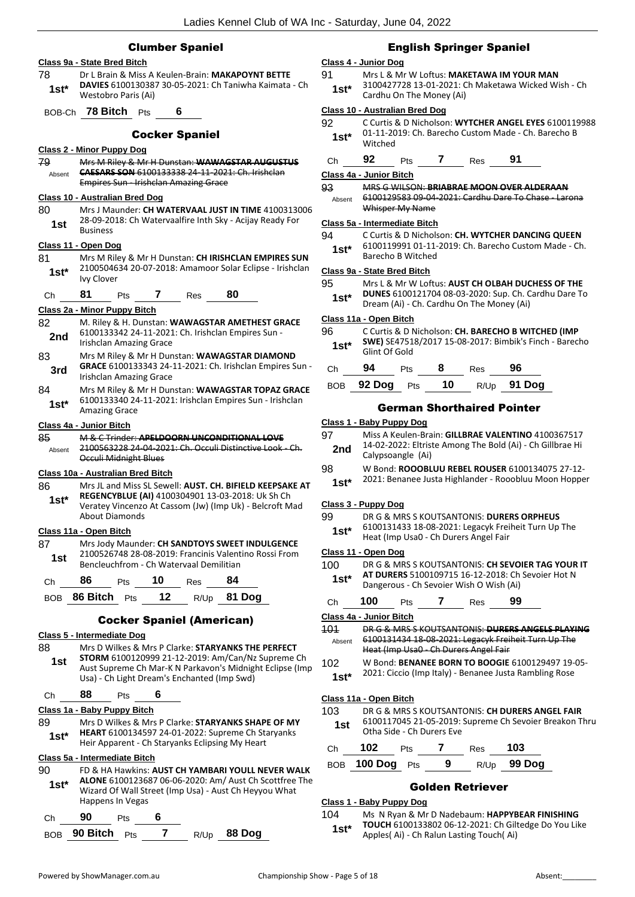## Clumber Spaniel

## **Class 9a - State Bred Bitch** 78 Dr L Brain & Miss A Keulen-Brain: **MAKAPOYNT BETTE DAVIES** 6100130387 30-05-2021: Ch Taniwha Kaimata - Ch Westobro Paris (Ai) **1st\*** BOB-Ch **78 Bitch** Pts **6** Cocker Spaniel **Class 2 - Minor Puppy Dog** 79 Mrs M Riley & Mr H Dunstan: **WAWAGSTAR AUGUSTUS CAESARS SON** 6100133338 24-11-2021: Ch. Irishclan Empires Sun - Irishclan Amazing Grace Absent **Class 10 - Australian Bred Dog** 80 Mrs J Maunder: **CH WATERVAAL JUST IN TIME** 4100313006 28-09-2018: Ch Watervaalfire Inth Sky - Acijay Ready For 1st <sup>28-U9-24</sup> **Class 11 - Open Dog** 81 Mrs M Riley & Mr H Dunstan: **CH IRISHCLAN EMPIRES SUN** 2100504634 20-07-2018: Amamoor Solar Eclipse - Irishclan Ivy Clover **1st\*** Ch **81** Pts **7** Res **80 Class 2a - Minor Puppy Bitch** 82 M. Riley & H. Dunstan: **WAWAGSTAR AMETHEST GRACE** 6100133342 24-11-2021: Ch. Irishclan Empires Sun - **2nd DIUUL33342 24-11-2021 2nd Irishclan Amazing Grace** 83 Mrs M Riley & Mr H Dunstan: **WAWAGSTAR DIAMOND GRACE** 6100133343 24-11-2021: Ch. Irishclan Empires Sun - **3rd GRACE** 6100133343 24-3<br>**Irishclan Amazing Grace** 84 Mrs M Riley & Mr H Dunstan: **WAWAGSTAR TOPAZ GRACE** 6100133340 24-11-2021: Irishclan Empires Sun - Irishclan Amazing Grace **1st\* Class 4a - Junior Bitch** 85 M & C Trinder: **APELDOORN UNCONDITIONAL LOVE** 2100563228 24-04-2021: Ch. Occuli Distinctive Look Occuli Midnight Blues Absent **Class 10a - Australian Bred Bitch** 86 Mrs JL and Miss SL Sewell: **AUST. CH. BIFIELD KEEPSAKE AT REGENCYBLUE (AI)** 4100304901 13-03-2018: Uk Sh Ch Veratey Vincenzo At Cassom (Jw) (Imp Uk) - Belcroft Mad About Diamonds **1st\* Class 11a - Open Bitch** 87 Mrs Jody Maunder: **CH SANDTOYS SWEET INDULGENCE** 2100526748 28-08-2019: Francinis Valentino Rossi From Bencleuchfrom - Ch Watervaal Demilitian **1st** Ch **86** Pts **10** Res **84** BOB **86 Bitch** Pts **12** R/Up **81 Dog** Cocker Spaniel (American) **Class 5 - Intermediate Dog** 88 Mrs D Wilkes & Mrs P Clarke: **STARYANKS THE PERFECT**  Usa) - Ch Light Dream's Enchanted (Imp Swd) **1st** Ch **88** Pts **6 Class 1a - Baby Puppy Bitch** 89 Mrs D Wilkes & Mrs P Clarke: **STARYANKS SHAPE OF MY HEART** 6100134597 24-01-2022: Supreme Ch Staryanks Heir Apparent - Ch Staryanks Eclipsing My Heart **1st\* Class 5a - Intermediate Bitch** 90 FD & HA Hawkins: **AUST CH YAMBARI YOULL NEVER WALK ALONE** 6100123687 06-06-2020: Am/ Aust Ch Scottfree The Wizard Of Wall Street (Imp Usa) - Aust Ch Heyyou What Happens In Vegas **1st\***

| Ch | $90$ Pts                       |  |  |
|----|--------------------------------|--|--|
|    | BOB 90 Bitch Pts 7 R/Up 88 Dog |  |  |

## English Springer Spaniel

#### **Class 4 - Junior Dog**

91 Mrs L & Mr W Loftus: **MAKETAWA IM YOUR MAN** 3100427728 13-01-2021: Ch Maketawa Wicked Wish - Ch **1st**\*  $\frac{3100427728}{3100100}$  The Money (Ai)

#### **Class 10 - Australian Bred Dog**

| 92      | C Curtis & D Nicholson: WYTCHER ANGEL EYES 6100119988 |
|---------|-------------------------------------------------------|
| $1st^*$ | 01-11-2019: Ch. Barecho Custom Made - Ch. Barecho B   |
|         | Witched                                               |

| Ch | 92 | Pts | Res | 91 |
|----|----|-----|-----|----|
|    |    |     |     |    |

#### **Class 4a - Junior Bitch**

93 MRS G WILSON: **BRIABRAE MOON OVER ALDERAAN** 6100129583 09-04-2021: Cardhu Dare To Chase - Larona Whisper My Name Absent

#### **Class 5a - Intermediate Bitch**

94 C Curtis & D Nicholson: **CH. WYTCHER DANCING QUEEN** 6100119991 01-11-2019: Ch. Barecho Custom Made - Ch. Barecho B Witched **1st\***

#### **Class 9a - State Bred Bitch**

- 95 Mrs L & Mr W Loftus: **AUST CH OLBAH DUCHESS OF THE**
- **DUNES** 6100121704 08-03-2020: Sup. Ch. Cardhu Dare To **1st\* DUNES** BLUULZITU4 U8-U3-2020: Sup. Ch. Card Dream (Ai) - Ch. Card hu On The Money (Ai)

#### **Class 11a - Open Bitch**

96 C Curtis & D Nicholson: **CH. BARECHO B WITCHED (IMP SWE)** SE47518/2017 15-08-2017: Bimbik's Finch - Barecho 1st<sup>\*</sup> SWEJ SE4/51

| Ch — | 94 | <b>Pts</b> | 8 | $Res$ 96 |                               |
|------|----|------------|---|----------|-------------------------------|
|      |    |            |   |          | BOB 92 Dog Pts 10 R/Up 91 Dog |

#### German Shorthaired Pointer

### **Class 1 - Baby Puppy Dog**

- 97 Miss A Keulen-Brain: **GILLBRAE VALENTINO** 4100367517 14-02-2022: Eltriste Among The Bold (Ai) - Ch Gillbrae Hi **2nd** 14-02-2022: Eltrist<br>Calypsoangle (Ai)
- 98 W Bond: **ROOOBLUU REBEL ROUSER** 6100134075 27-12- 2021: Benanee Justa Highlander - Rooobluu Moon Hopper **1st\***

#### **Class 3 - Puppy Dog**

99 DR G & MRS S KOUTSANTONIS: **DURERS ORPHEUS** 6100131433 18-08-2021: Legacyk Freiheit Turn Up The

**1st** bluurs 1433 18-08-2021: Legacyk Frei<br>Heat (Imp Usa0 - Ch Durers Angel Fair

#### **Class 11 - Open Dog**

- 100 DR G & MRS S KOUTSANTONIS: **CH SEVOIER TAG YOUR IT AT DURERS** 5100109715 16-12-2018: Ch Sevoier Hot N
- Dangerous Ch Sevoier Wish O Wish (Ai) **1st\***

| $\epsilon$ | 00 | τs | 'es | 99 |
|------------|----|----|-----|----|
|            |    |    |     |    |

## **Class 4a - Junior Bitch**

| 404        | DR G & MRS S KOUTSANTONIS: DURERS ANGELS PLAYING       |
|------------|--------------------------------------------------------|
| Absent     | 6100131434 18-08-2021: Legacyk Freiheit Turn Up The    |
|            | Heat (Imp Usa0 - Ch Durers Angel Fair                  |
| $\sqrt{2}$ | $111.5 - 1.5$ BENIANEE BODN TO BOOCHE CARRAGARD ARE OF |

<sup>102</sup> W Bond: **BENANEE BORN TO BOOGIE** 6100129497 19-05-

#### **Class 11a - Open Bitch**

#### 103 DR G & MRS S KOUTSANTONIS: **CH DURERS ANGEL FAIR** 6100117045 21-05-2019: Supreme Ch Sevoier Breakon Thru **1st 1000117045** 21-05-2019:<br>Otha Side - Ch Durers Eve

| Ch | 102             | <b>Pts</b> |    | Res | 103         |
|----|-----------------|------------|----|-----|-------------|
|    | BOB 100 Dog Pts |            | -9 |     | R/Up 99 Dog |

## Golden Retriever

#### **Class 1 - Baby Puppy Dog**

104 Ms N Ryan & Mr D Nadebaum: **HAPPYBEAR FINISHING TOUCH** 6100133802 06-12-2021: Ch Giltedge Do You Like Apples( Ai) - Ch Ralun Lasting Touch( Ai) **1st\***

- 
- **STORM** 6100120999 21-12-2019: Am/Can/Nz Supreme Ch Aust Supreme Ch Mar-K N Parkavon's Midnight Eclipse (Imp

<sup>2021:</sup> Ciccio (Imp Italy) - Benanee Justa Rambling Rose **1st\***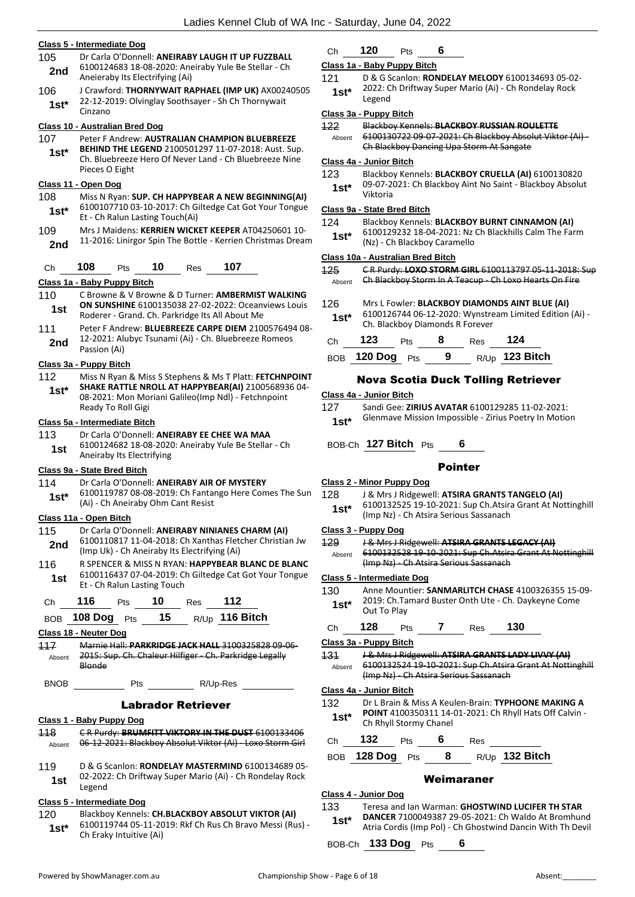|               | Class 5 - Intermediate Dog                                                                                                                                         |                         |
|---------------|--------------------------------------------------------------------------------------------------------------------------------------------------------------------|-------------------------|
| 105           | Dr Carla O'Donnell: ANEIRABY LAUGH IT UP FUZZBALL                                                                                                                  |                         |
| 2nd           | 6100124683 18-08-2020: Aneiraby Yule Be Stellar - Ch<br>Aneieraby Its Electrifying (Ai)                                                                            | $\overline{\mathbf{C}}$ |
| 106           | J Crawford: THORNYWAIT RAPHAEL (IMP UK) AX00240505                                                                                                                 |                         |
| $1st*$        | 22-12-2019: Olvinglay Soothsayer - Sh Ch Thornywait<br>Cinzano                                                                                                     |                         |
|               | Class 10 - Australian Bred Dog                                                                                                                                     | $\overline{\mathbf{r}}$ |
| 107           | Peter F Andrew: AUSTRALIAN CHAMPION BLUEBREEZE                                                                                                                     |                         |
| $1st*$        | BEHIND THE LEGEND 2100501297 11-07-2018: Aust. Sup.<br>Ch. Bluebreeze Hero Of Never Land - Ch Bluebreeze Nine<br>Pieces O Eight                                    | $\overline{\mathbf{c}}$ |
|               | Class 11 - Open Dog                                                                                                                                                |                         |
| 108<br>1st*   | Miss N Ryan: SUP. CH HAPPYBEAR A NEW BEGINNING(AI)<br>6100107710 03-10-2017: Ch Giltedge Cat Got Your Tongue<br>Et - Ch Ralun Lasting Touch(Ai)                    | $\overline{\mathbf{C}}$ |
| 109           | Mrs J Maidens: KERRIEN WICKET KEEPER AT04250601 10-                                                                                                                |                         |
| 2nd           | 11-2016: Linirgor Spin The Bottle - Kerrien Christmas Dream                                                                                                        |                         |
| Сh            | 108<br>10<br>107<br>Pts<br>Res                                                                                                                                     |                         |
|               | Class 1a - Baby Puppy Bitch                                                                                                                                        |                         |
| 110<br>1st    | C Browne & V Browne & D Turner: AMBERMIST WALKING<br><b>ON SUNSHINE 6100135038 27-02-2022: Oceanviews Louis</b><br>Roderer - Grand. Ch. Parkridge Its All About Me |                         |
| 111           | Peter F Andrew: BLUEBREEZE CARPE DIEM 2100576494 08-                                                                                                               |                         |
| 2nd           | 12-2021: Alubyc Tsunami (Ai) - Ch. Bluebreeze Romeos<br>Passion (Ai)                                                                                               |                         |
|               | <u> Class 3a - Puppy Bitch</u>                                                                                                                                     |                         |
| 112           | Miss N Ryan & Miss S Stephens & Ms T Platt: FETCHNPOINT                                                                                                            |                         |
| $1st*$        | SHAKE RATTLE NROLL AT HAPPYBEAR(AI) 2100568936 04-<br>08-2021: Mon Moriani Galileo(Imp Ndl) - Fetchnpoint<br>Ready To Roll Gigi                                    | <u>(</u>                |
|               | Class 5a - Intermediate Bitch                                                                                                                                      |                         |
| 113           | Dr Carla O'Donnell: ANEIRABY EE CHEE WA MAA<br>6100124682 18-08-2020: Aneiraby Yule Be Stellar - Ch                                                                |                         |
| 1st           | Aneiraby Its Electrifying                                                                                                                                          |                         |
|               | Class 9a - State Bred Bitch                                                                                                                                        |                         |
| 114           | Dr Carla O'Donnell: ANEIRABY AIR OF MYSTERY                                                                                                                        | <u>(</u>                |
| $1st*$        | 6100119787 08-08-2019: Ch Fantango Here Comes The Sun<br>(Ai) - Ch Aneiraby Ohm Cant Resist                                                                        |                         |
|               | Class 11a - Open Bitch                                                                                                                                             |                         |
| 115<br>2nd    | Dr Carla O'Donnell: ANEIRABY NINIANES CHARM (AI)<br>6100110817 11-04-2018: Ch Xanthas Fletcher Christian Jw<br>(Imp Uk) - Ch Aneiraby Its Electrifying (Ai)        | <u>(</u>                |
| 116           | R SPENCER & MISS N RYAN: <b>HAPPYBEAR BLANC DE BLANC</b>                                                                                                           |                         |
| 1st           | 6100116437 07-04-2019: Ch Giltedge Cat Got Your Tongue<br>Et - Ch Ralun Lasting Touch                                                                              | C                       |
| Ch            | 116<br>10<br>112<br><b>Pts</b><br>Res                                                                                                                              |                         |
| <b>BOB</b>    | 15 <sub>1</sub><br>R/Up 116 Bitch<br>108 $\log$ Pts                                                                                                                |                         |
|               | Class 18 - Neuter Dog                                                                                                                                              |                         |
| 117<br>Absent | Marnie Hall: PARKRIDGE JACK HALL 3100325828 09-06-<br>2015: Sup. Ch. Chaleur Hilfiger - Ch. Parkridge Legally<br>Blonde                                            | Ω                       |
| <b>BNOB</b>   | R/Up-Res<br>Pts                                                                                                                                                    | Ç                       |
|               | <b>Labrador Retriever</b>                                                                                                                                          |                         |
|               | Class 1 - Baby Puppy Dog                                                                                                                                           |                         |
| 118           | CR Purdy: BRUMFITT VIKTORY IN THE DUST 6100133406                                                                                                                  |                         |
| Absent        | 06-12-2021: Blackboy Absolut Viktor (Ai) - Loxo Storm Girl                                                                                                         |                         |
| 119           | D & G Scanlon: RONDELAY MASTERMIND 6100134689 05-                                                                                                                  |                         |
| 1st           | 02-2022: Ch Driftway Super Mario (Ai) - Ch Rondelay Rock                                                                                                           |                         |
|               | Legend                                                                                                                                                             |                         |

#### **Class 5 - Intermediate Dog**

120 Blackboy Kennels: **CH.BLACKBOY ABSOLUT VIKTOR (AI)** 6100119744 05-11-2019: Rkf Ch Rus Ch Bravo Messi (Rus) - **1st**\* **DIVULLY/44 US-11-20**<br>Ch Eraky Intuitive (Ai)

## Ch **120** Pts **6**

## **Class 1a - Baby Puppy Bitch**

121 D & G Scanlon: **RONDELAY MELODY** 6100134693 05-02- 2022: Ch Driftway Super Mario (Ai) - Ch Rondelay Rock 1st<sup>\*</sup> <sup>2022:</sup>

#### **Class 3a - Puppy Bitch**

122 Blackboy Kennels: **BLACKBOY RUSSIAN ROULETTE** 6100130722 09-07-2021: Ch Blackboy Absolut Viktor (Ai) - Ch Blackboy Dancing Upa Storm At Sangate Absent

#### **Class 4a - Junior Bitch**

123 Blackboy Kennels: **BLACKBOY CRUELLA (AI)** 6100130820 09-07-2021: Ch Blackboy Aint No Saint - Blackboy Absolut Viktoria **1st\***

#### **Class 9a - State Bred Bitch**

124 Blackboy Kennels: **BLACKBOY BURNT CINNAMON (AI)** 6100129232 18-04-2021: Nz Ch Blackhills Calm The Farm 1st\* **DIOULESE 18-04-2021:** NZ<br>(Nz) - Ch Blackboy Caramello

#### **Class 10a - Australian Bred Bitch**

125 C R Purdy: **LOXO STORM GIRL** 6100113797 05-11-2018: Sup Absent **Ch Blackboy Storm In A Teacup** Ch Loxo Hearts On Fire

| 126<br>$1st*$ |         | Ch. Blackboy Diamonds R Forever |   |     | Mrs L Fowler: BLACKBOY DIAMONDS AINT BLUE (AI)<br>6100126744 06-12-2020: Wynstream Limited Edition (Ai) - |  |
|---------------|---------|---------------------------------|---|-----|-----------------------------------------------------------------------------------------------------------|--|
| Сh            | 123     | <b>Pts</b>                      | 8 | Res | 124                                                                                                       |  |
| <b>BOB</b>    | 120 Dog | Pts                             | 9 |     | $R/Up$ 123 Bitch                                                                                          |  |

## Nova Scotia Duck Tolling Retriever

#### **Class 4a - Junior Bitch**

127 Sandi Gee: **ZIRIUS AVATAR** 6100129285 11-02-2021: Glenmave Mission Impossible - Zirius Poetry In Motion **1st\***

## BOB-Ch **127 Bitch** Pts **6**

## Pointer

#### **Class 2 - Minor Puppy Dog**

| 128 | J & Mrs J Ridgewell: ATSIRA GRANTS TANGELO (AI)         |
|-----|---------------------------------------------------------|
|     | $610012252510102021$ , Sun Ch. Ateira Grant, At Notting |

#### 6100132525 19-10-2021: Sup Ch.Atsira Grant At Nottinghill (Imp Nz) - Ch Atsira Serious Sassanach **1st\***

## **Class 3 - Puppy Dog**

|        | J & Mrs J Ridgewell: ATSIRA GRANTS LEGACY (AI)            |
|--------|-----------------------------------------------------------|
| Absent | 6100132528 19 10 2021: Sup Ch.Atsira Grant At Nottinghill |
|        | (Imp Nz) - Ch Atsira Serious Sassanach                    |
|        | Class 5 - Intermediate Dog                                |
| 130    | Anne Mountier: SANMARLITCH CHASE 4100326355 15-09-        |
| $1st*$ | 2019: Ch.Tamard Buster Onth Ute - Ch. Daykeyne Come       |
|        | Out To Play                                               |

## Ch **128** Pts **7** Res **130**

#### **Class 3a - Puppy Bitch**

131 J & Mrs J Ridgewell: **ATSIRA GRANTS LADY LIVVY (AI)** 6100132524 19-10-2021: Sup Ch.Atsira Grant At Nottinghill (Imp Nz) - Ch Atsira Serious Sassanach Absent

### **Class 4a - Junior Bitch**

132 Dr L Brain & Miss A Keulen-Brain: **TYPHOONE MAKING A POINT** 4100350311 14-01-2021: Ch Rhyll Hats Off Calvin - **1st\*** PUINT 4100350311 14-0<br>Ch Rhyll Stormy Chanel

| C <sub>h</sub> | $-$ |  | Kes. |  |
|----------------|-----|--|------|--|
|                |     |  |      |  |

## BOB **128 Dog** Pts **8** R/Up **132 Bitch**

#### Weimaraner

#### **Class 4 - Junior Dog**

## 133 Teresa and Ian Warman: **GHOSTWIND LUCIFER TH STAR**

**DANCER** 7100049387 29-05-2021: Ch Waldo At Bromhund Atria Cordis (Imp Pol) - Ch Ghostwind Dancin With Th Devil **1st\***

BOB-Ch **133 Dog** Pts **6**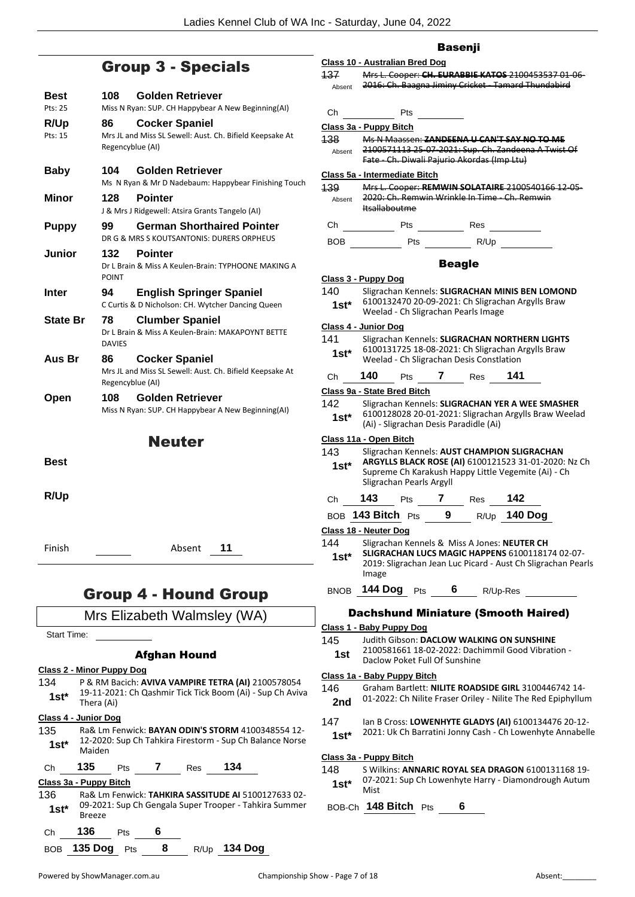# Group 3 - Specials

| Best            | 108                    | <b>Golden Retriever</b>                                                              |
|-----------------|------------------------|--------------------------------------------------------------------------------------|
| Pts: 25         |                        | Miss N Ryan: SUP. CH Happybear A New Beginning(AI)                                   |
| R/Up<br>Pts: 15 | 86                     | <b>Cocker Spaniel</b><br>Mrs JL and Miss SL Sewell: Aust. Ch. Bifield Keepsake At    |
|                 | Regencyblue (AI)       |                                                                                      |
| <b>Baby</b>     | 104                    | Golden Retriever<br>Ms N Ryan & Mr D Nadebaum: Happybear Finishing Touch             |
| Minor           | 128                    | <b>Pointer</b>                                                                       |
|                 |                        | J & Mrs J Ridgewell: Atsira Grants Tangelo (AI)                                      |
| <b>Puppy</b>    | 99                     | <b>German Shorthaired Pointer</b><br>DR G & MRS S KOUTSANTONIS: DURERS ORPHEUS       |
| Junior          | 132<br><b>POINT</b>    | Pointer<br>Dr L Brain & Miss A Keulen-Brain: TYPHOONE MAKING A                       |
| Inter           | 94                     | <b>English Springer Spaniel</b><br>C Curtis & D Nicholson: CH. Wytcher Dancing Queen |
| State Br        | 78<br><b>DAVIES</b>    | <b>Clumber Spaniel</b><br>Dr L Brain & Miss A Keulen-Brain: MAKAPOYNT BETTE          |
| Aus Br          | 86<br>Regencyblue (AI) | <b>Cocker Spaniel</b><br>Mrs JL and Miss SL Sewell: Aust. Ch. Bifield Keepsake At    |
| Open            | 108                    | Golden Retriever                                                                     |
|                 |                        | Miss N Ryan: SUP. CH Happybear A New Beginning(AI)                                   |
|                 |                        | <b>Neuter</b>                                                                        |
| Best            |                        |                                                                                      |
| R/Up            |                        |                                                                                      |
| Finish          |                        | 11<br>Absent                                                                         |
|                 | um a                   | Ылшад<br>Л<br>r=                                                                     |

## Group 4 - Hound Group

## Mrs Elizabeth Walmsley (WA)

Start Time:

## Afghan Hound

- **Class 2 - Minor Puppy Dog** 134 P & RM Bacich: **AVIVA VAMPIRE TETRA (AI)** 2100578054 19-11-2021: Ch Qashmir Tick Tick Boom (Ai) - Sup Ch Aviva **1st**\*  $\frac{19-11-202}{\text{Therea (Ai)}}$
- **Class 4 - Junior Dog**
- 135 Ra& Lm Fenwick: **BAYAN ODIN'S STORM** 4100348554 12- 12-2020: Sup Ch Tahkira Firestorm - Sup Ch Balance Norse Maiden **1st\***

Ch **135** Pts **7** Res **134**

BOB **135 Dog** Pts **8** R/Up **134 Dog**

## **Class 3a - Puppy Bitch**

136 Ra& Lm Fenwick: **TAHKIRA SASSITUDE AI** 5100127633 02- 09-2021: Sup Ch Gengala Super Trooper - Tahkira Summer Breeze **1st\***

## Basenji

|                                |                      |                                                                                               | <b>Basenji</b> |                |          |                                                                                                                 |
|--------------------------------|----------------------|-----------------------------------------------------------------------------------------------|----------------|----------------|----------|-----------------------------------------------------------------------------------------------------------------|
|                                |                      | <b>Class 10 - Australian Bred Dog</b>                                                         |                |                |          |                                                                                                                 |
| 137<br>Absent                  |                      |                                                                                               |                |                |          | Mrs L. Cooper: CH. EURABBIE KATOS 2100453537 01-06-<br>2016: Ch. Baagna Jiminy Cricket - Tamard Thundabird      |
| Сh                             |                      | Pts                                                                                           |                |                |          |                                                                                                                 |
| Class 3a - Puppy Bitch         |                      |                                                                                               |                |                |          |                                                                                                                 |
| 138                            |                      | Ms N Maassen: ZANDEENA U CAN'T SAY NO TO ME                                                   |                |                |          |                                                                                                                 |
| Absent                         |                      | Fate - Ch. Diwali Pajurio Akordas (Imp Ltu)                                                   |                |                |          | 2100571113 25 07 2021: Sup. Ch. Zandeena A Twist Of                                                             |
|                                |                      | Class 5a - Intermediate Bitch                                                                 |                |                |          |                                                                                                                 |
| 139                            |                      |                                                                                               |                |                |          | Mrs L. Cooper: REMWIN SOLATAIRE 2100540166 12-05-                                                               |
| Absent                         | <b>Itsallaboutme</b> | 2020: Ch. Remwin Wrinkle In Time Ch. Remwin                                                   |                |                |          |                                                                                                                 |
| Сh                             |                      | Pts                                                                                           |                | Res            |          |                                                                                                                 |
| BOB                            |                      |                                                                                               |                | Pts R/Up       |          |                                                                                                                 |
|                                |                      |                                                                                               | <b>Beagle</b>  |                |          |                                                                                                                 |
| Class 3 - Puppy Dog            |                      |                                                                                               |                |                |          |                                                                                                                 |
| 140                            |                      |                                                                                               |                |                |          | Sligrachan Kennels: SLIGRACHAN MINIS BEN LOMOND                                                                 |
| 1st*                           |                      | 6100132470 20-09-2021: Ch Sligrachan Argylls Braw<br>Weelad - Ch Sligrachan Pearls Image      |                |                |          |                                                                                                                 |
| Class 4 - Junior Dog           |                      |                                                                                               |                |                |          |                                                                                                                 |
| 141                            |                      |                                                                                               |                |                |          | Sligrachan Kennels: SLIGRACHAN NORTHERN LIGHTS                                                                  |
| 1st*                           |                      | 6100131725 18-08-2021: Ch Sligrachan Argylls Braw<br>Weelad - Ch Sligrachan Desis Constlation |                |                |          |                                                                                                                 |
| Ch                             | - 140                | <b>Pts</b>                                                                                    |                | 7 Res 141      |          |                                                                                                                 |
|                                |                      | Class 9a - State Bred Bitch                                                                   |                |                |          |                                                                                                                 |
| 142                            |                      |                                                                                               |                |                |          | Sligrachan Kennels: SLIGRACHAN YER A WEE SMASHER<br>6100128028 20-01-2021: Sligrachan Argylls Braw Weelad       |
| 1st*                           |                      | (Ai) - Sligrachan Desis Paradidle (Ai)                                                        |                |                |          |                                                                                                                 |
| Class 11a - Open Bitch         |                      |                                                                                               |                |                |          |                                                                                                                 |
| 143<br>1st*                    |                      | Sligrachan Kennels: AUST CHAMPION SLIGRACHAN<br>Sligrachan Pearls Argyll                      |                |                |          | ARGYLLS BLACK ROSE (AI) 6100121523 31-01-2020: Nz Ch<br>Supreme Ch Karakush Happy Little Vegemite (Ai) - Ch     |
| Сh                             | 143                  | <b>Pts</b>                                                                                    | 7              | <b>Res</b>     | 142      |                                                                                                                 |
|                                | BOB 143 Bitch Pts    |                                                                                               |                | 9 R/Up 140 Dog |          |                                                                                                                 |
| Class 18 - Neuter Dog          |                      |                                                                                               |                |                |          |                                                                                                                 |
| 144                            |                      | Sligrachan Kennels & Miss A Jones: NEUTER CH                                                  |                |                |          |                                                                                                                 |
| $1st^*$                        | Image                |                                                                                               |                |                |          | SLIGRACHAN LUCS MAGIC HAPPENS 6100118174 02-07-<br>2019: Sligrachan Jean Luc Picard - Aust Ch Sligrachan Pearls |
| <b>BNOB</b>                    |                      | 144 Dog Pts                                                                                   | 6.             |                | R/Up-Res |                                                                                                                 |
|                                |                      |                                                                                               |                |                |          | <b>Dachshund Miniature (Smooth Haired)</b>                                                                      |
|                                |                      | Class 1 - Baby Puppy Dog                                                                      |                |                |          |                                                                                                                 |
| 145                            |                      | Judith Gibson: DACLOW WALKING ON SUNSHINE                                                     |                |                |          |                                                                                                                 |
| 1st                            |                      | Daclow Poket Full Of Sunshine                                                                 |                |                |          | 2100581661 18-02-2022: Dachimmil Good Vibration -                                                               |
|                                |                      | Class 1a - Baby Puppy Bitch                                                                   |                |                |          |                                                                                                                 |
| 146                            |                      |                                                                                               |                |                |          | Graham Bartlett: NILITE ROADSIDE GIRL 3100446742 14-                                                            |
| 2nd                            |                      |                                                                                               |                |                |          | 01-2022: Ch Nilite Fraser Oriley - Nilite The Red Epiphyllum                                                    |
| 147                            |                      |                                                                                               |                |                |          | Ian B Cross: LOWENHYTE GLADYS (AI) 6100134476 20-12-                                                            |
| 1st*                           |                      |                                                                                               |                |                |          | 2021: Uk Ch Barratini Jonny Cash - Ch Lowenhyte Annabelle                                                       |
| <u> Class 3a - Puppy Bitch</u> |                      |                                                                                               |                |                |          |                                                                                                                 |
| 148                            |                      |                                                                                               |                |                |          | S Wilkins: ANNARIC ROYAL SEA DRAGON 6100131168 19-                                                              |
|                                |                      |                                                                                               |                |                |          | $07-2021$ ; Sun Ch Lowenhyte Harry - Diamondrough Autum                                                         |

Ch Lowenhyte Harry - Diamondrough Autum Mist **1st\***

BOB-Ch **148 Bitch** Pts **6**

Ch **136** Pts **6**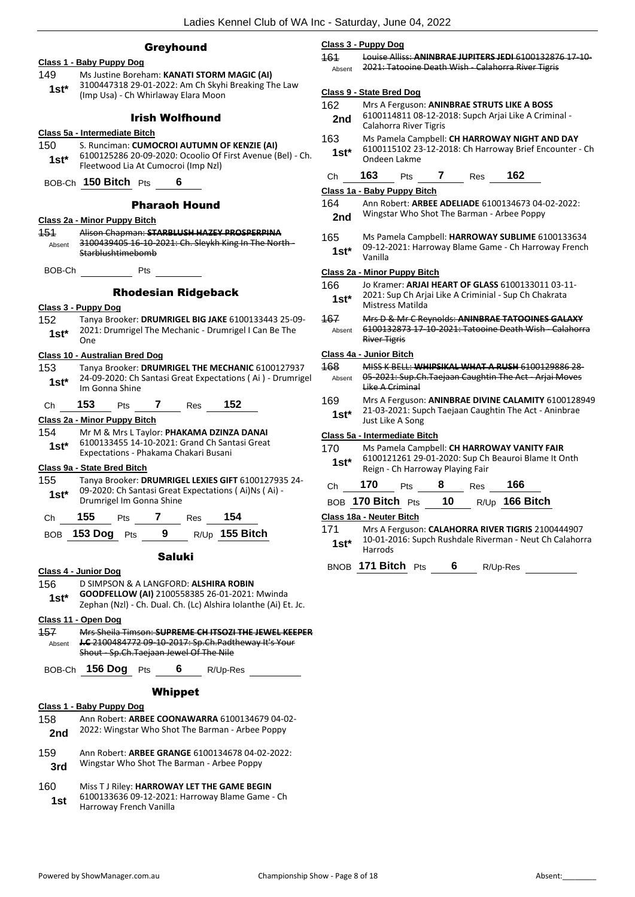#### Greyhound

|                | Class 1 - Baby Puppy Dog                                                                                         |
|----------------|------------------------------------------------------------------------------------------------------------------|
| 149            | Ms Justine Boreham: KANATI STORM MAGIC (AI)                                                                      |
| $1st*$         | 3100447318 29-01-2022: Am Ch Skyhi Breaking The Law                                                              |
|                | (Imp Usa) - Ch Whirlaway Elara Moon                                                                              |
|                | <b>Irish Wolfhound</b>                                                                                           |
|                | Class 5a - Intermediate Bitch                                                                                    |
| 150            | S. Runciman: CUMOCROI AUTUMN OF KENZIE (AI)                                                                      |
| $1st*$         | 6100125286 20-09-2020: Ocoolio Of First Avenue (Bel) - Ch.<br>Fleetwood Lia At Cumocroi (Imp Nzl)                |
|                | BOB-Ch 150 Bitch Pts<br>6                                                                                        |
|                | <b>Pharaoh Hound</b>                                                                                             |
|                | Class 2a - Minor Puppy Bitch                                                                                     |
| <u> 151 - </u> | Alison Chapman: STARBLUSH HAZEY PROSPERPINA                                                                      |
| Absent         | 3100439405 16-10-2021: Ch. Sleykh King In The North-                                                             |
|                | Starblushtimebomb                                                                                                |
| BOB-Ch         | Pts                                                                                                              |
|                | <b>Rhodesian Ridgeback</b>                                                                                       |
|                | Class 3 - Puppy Dog                                                                                              |
| 152            | Tanya Brooker: DRUMRIGEL BIG JAKE 6100133443 25-09-                                                              |
| $1st^*$        | 2021: Drumrigel The Mechanic - Drumrigel I Can Be The<br>One                                                     |
|                | <b>Class 10 - Australian Bred Dog</b>                                                                            |
| 153            | Tanya Brooker: DRUMRIGEL THE MECHANIC 6100127937                                                                 |
| 1st*           | 24-09-2020: Ch Santasi Great Expectations (Ai) - Drumrigel<br>Im Gonna Shine                                     |
| Ch             | 153<br>Pts 7 Res 152                                                                                             |
|                | Class 2a - Minor Puppy Bitch                                                                                     |
| 154            | Mr M & Mrs L Taylor: PHAKAMA DZINZA DANAI                                                                        |
| $1st^*$        | 6100133455 14-10-2021: Grand Ch Santasi Great<br>Expectations - Phakama Chakari Busani                           |
|                | Class 9a - State Bred Bitch                                                                                      |
| 155            | Tanya Brooker: DRUMRIGEL LEXIES GIFT 6100127935 24-                                                              |
| $1st^*$        | 09-2020: Ch Santasi Great Expectations (Ai)Ns (Ai) -<br>Drumrigel Im Gonna Shine                                 |
| Ch             | 154<br>155<br>7 Res<br>Pts                                                                                       |
| <b>BOB</b>     | 153 Dog Pts 9 R/Up 155 Bitch                                                                                     |
|                | <b>Saluki</b>                                                                                                    |
|                | Class 4 - Junior Dog                                                                                             |
| 156            | D SIMPSON & A LANGFORD: ALSHIRA ROBIN                                                                            |
| 1st*           | GOODFELLOW (AI) 2100558385 26-01-2021: Mwinda<br>Zephan (Nzl) - Ch. Dual. Ch. (Lc) Alshira Iolanthe (Ai) Et. Jc. |
|                | Class 11 - Open Dog                                                                                              |
| 157            | Mrs Sheila Timson: SUPREME CH ITSOZI THE JEWEL KEEPER                                                            |
| Absent         | <b>J.C</b> 2100484772 09-10-2017: Sp.Ch.Padtheway It's Your<br>Shout - Sp.Ch.Taejaan Jewel Of The Nile           |
|                | BOB-Ch 156 Dog Pts 6 R/Up-Res                                                                                    |
|                | <b>Whippet</b>                                                                                                   |
|                | Class 1 - Baby Puppy Dog                                                                                         |
| 158            | Ann Robert: ARBEE COONAWARRA 6100134679 04-02-                                                                   |
| 2nd            | 2022: Wingstar Who Shot The Barman - Arbee Poppy                                                                 |
| 159            | Ann Robert: ARBEE GRANGE 6100134678 04-02-2022:                                                                  |
| 3rd            | Wingstar Who Shot The Barman - Arbee Poppy                                                                       |
| 160            | Miss T J Riley: HARROWAY LET THE GAME BEGIN<br>$610013363609 - 12 - 2021$ ; Harroway Blame Game - Ch             |

**Class 3 - Puppy Dog**

161 Louise Alliss: **ANINBRAE JUPITERS JEDI** 6100132876 17-10- Absent 2021: Tatooine Death Wish - Calahorra River Tigris

#### **Class 9 - State Bred Dog**

- 162 Mrs A Ferguson: **ANINBRAE STRUTS LIKE A BOSS**
- 6100114811 08-12-2018: Supch Arjai Like A Criminal 2nd **bluull4811 un-14-40**<br>Calahorra River Tigris
- 163 Ms Pamela Campbell: **CH HARROWAY NIGHT AND DAY** 6100115102 23-12-2018: Ch Harroway Brief Encounter - Ch **1st**\* **b100115102** 23<br>Ondeen Lakme

## Ch **163** Pts **7** Res **162**

#### **Class 1a - Baby Puppy Bitch**

164 Ann Robert: **ARBEE ADELIADE** 6100134673 04-02-2022: Wingstar Who Shot The Barman - Arbee Poppy **2nd**

- 165 Ms Pamela Campbell: **HARROWAY SUBLIME** 6100133634
- 09-12-2021: Harroway Blame Game Ch Harroway French Vanilla **1st\***

#### **Class 2a - Minor Puppy Bitch**

| 166    | Jo Kramer: ARJAI HEART OF GLASS 6100133011 03-11-     |
|--------|-------------------------------------------------------|
| $1st*$ | 2021: Sup Ch Arjai Like A Criminial - Sup Ch Chakrata |
|        | Mistress Matilda                                      |

167 Mrs D & Mr C Reynolds: **ANINBRAE TATOOINES GALAXY** 6100132873 17-10-2021: Tatooine Death Wish - Calahorra River Tigris Absent

#### **Class 4a - Junior Bitch**

- 168 MISS K BELL: **WHIPSIKAL WHAT A RUSH** 6100129886 28- 05-2021: Sup.Ch.Taejaan Caughtin The Act - Arjai Moves Like A Criminal Absent
- 169 Mrs A Ferguson: **ANINBRAE DIVINE CALAMITY** 6100128949 21-03-2021: Supch Taejaan Caughtin The Act - Aninbrae **1st**\* <sup>21-03-2021: Sup<br>Just Like A Song</sup>

#### **Class 5a - Intermediate Bitch**

- 170 Ms Pamela Campbell: **CH HARROWAY VANITY FAIR**
- 6100121261 29-01-2020: Sup Ch Beauroi Blame It Onth **1st**\* b100121261 29-01-2020: Sup Ch Harroway Playing Fair

| Ch | 170                         | <b>Pts</b> | - 8 | Res | 166                   |
|----|-----------------------------|------------|-----|-----|-----------------------|
|    | BOB $170$ Bitch $P$ ts $10$ |            |     |     | R/Up <b>166 Bitch</b> |

## **Class 18a - Neuter Bitch**

- 
- 171 Mrs A Ferguson: **CALAHORRA RIVER TIGRIS** 2100444907 10-01-2016: Supch Rushdale Riverman - Neut Ch Calahorra Harrods **1st\***

BNOB **171 Bitch** Pts **6** R/Up-Res

arroway Blame Game - C Harroway French Vanilla **1st**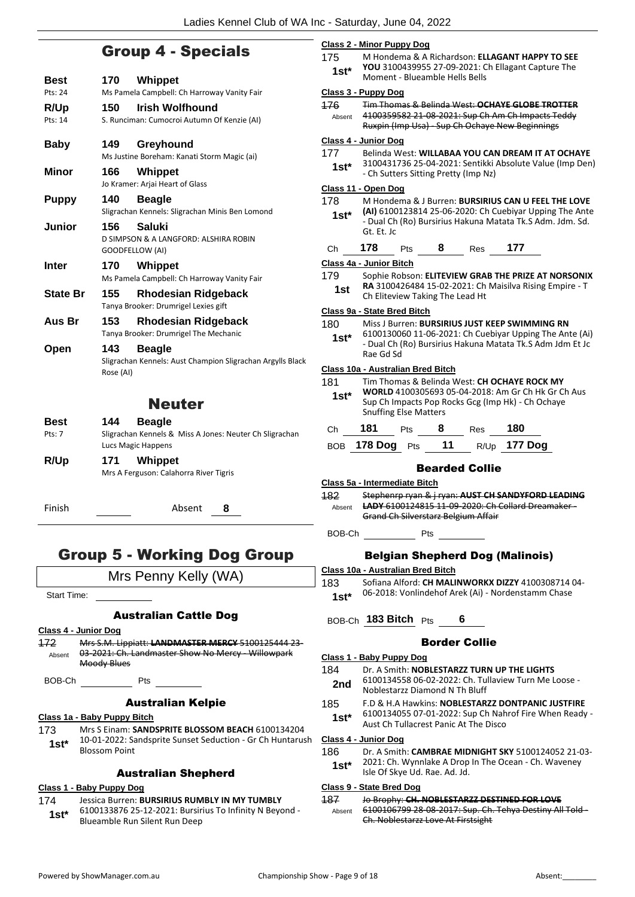## Group 4 - Specials

| Best            | 170              | Whippet                                                                                        |
|-----------------|------------------|------------------------------------------------------------------------------------------------|
| Pts: 24         |                  | Ms Pamela Campbell: Ch Harroway Vanity Fair                                                    |
| <b>R/Up</b>     | 150              | <b>Irish Wolfhound</b>                                                                         |
| Pts: 14         |                  | S. Runciman: Cumocroi Autumn Of Kenzie (AI)                                                    |
| <b>Baby</b>     | 149              | Greyhound<br>Ms Justine Boreham: Kanati Storm Magic (ai)                                       |
| Minor           | 166              | Whippet<br>Jo Kramer: Arjai Heart of Glass                                                     |
| <b>Puppy</b>    | 140              | <b>Beagle</b><br>Sligrachan Kennels: Sligrachan Minis Ben Lomond                               |
| Junior          | 156              | Saluki<br>D SIMPSON & A LANGFORD: ALSHIRA ROBIN<br>GOODFELLOW (AI)                             |
| Inter           | 170              | Whippet<br>Ms Pamela Campbell: Ch Harroway Vanity Fair                                         |
| <b>State Br</b> | 155              | Rhodesian Ridgeback<br>Tanya Brooker: Drumrigel Lexies gift                                    |
| Aus Br          | 153              | <b>Rhodesian Ridgeback</b><br>Tanya Brooker: Drumrigel The Mechanic                            |
| Open            | 143<br>Rose (AI) | <b>Beagle</b><br>Sligrachan Kennels: Aust Champion Sligrachan Argylls Black                    |
|                 |                  | <b>Neuter</b>                                                                                  |
| Best<br>Pts: 7  | 144              | <b>Beagle</b><br>Sligrachan Kennels & Miss A Jones: Neuter Ch Sligrachan<br>Lucs Magic Happens |
| R/Up            | 171              | Whippet<br>Mrs A Ferguson: Calahorra River Tigris                                              |
| Finish          |                  | Absent<br>8                                                                                    |

## Group 5 - Working Dog Group

|                  | Mrs Penny Kelly (WA)                                                                                                                          |
|------------------|-----------------------------------------------------------------------------------------------------------------------------------------------|
| Start Time:      |                                                                                                                                               |
|                  | Australian Cattle Dog                                                                                                                         |
|                  | Class 4 - Junior Dog                                                                                                                          |
| 172<br>Absent    | Mrs S.M. Lippiatt: LANDMASTER MERCY 5100125444 23-<br>03-2021: Ch. Landmaster Show No Mercy - Willowpark<br>Moody Blues                       |
| BOB-Ch           | Pts $\qquad \qquad$                                                                                                                           |
|                  | Australian Kelpie                                                                                                                             |
|                  | Class 1a - Baby Puppy Bitch                                                                                                                   |
| 173 —<br>$1st^*$ | Mrs S Einam: SANDSPRITE BLOSSOM BEACH 6100134204<br>10-01-2022: Sandsprite Sunset Seduction - Gr Ch Huntarush<br><b>Blossom Point</b>         |
|                  | <b>Australian Shepherd</b>                                                                                                                    |
|                  | Class 1 - Baby Puppy Dog                                                                                                                      |
| 1st*             | 174 Jessica Burren: BURSIRIUS RUMBLY IN MY TUMBLY<br>6100133876 25-12-2021: Bursirius To Infinity N Beyond -<br>Blueamble Run Silent Run Deep |
|                  |                                                                                                                                               |

#### **Class 2 - Minor Puppy Dog** 175 M Hondema & A Richardson: **ELLAGANT HAPPY TO SEE YOU** 3100439955 27-09-2021: Ch Ellagant Capture The 1st\* TOO 31004399999 27-09-2021. C<br>Moment - Blueamble Hells Bells **Class 3 - Puppy Dog** 176 Tim Thomas & Belinda West: **OCHAYE GLOBE TROTTER** 4100359582 21-08-2021: Sup Ch Am Ch Impacts Teddy Ruxpin (Imp Usa) - Sup Ch Ochaye New Beginnings Absent **Class 4 - Junior Dog**

### 177 Belinda West: **WILLABAA YOU CAN DREAM IT AT OCHAYE** 3100431736 25-04-2021: Sentikki Absolute Value (Imp Den) 1st\* 3100431736 25-04-2021: Sentikki<br>Ch Sutters Sitting Pretty (Imp Nz) **Class 11 - Open Dog** 178 M Hondema & J Burren: **BURSIRIUS CAN U FEEL THE LOVE (AI)** 6100123814 25-06-2020: Ch Cuebiyar Upping The Ante - Dual Ch (Ro) Bursirius Hakuna Matata Tk.S Adm. Jdm. Sd. Gt. Et. Jc **1st\*** Ch **178** Pts **8** Res **177 Class 4a - Junior Bitch** 179 Sophie Robson: **ELITEVIEW GRAB THE PRIZE AT NORSONIX RA** 3100426484 15-02-2021: Ch Maisilva Rising Empire - T **1st RA 3100426484 15-02-2021: Ch**<br>Ch Eliteview Taking The Lead Ht **Class 9a - State Bred Bitch** 180 Miss J Burren: **BURSIRIUS JUST KEEP SWIMMING RN** 6100130060 11-06-2021: Ch Cuebiyar Upping The Ante (Ai) - Dual Ch (Ro) Bursirius Hakuna Matata Tk.S Adm Jdm Et Jc Rae Gd Sd **1st\* Class 10a - Australian Bred Bitch** 181 Tim Thomas & Belinda West: **CH OCHAYE ROCK MY WORLD** 4100305693 05-04-2018: Am Gr Ch Hk Gr Ch Aus Sup Ch Impacts Pop Rocks Gcg (Imp Hk) - Ch Ochaye Snuffing Else Matters **1st\*** Ch **181** Pts **8** Res **180** BOB **178 Dog** Pts **11** R/Up **177 Dog** Bearded Collie **Class 5a - Intermediate Bitch**

182 Stephenrp ryan & j ryan: **AUST CH SANDYFORD LEADING LADY** 6100124815 11-09-2020: Ch Collard Dreamaker - Grand Ch Silverstarz Belgium Affair Absent

BOB-Ch Pts

## Belgian Shepherd Dog (Malinois)

- **Class 10a - Australian Bred Bitch**
- 183 Sofiana Alford: **CH MALINWORKX DIZZY** 4100308714 04- 06-2018: Vonlindehof Arek (Ai) - Nordenstamm Chase **1st\***

### BOB-Ch **183 Bitch** Pts **6**

#### Border Collie

#### **Class 1 - Baby Puppy Dog**

- 184 Dr. A Smith: **NOBLESTARZZ TURN UP THE LIGHTS** 6100134558 06-02-2022: Ch. Tullaview Turn Me Loose - **2nd** 6100134558 06-02-2022: Ch. Tu<br>Noblestarzz Diamond N Th Bluff
- 185 F.D & H.A Hawkins: **NOBLESTARZZ DONTPANIC JUSTFIRE**
	- 6100134055 07-01-2022: Sup Ch Nahrof Fire When Ready **1st** 6100134055 07-01-2022: Sup Ch Nah<br>Aust Ch Tullacrest Panic At The Disco

#### **Class 4 - Junior Dog**

186 Dr. A Smith: **CAMBRAE MIDNIGHT SKY** 5100124052 21-03- 2021: Ch. Wynnlake A Drop In The Ocean - Ch. Waveney **1st**\* 2021: Ch. Wynniake A Drop<br>Isle Of Skye Ud. Rae. Ad. Jd.

#### **Class 9 - State Bred Dog**

187 Jo Brophy: **CH. NOBLESTARZZ DESTINED FOR LOVE** 6100106799 28-08-2017: Sup. Ch. Tehya Destiny All Told - Ch. Noblestarzz Love At Firstsight Absent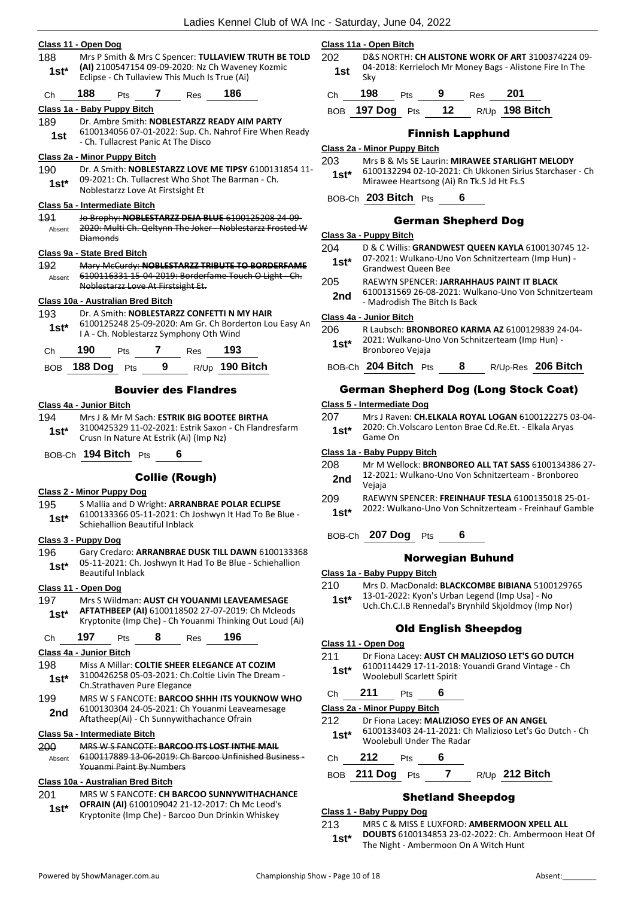|               | Class 11 - Open Dog                                                                                             |            | Class 11a - Open Bitch                                                     |
|---------------|-----------------------------------------------------------------------------------------------------------------|------------|----------------------------------------------------------------------------|
| 188           | Mrs P Smith & Mrs C Spencer: TULLAVIEW TRUTH BE TOLD                                                            | 202        | <b>D&amp;S NORTH:</b>                                                      |
| $1st*$        | (AI) 2100547154 09-09-2020: Nz Ch Waveney Kozmic<br>Eclipse - Ch Tullaview This Much Is True (Ai)               | 1st        | 04-2018: Ker<br>Sky                                                        |
| Ch            | 188<br>7<br>186<br>Pts<br>Res                                                                                   | Ch         | 198<br>Pts                                                                 |
|               | Class 1a - Baby Puppy Bitch                                                                                     | <b>BOB</b> | <b>197 Dog</b><br>P                                                        |
| 189           | Dr. Ambre Smith: NOBLESTARZZ READY AIM PARTY                                                                    |            |                                                                            |
| 1st           | 6100134056 07-01-2022: Sup. Ch. Nahrof Fire When Ready<br>- Ch. Tullacrest Panic At The Disco                   |            | F                                                                          |
|               | Class 2a - Minor Puppy Bitch                                                                                    |            | Class 2a - Minor Puppy                                                     |
| 190           | Dr. A Smith: NOBLESTARZZ LOVE ME TIPSY 6100131854 11-                                                           | 203        | Mrs B & Ms S<br>6100132294                                                 |
| $1st^*$       | 09-2021: Ch. Tullacrest Who Shot The Barman - Ch.                                                               | $1st^*$    | Mirawee Hea                                                                |
|               | Noblestarzz Love At Firstsight Et                                                                               |            | BOB-Ch 203 Bitch                                                           |
|               | Class 5a - Intermediate Bitch                                                                                   |            |                                                                            |
| <b>191</b>    | Jo Brophy: NOBLESTARZZ DEJA BLUE 6100125208 24 09-<br>2020: Multi Ch. Qeltynn The Joker - Noblestarzz Frosted W |            | Ger                                                                        |
| Absent        | <b>Diamonds</b>                                                                                                 |            | Class 3a - Puppy Bitch                                                     |
|               | Class 9a - State Bred Bitch                                                                                     | 204        | D & C Willis:                                                              |
| 192           | Mary McCurdy: NOBLESTARZZ TRIBUTE TO BORDERFAME                                                                 | $1st^*$    | 07-2021: Wu<br>Grandwest Q                                                 |
| Absent        | 6100116331 15-04-2019: Borderfame Touch O Light - Ch.                                                           | 205        | <b>RAEWYN SPE</b>                                                          |
|               | Noblestarzz Love At Firstsight Et.                                                                              | 2nd        | 6100131569                                                                 |
|               | Class 10a - Australian Bred Bitch                                                                               |            | - Madrodish <sup>-</sup>                                                   |
| 193           | Dr. A Smith: NOBLESTARZZ CONFETTI N MY HAIR                                                                     |            | Class 4a - Junior Bitch                                                    |
| $1st^*$       | 6100125248 25-09-2020: Am Gr. Ch Borderton Lou Easy An<br>I A - Ch. Noblestarzz Symphony Oth Wind               | 206        | R Laubsch: BI                                                              |
| Ch            | 190<br>7 Res<br>193<br>Pts                                                                                      | 1st*       | 2021: Wulkaı<br>Bronboreo V                                                |
|               | 9<br>R/Up 190 Bitch                                                                                             |            | BOB-Ch 204 Bitch                                                           |
| <b>BOB</b>    | 188 Dog Pts                                                                                                     |            |                                                                            |
|               | <b>Bouvier des Flandres</b>                                                                                     |            | <b>German Shep</b>                                                         |
|               | Class 4a - Junior Bitch                                                                                         |            | Class 5 - Intermediate                                                     |
| 194           | Mrs J & Mr M Sach: ESTRIK BIG BOOTEE BIRTHA<br>3100425329 11-02-2021: Estrik Saxon - Ch Flandresfarm            | 207        | Mrs J Raven:<br>2020: Ch.Vol:                                              |
| $1st^*$       | Crusn In Nature At Estrik (Ai) (Imp Nz)                                                                         | $1st*$     | Game On                                                                    |
|               | BOB-Ch 194 Bitch Pts                                                                                            |            | Class 1a - Baby Puppy                                                      |
|               | 6                                                                                                               | 208        | Mr M Welloc                                                                |
|               | <b>Collie (Rough)</b>                                                                                           | 2nd        | 12-2021: Wu                                                                |
|               | <b>Class 2 - Minor Puppy Dog</b>                                                                                |            | Vejaja                                                                     |
| 195           | S Mallia and D Wright: ARRANBRAE POLAR ECLIPSE                                                                  | 209        | <b>RAEWYN SPE</b><br>2022: Wulkaı                                          |
| $1st*$        | 6100133366 05-11-2021: Ch Joshwyn It Had To Be Blue -                                                           | $1st*$     |                                                                            |
|               | Schiehallion Beautiful Inblack                                                                                  |            | BOB-Ch 207 Dog                                                             |
|               | Class 3 - Puppy Dog                                                                                             |            |                                                                            |
| 196           | Gary Credaro: ARRANBRAE DUSK TILL DAWN 6100133368<br>05-11-2021: Ch. Joshwyn It Had To Be Blue - Schiehallion   |            | N                                                                          |
|               |                                                                                                                 |            |                                                                            |
| $1st*$        | <b>Beautiful Inblack</b>                                                                                        |            |                                                                            |
|               |                                                                                                                 | 210        |                                                                            |
|               | Class 11 - Open Dog<br>Mrs S Wildman: AUST CH YOUANMI LEAVEAMESAGE                                              | 1st*       |                                                                            |
| $1st^*$       | AFTATHBEEP (AI) 6100118502 27-07-2019: Ch Mcleods                                                               |            |                                                                            |
|               | Kryptonite (Imp Che) - Ch Youanmi Thinking Out Loud (Ai)                                                        |            |                                                                            |
| 197<br>Ch     | 197<br>196<br>8 - 10<br>Pts<br>Res                                                                              |            | Class 1a - Baby Puppy<br>Mrs D. MacD<br>13-01-2022:<br>Uch.Ch.C.I.B<br>Old |
|               | Class 4a - Junior Bitch                                                                                         | 211        | Class 11 - Open Dog<br>Dr Fiona Lace                                       |
|               | Miss A Millar: COLTIE SHEER ELEGANCE AT COZIM                                                                   |            | 6100114429                                                                 |
| 198<br>$1st*$ | 3100426258 05-03-2021: Ch.Coltie Livin The Dream -<br>Ch.Strathaven Pure Elegance                               | $1st*$     | Woolebull Sc                                                               |

199 MRS W S FANCOTE: **BARCOO SHHH ITS YOUKNOW WHO** 6100130304 24-05-2021: Ch Youanmi Leaveamesage Aftatheep(Ai) - Ch Sunnywithachance Ofrain **2nd**

#### **Class 5a - Intermediate Bitch**

| 200    | MRS W S FANCOTE: BARCOO ITS LOST INTHE MAIL          |
|--------|------------------------------------------------------|
| Ahsent | 6100117889 13 06 2019: Ch Barcoo Unfinished Business |
|        | Youanmi Paint By Numbers                             |

#### **Class 10a - Australian Bred Bitch**

201 MRS W S FANCOTE: **CH BARCOO SUNNYWITHACHANCE OFRAIN (AI)** 6100109042 21-12-2017: Ch Mc Leod's **1st\* UFRAIN (AI)** 6100109042 21-12-2017: Ch Mc Leod's<br>Kryptonite (Imp Che) - Barcoo Dun Drinkin Whiskey

#### **Class 11a - Open Bitch**

**CH ALISTONE WORK OF ART** 3100374224 09rrieloch Mr Money Bags - Alistone Fire In The

| ch <b>198</b> | <b>Pts</b> | - 9 | $\mathsf{Res}$ 201 |                                   |
|---------------|------------|-----|--------------------|-----------------------------------|
|               |            |     |                    | BOB 197 Dog Pts 12 R/Up 198 Bitch |

## Finnish Lapphund

#### **Class 2a - Minor Puppy Bitch**

- **25 Laurin: MIRAWEE STARLIGHT MELODY**
- 6100132294 02-10-2021: Ch Ukkonen Sirius Starchaser Ch artsong (Ai) Rn Tk.S Jd Ht Fs.S

## BOB-Ch **203 Bitch** Pts **6**

#### rman Shepherd Dog

| 204 | D & C Willis: GRANDWEST QUEEN KAYLA 6100130745 12- |
|-----|----------------------------------------------------|
|     |                                                    |

- ulkano-Uno Von Schnitzerteam (Imp Hun) -Grandwest Queen Bee **1st\***
- **ENCER: JARRAHHAUS PAINT IT BLACK**
- 26-08-2021: Wulkano-Uno Von Schnitzerteam The Bitch Is Back

#### **Class 4a - Junior Bitch**

206 R Laubsch: **BRONBOREO KARMA AZ** 6100129839 24-04 ano-Uno Von Schnitzerteam (Imp Hun) -1st\* <sup>2021:</sup> Wulkano-U<br>Bronboreo Vejaja

## BOB-Ch **204 Bitch** Pts **8** R/Up-Res **206 Bitch**

## pherd Dog (Long Stock Coat)

#### **Class 5 - Intermediate Dog**

- 207 Mrs J Raven: **CH.ELKALA ROYAL LOGAN** 6100122275 03-04- Iscaro Lenton Brae Cd.Re.Et. - Elkala Aryas
- 

### **Class 1a - Baby Puppy Bitch**

- ck: **BRONBOREO ALL TAT SASS** 6100134386 27ulkano-Uno Von Schnitzerteam - Bronboreo
- 209 RAEWYN SPENCER: **FREINHAUF TESLA** 6100135018 25-01-
- 2022: Wulkano-Uno Von Schnitzerteam Freinhauf Gamble **1st\***

## Pts 6

## lorwegian <mark>Buhun</mark>d

- **Class 1a - Baby Puppy Bitch**
- 20 Donald: **BLACKCOMBE BIBIANA** 5100129765
- Kyon's Urban Legend (Imp Usa) No Rennedal's Brynhild Skjoldmoy (Imp Nor)
	-

## d English Sheepdog

**2211 Br Fionalizioso LET'S GO DUTCH** 

17-11-2018: Youandi Grand Vintage - Ch carlett Spirit

## Ch **211** Pts **6**

#### **Class 2a - Minor Puppy Bitch**

- 212 Dr Fiona Lacey: **MALIZIOSO EYES OF AN ANGEL**
- 6100133403 24-11-2021: Ch Malizioso Let's Go Dutch Ch Woolebull Under The Radar **1st\***

## Ch **212** Pts **6**

BOB **211 Dog** Pts **7** R/Up **212 Bitch**

## Shetland Sheepdog

#### **Class 1 - Baby Puppy Dog**

213 MRS C & MISS E LUXFORD: **AMBERMOON XPELL ALL DOUBTS** 6100134853 23-02-2022: Ch. Ambermoon Heat Of **1st\*** DOUBIS 6100134853 23-02-2022: Ch. Am<br>The Night - Ambermoon On A Witch Hunt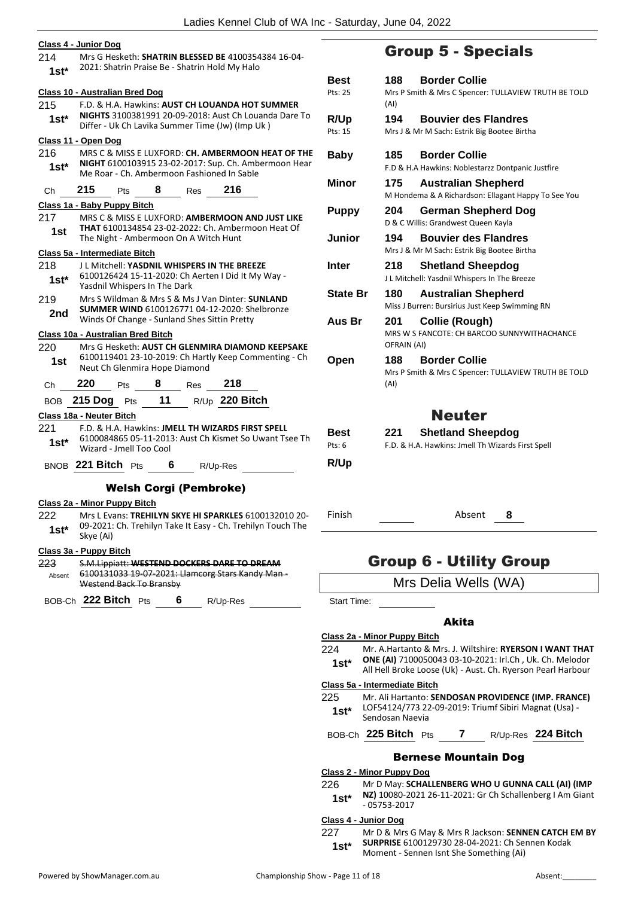|                | Ladies Kennel Club of WA Inc -                                                                                                                              |          |
|----------------|-------------------------------------------------------------------------------------------------------------------------------------------------------------|----------|
|                | Class 4 - Junior Dog                                                                                                                                        |          |
| 214<br>$1st*$  | Mrs G Hesketh: SHATRIN BLESSED BE 4100354384 16-04-<br>2021: Shatrin Praise Be - Shatrin Hold My Halo                                                       |          |
|                | <b>Class 10 - Australian Bred Dog</b>                                                                                                                       | F        |
| 215<br>$1st^*$ | F.D. & H.A. Hawkins: AUST CH LOUANDA HOT SUMMER<br>NIGHTS 3100381991 20-09-2018: Aust Ch Louanda Dare To<br>Differ - Uk Ch Lavika Summer Time (Jw) (Imp Uk) | F        |
|                | Class 11 - Open Dog                                                                                                                                         |          |
| 216<br>$1st^*$ | MRS C & MISS E LUXFORD: CH. AMBERMOON HEAT OF THE<br>NIGHT 6100103915 23-02-2017: Sup. Ch. Ambermoon Hear<br>Me Roar - Ch. Ambermoon Fashioned In Sable     |          |
| Ch             | 215<br>8<br>216<br><b>Pts</b><br>Res                                                                                                                        | ľ        |
|                | Class 1a - Baby Puppy Bitch                                                                                                                                 |          |
| 217<br>1st     | MRS C & MISS E LUXFORD: AMBERMOON AND JUST LIKE<br><b>THAT 6100134854 23-02-2022: Ch. Ambermoon Heat Of</b><br>The Night - Ambermoon On A Witch Hunt        |          |
|                | Class 5a - Intermediate Bitch                                                                                                                               |          |
| 218<br>1st*    | J L Mitchell: YASDNIL WHISPERS IN THE BREEZE<br>6100126424 15-11-2020: Ch Aerten I Did It My Way -<br>Yasdnil Whispers In The Dark                          |          |
| 219<br>2nd     | Mrs S Wildman & Mrs S & Ms J Van Dinter: SUNLAND<br><b>SUMMER WIND 6100126771 04-12-2020: Shelbronze</b><br>Winds Of Change - Sunland Shes Sittin Pretty    |          |
|                | Class 10a - Australian Bred Bitch                                                                                                                           |          |
| 220<br>1st     | Mrs G Hesketh: AUST CH GLENMIRA DIAMOND KEEPSAKE<br>6100119401 23-10-2019: Ch Hartly Keep Commenting - Ch<br>Neut Ch Glenmira Hope Diamond                  |          |
| Ch             | 220<br>8<br>218<br>Res<br><b>Pts</b>                                                                                                                        |          |
|                | R/Up 220 Bitch<br>BOB 215 Dog Pts 11                                                                                                                        |          |
|                | Class 18a - Neuter Bitch                                                                                                                                    |          |
| 221<br>$1st^*$ | F.D. & H.A. Hawkins: JMELL TH WIZARDS FIRST SPELL<br>6100084865 05-11-2013: Aust Ch Kismet So Uwant Tsee Th<br>Wizard - Jmell Too Cool                      | F        |
|                | BNOB 221 Bitch Pts<br>6<br>R/Up-Res                                                                                                                         |          |
|                |                                                                                                                                                             |          |
|                | <b>Welsh Corgi (Pembroke)</b>                                                                                                                               |          |
| 222<br>$1st*$  | Class 2a - Minor Puppy Bitch<br>Mrs L Evans: TREHILYN SKYE HI SPARKLES 6100132010 20-<br>09-2021: Ch. Trehilyn Take It Easy - Ch. Trehilyn Touch The        | f        |
|                | Skye (Ai)                                                                                                                                                   |          |
| 223            | Class 3a - Puppy Bitch<br>S.M.Lippiatt: WESTEND DOCKERS DARE TO DREAM                                                                                       |          |
| Absent         | 6100131033 19-07-2021: Llamcorg Stars Kandy Man-<br>Westend Back To Bransby                                                                                 |          |
|                | BOB-Ch 222 Bitch Pts 6 R/Up-Res                                                                                                                             |          |
|                |                                                                                                                                                             | СI<br>22 |

## Group 5 - Specials

| Best<br>Pts: 25        | <b>Border Collie</b><br>188<br>Mrs P Smith & Mrs C Spencer: TULLAVIEW TRUTH BE TOLD<br>(AI) |
|------------------------|---------------------------------------------------------------------------------------------|
| R/Up<br>Pts: 15        | <b>Bouvier des Flandres</b><br>194<br>Mrs J & Mr M Sach: Estrik Big Bootee Birtha           |
| <b>Baby</b>            | <b>Border Collie</b><br>185<br>F.D & H.A Hawkins: Noblestarzz Dontpanic Justfire            |
| Minor                  | 175<br><b>Australian Shepherd</b><br>M Hondema & A Richardson: Ellagant Happy To See You    |
| <b>Puppy</b>           | 204<br>German Shepherd Dog<br>D & C Willis: Grandwest Queen Kayla                           |
| Junior                 | <b>Bouvier des Flandres</b><br>194<br>Mrs J & Mr M Sach: Estrik Big Bootee Birtha           |
| Inter                  | 218<br><b>Shetland Sheepdog</b><br>J L Mitchell: Yasdnil Whispers In The Breeze             |
| <b>State Br</b>        | 180<br><b>Australian Shepherd</b><br>Miss J Burren: Bursirius Just Keep Swimming RN         |
| Aus Br                 | Collie (Rough)<br>201<br>MRS W S FANCOTE: CH BARCOO SUNNYWITHACHANCE<br>OFRAIN (AI)         |
| Open                   | 188<br><b>Border Collie</b><br>Mrs P Smith & Mrs C Spencer: TULLAVIEW TRUTH BE TOLD<br>(AI) |
|                        | <b>Neuter</b>                                                                               |
| Best<br>Pts: 6<br>R/Up | 221<br><b>Shetland Sheepdog</b><br>F.D. & H.A. Hawkins: Jmell Th Wizards First Spell        |
| Finish                 | Absent<br>8                                                                                 |

## Group 6 - Utility Group

Start Time:

## Akita

#### **Class 2a - Minor Puppy Bitch**

224 Mr. A.Hartanto & Mrs. J. Wiltshire: **RYERSON I WANT THAT ONE (AI)** 7100050043 03-10-2021: Irl.Ch , Uk. Ch. Melodor **1st\*** ONE (AI) 7100050043 03-10-2021: Irl.Ch, Uk. Ch. Melodor<br>All Hell Broke Loose (Uk) - Aust. Ch. Ryerson Pearl Harbour

#### **Class 5a - Intermediate Bitch**

225 Mr. Ali Hartanto: **SENDOSAN PROVIDENCE (IMP. FRANCE)** LOF54124/773 22-09-2019: Triumf Sibiri Magnat (Usa) - Sendosan Naevia **1st\***

## BOB-Ch **225 Bitch** Pts **7** R/Up-Res **224 Bitch**

## Bernese Mountain Dog

**Class 2 - Minor Puppy Dog**

226 Mr D May: **SCHALLENBERG WHO U GUNNA CALL (AI) (IMP NZ)** 10080-2021 26-11-2021: Gr Ch Schallenberg I Am Giant **1st<sup>\*</sup> NZ**) 10080-20<br>05753-2017

#### **Class 4 - Junior Dog**

227 Mr D & Mrs G May & Mrs R Jackson: **SENNEN CATCH EM BY SURPRISE** 6100129730 28-04-2021: Ch Sennen Kodak **1st\*** SURPRISE 6100129730 28-04-2021: Ch Sei<br>Moment - Sennen Isnt She Something (Ai)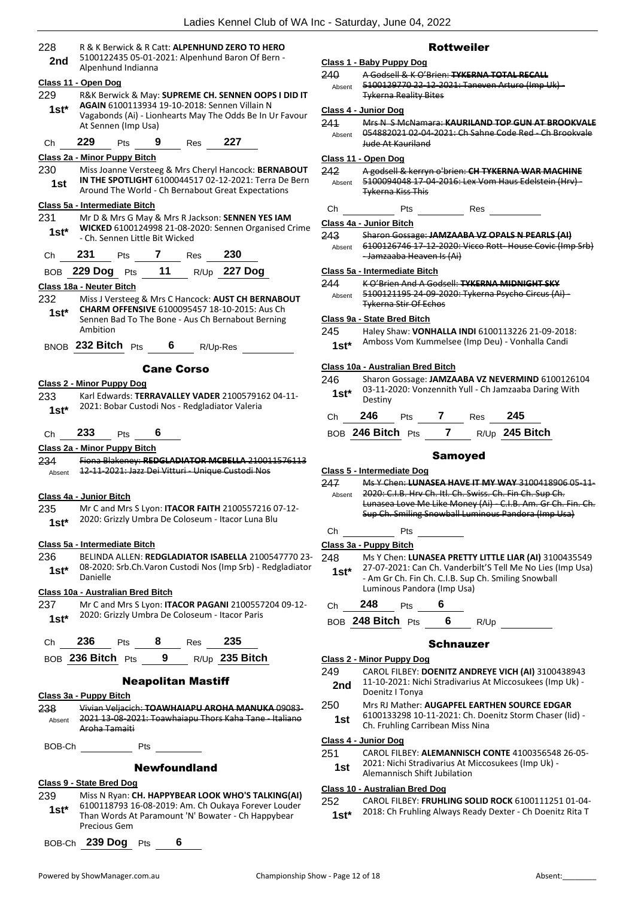| 228            | R & K Berwick & R Catt: ALPENHUND ZERO TO HERO                                                                                                                                                                                       |  |  |  |  |
|----------------|--------------------------------------------------------------------------------------------------------------------------------------------------------------------------------------------------------------------------------------|--|--|--|--|
| 2nd            | 5100122435 05-01-2021: Alpenhund Baron Of Bern -                                                                                                                                                                                     |  |  |  |  |
|                | Alpenhund Indianna                                                                                                                                                                                                                   |  |  |  |  |
|                | Class 11 - Open Dog                                                                                                                                                                                                                  |  |  |  |  |
| 229            | R&K Berwick & May: SUPREME CH. SENNEN OOPS I DID IT                                                                                                                                                                                  |  |  |  |  |
| $1st^*$        | AGAIN 6100113934 19-10-2018: Sennen Villain N                                                                                                                                                                                        |  |  |  |  |
|                | Vagabonds (Ai) - Lionhearts May The Odds Be In Ur Favour<br>At Sennen (Imp Usa)                                                                                                                                                      |  |  |  |  |
|                |                                                                                                                                                                                                                                      |  |  |  |  |
| Ch             | 9 Res 227<br>229 $P$ ts                                                                                                                                                                                                              |  |  |  |  |
|                | Class 2a - Minor Puppy Bitch                                                                                                                                                                                                         |  |  |  |  |
| 230            | Miss Joanne Versteeg & Mrs Cheryl Hancock: BERNABOUT                                                                                                                                                                                 |  |  |  |  |
| 1st.           | IN THE SPOTLIGHT 6100044517 02-12-2021: Terra De Bern<br>Around The World - Ch Bernabout Great Expectations                                                                                                                          |  |  |  |  |
|                |                                                                                                                                                                                                                                      |  |  |  |  |
| 231.           | Class 5a - Intermediate Bitch<br>Mr D & Mrs G May & Mrs R Jackson: SENNEN YES IAM                                                                                                                                                    |  |  |  |  |
|                | WICKED 6100124998 21-08-2020: Sennen Organised Crime                                                                                                                                                                                 |  |  |  |  |
| $1st^*$        | - Ch. Sennen Little Bit Wicked                                                                                                                                                                                                       |  |  |  |  |
| Ch             | 231 Pts 7 Res 230                                                                                                                                                                                                                    |  |  |  |  |
|                | BOB 229 Dog Pts 11 R/Up 227 Dog                                                                                                                                                                                                      |  |  |  |  |
|                |                                                                                                                                                                                                                                      |  |  |  |  |
|                | Class 18a - Neuter Bitch                                                                                                                                                                                                             |  |  |  |  |
| 232            | Miss J Versteeg & Mrs C Hancock: AUST CH BERNABOUT<br><b>CHARM OFFENSIVE 6100095457 18-10-2015: Aus Ch.</b>                                                                                                                          |  |  |  |  |
| 1st $^{\star}$ | Sennen Bad To The Bone - Aus Ch Bernabout Berning                                                                                                                                                                                    |  |  |  |  |
|                | Ambition                                                                                                                                                                                                                             |  |  |  |  |
|                | BNOB 232 Bitch $Pts$ 6 R/Up-Res                                                                                                                                                                                                      |  |  |  |  |
|                |                                                                                                                                                                                                                                      |  |  |  |  |
|                | <b>Cane Corso</b>                                                                                                                                                                                                                    |  |  |  |  |
|                | <u> Class 2 - Minor Puppy Dog</u>                                                                                                                                                                                                    |  |  |  |  |
| 233            | Karl Edwards: TERRAVALLEY VADER 2100579162 04-11-                                                                                                                                                                                    |  |  |  |  |
| $1st^*$        | 2021: Bobar Custodi Nos - Redgladiator Valeria                                                                                                                                                                                       |  |  |  |  |
|                |                                                                                                                                                                                                                                      |  |  |  |  |
| Ch             | 233<br>6 <sup>1</sup><br><b>Pts</b>                                                                                                                                                                                                  |  |  |  |  |
|                | Class 2a - Minor Puppy Bitch                                                                                                                                                                                                         |  |  |  |  |
| 234            | Fiona Blakeney: REDGLADIATOR MCBELLA 210011576113                                                                                                                                                                                    |  |  |  |  |
|                | Absent 12-11-2021: Jazz Dei Vitturi - Unique Custodi Nos                                                                                                                                                                             |  |  |  |  |
|                |                                                                                                                                                                                                                                      |  |  |  |  |
|                | Class 4a - Junior Bitch                                                                                                                                                                                                              |  |  |  |  |
| 235            | Mr C and Mrs S Lyon: ITACOR FAITH 2100557216 07-12-                                                                                                                                                                                  |  |  |  |  |
| $1st^*$        | 2020: Grizzly Umbra De Coloseum - Itacor Luna Blu                                                                                                                                                                                    |  |  |  |  |
|                |                                                                                                                                                                                                                                      |  |  |  |  |
|                | Class 5a - Intermediate Bitch<br>BELINDA ALLEN: REDGLADIATOR ISABELLA 2100547770 23-                                                                                                                                                 |  |  |  |  |
| 236            | 08-2020: Srb.Ch.Varon Custodi Nos (Imp Srb) - Redgladiator                                                                                                                                                                           |  |  |  |  |
| $1st^*$        | Danielle                                                                                                                                                                                                                             |  |  |  |  |
|                | Class 10a - Australian Bred Bitch                                                                                                                                                                                                    |  |  |  |  |
| 237 -          | Mr C and Mrs S Lyon: ITACOR PAGANI 2100557204 09-12-                                                                                                                                                                                 |  |  |  |  |
| $1st^*$        | 2020: Grizzly Umbra De Coloseum - Itacor Paris                                                                                                                                                                                       |  |  |  |  |
|                |                                                                                                                                                                                                                                      |  |  |  |  |
| Ch             | 236 Pts 8 Res 235                                                                                                                                                                                                                    |  |  |  |  |
|                | BOB 236 Bitch Pts 9 R/Up 235 Bitch                                                                                                                                                                                                   |  |  |  |  |
|                |                                                                                                                                                                                                                                      |  |  |  |  |
|                | <b>Neapolitan Mastiff</b>                                                                                                                                                                                                            |  |  |  |  |
|                | Class 3a - Puppy Bitch                                                                                                                                                                                                               |  |  |  |  |
| 238.           | Vivian Veljacich: TOAWHAIAPU AROHA MANUKA 09083-                                                                                                                                                                                     |  |  |  |  |
| Absent         | 2021 13-08-2021: Toawhaiapu Thors Kaha Tane - Italiano                                                                                                                                                                               |  |  |  |  |
|                | Aroha Tamaiti                                                                                                                                                                                                                        |  |  |  |  |
|                | BOB-Chell and the state of the state of the state of the state of the state of the state of the state of the state of the state of the state of the state of the state of the state of the state of the state of the state of<br>Pts |  |  |  |  |
|                |                                                                                                                                                                                                                                      |  |  |  |  |
|                | <b>Newfoundland</b>                                                                                                                                                                                                                  |  |  |  |  |
|                | <b>Class 9 - State Bred Dog</b>                                                                                                                                                                                                      |  |  |  |  |
| 239            | Miss N Ryan: CH. HAPPYBEAR LOOK WHO'S TALKING(AI)                                                                                                                                                                                    |  |  |  |  |
| 1st*           | 6100118793 16-08-2019: Am. Ch Oukaya Forever Louder                                                                                                                                                                                  |  |  |  |  |
|                | Than Words At Paramount 'N' Bowater - Ch Happybear<br>Precious Gem                                                                                                                                                                   |  |  |  |  |
|                |                                                                                                                                                                                                                                      |  |  |  |  |
| BOB-Ch         | 239 Dog Pts<br>6                                                                                                                                                                                                                     |  |  |  |  |

|                                                                  | <b>Rottweiler</b>                                                                    |  |  |  |  |  |
|------------------------------------------------------------------|--------------------------------------------------------------------------------------|--|--|--|--|--|
|                                                                  | Class 1 - Baby Puppy Dog                                                             |  |  |  |  |  |
| 240                                                              | A Godsell & K O'Brien: TYKERNA TOTAL RECALL                                          |  |  |  |  |  |
| Absent                                                           | 5100129770 22-12-2021: Taneven Arturo (Imp Uk) -                                     |  |  |  |  |  |
|                                                                  | <b>Tykerna Reality Bites</b>                                                         |  |  |  |  |  |
|                                                                  | Class 4 - Junior Dog                                                                 |  |  |  |  |  |
| 241                                                              | Mrs N S McNamara: KAURILAND TOP GUN AT BROOKVALE                                     |  |  |  |  |  |
| Absent                                                           | 054882021 02-04-2021: Ch Sahne Code Red - Ch Brookvale                               |  |  |  |  |  |
|                                                                  | Jude At Kauriland                                                                    |  |  |  |  |  |
|                                                                  | Class 11 - Open Dog                                                                  |  |  |  |  |  |
| 242                                                              | A godsell & kerryn o'brien: CH TYKERNA WAR MACHINE                                   |  |  |  |  |  |
| Absent                                                           | 5100094048 17-04-2016: Lex Vom Haus Edelstein (Hrv) -<br><b>Tykerna Kiss This</b>    |  |  |  |  |  |
| Сh                                                               | Res<br>Pts                                                                           |  |  |  |  |  |
|                                                                  | Class 4a - Junior Bitch                                                              |  |  |  |  |  |
| 243                                                              | Sharon Gossage: JAMZAABA VZ OPALS N PEARLS (AI)                                      |  |  |  |  |  |
|                                                                  | Absent 6100126746 17-12-2020: Vicco Rott-House Covic (Imp Srb)                       |  |  |  |  |  |
|                                                                  | <del>Jamzaaba Heaven Is (Ai)</del>                                                   |  |  |  |  |  |
|                                                                  | Class 5a - Intermediate Bitch                                                        |  |  |  |  |  |
| 244                                                              | K O'Brien And A Godsell: TYKERNA MIDNIGHT SKY                                        |  |  |  |  |  |
| Absent                                                           | 5100121195 24-09-2020: Tykerna Psycho Circus (Ai)-<br><b>Tykerna Stir Of Echos</b>   |  |  |  |  |  |
|                                                                  | Class 9a - State Bred Bitch                                                          |  |  |  |  |  |
| 245                                                              | Haley Shaw: VONHALLA INDI 6100113226 21-09-2018:                                     |  |  |  |  |  |
|                                                                  | Amboss Vom Kummelsee (Imp Deu) - Vonhalla Candi                                      |  |  |  |  |  |
| $1st^*$                                                          |                                                                                      |  |  |  |  |  |
|                                                                  | Class 10a - Australian Bred Bitch                                                    |  |  |  |  |  |
| 246                                                              | Sharon Gossage: JAMZAABA VZ NEVERMIND 6100126104                                     |  |  |  |  |  |
| 03-11-2020: Vonzennith Yull - Ch Jamzaaba Daring With<br>$1st^*$ |                                                                                      |  |  |  |  |  |
|                                                                  | Destiny                                                                              |  |  |  |  |  |
| Ch 246                                                           | Pts 7 Res 245                                                                        |  |  |  |  |  |
|                                                                  | BOB 246 Bitch Pts 7 R/Up 245 Bitch                                                   |  |  |  |  |  |
|                                                                  |                                                                                      |  |  |  |  |  |
| <b>Samoyed</b>                                                   |                                                                                      |  |  |  |  |  |
|                                                                  | Class 5 - Intermediate Dog<br>247 Ms V Chan: HINASEA HAVE IT MY WAV 3100418906 05-11 |  |  |  |  |  |
|                                                                  |                                                                                      |  |  |  |  |  |

247 Ms Y Chen: **LUNASEA HAVE IT MY WAY** 3100418906 05-11- 2020: C.I.B. Hrv Ch. Itl. Ch. Swiss. Ch. Fin Ch. Sup Ch. Lunasea Love Me Like Money (Ai) - C.I.B. Am. Gr Ch. Fin. Ch. Sup Ch. Smiling Snowball Luminous Pandora (Imp Usa) Absent

## Ch Pts

## **Class 3a - Puppy Bitch**

248 Ms Y Chen: **LUNASEA PRETTY LITTLE LIAR (AI)** 3100435549 27-07-2021: Can Ch. Vanderbilt'S Tell Me No Lies (Imp Usa) - Am Gr Ch. Fin Ch. C.I.B. Sup Ch. Smiling Snowball Luminous Pandora (Imp Usa) **1st\***

- Ch **248** Pts **6**
- BOB **248 Bitch** Pts **6** R/Up

#### Schnauzer

#### **Class 2 - Minor Puppy Dog**

- 249 CAROL FILBEY: **DOENITZ ANDREYE VICH (AI)** 3100438943 11-10-2021: Nichi Stradivarius At Miccosukees (Imp Uk) - **2nd** 11-10-2021: Nicholas
- 250 Mrs RJ Mather: **AUGAPFEL EARTHEN SOURCE EDGAR**
	- 6100133298 10-11-2021: Ch. Doenitz Storm Chaser (Iid) **1st** b100133298 10-11-2021: Ch. Doe<br>Ch. Fruhling Carribean Miss Nina

#### **Class 4 - Junior Dog**

- 251 CAROL FILBEY: **ALEMANNISCH CONTE** 4100356548 26-05-
	- 2021: Nichi Stradivarius At Miccosukees (Imp Uk) **1st** <br>**1st Alemannisch Shift Jubilation**

#### **Class 10 - Australian Bred Dog**

252 CAROL FILBEY: **FRUHLING SOLID ROCK** 6100111251 01-04-

2018: Ch Fruhling Always Ready Dexter - Ch Doenitz Rita T **1st\***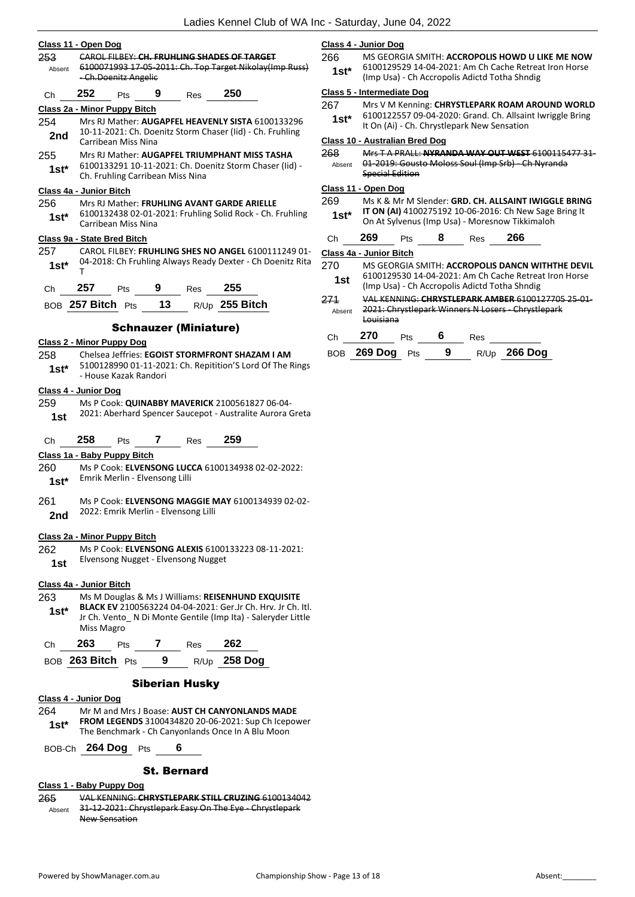| Class 11 - Open Dog                                                          |                                                                                |                                  |                 |                                      |                                                                                                             |  |
|------------------------------------------------------------------------------|--------------------------------------------------------------------------------|----------------------------------|-----------------|--------------------------------------|-------------------------------------------------------------------------------------------------------------|--|
| 253                                                                          | CAROL FILBEY: CH. FRUHLING SHADES OF TARGET                                    |                                  |                 |                                      |                                                                                                             |  |
| Absent                                                                       | 6100071993 17-05-2011: Ch. Top Target Nikolay(Imp Russ)<br>-Ch.Doenitz Angelic |                                  |                 |                                      |                                                                                                             |  |
| Ch                                                                           | 252                                                                            |                                  |                 | Pts 9 Res 250                        |                                                                                                             |  |
|                                                                              |                                                                                | Class 2a - Minor Puppy Bitch     |                 |                                      |                                                                                                             |  |
| 254                                                                          |                                                                                |                                  |                 |                                      | Mrs RJ Mather: AUGAPFEL HEAVENLY SISTA 6100133296                                                           |  |
| 2nd                                                                          |                                                                                |                                  |                 |                                      | 10-11-2021: Ch. Doenitz Storm Chaser (Iid) - Ch. Fruhling                                                   |  |
|                                                                              |                                                                                | Carribean Miss Nina              |                 |                                      |                                                                                                             |  |
| 255                                                                          |                                                                                |                                  |                 |                                      | Mrs RJ Mather: AUGAPFEL TRIUMPHANT MISS TASHA<br>6100133291 10-11-2021: Ch. Doenitz Storm Chaser (lid) -    |  |
| $1st*$                                                                       |                                                                                | Ch. Fruhling Carribean Miss Nina |                 |                                      |                                                                                                             |  |
| Class 4a - Junior Bitch                                                      |                                                                                |                                  |                 |                                      |                                                                                                             |  |
| 256                                                                          |                                                                                |                                  |                 |                                      | Mrs RJ Mather: FRUHLING AVANT GARDE ARIELLE                                                                 |  |
| 1st*                                                                         |                                                                                | Carribean Miss Nina              |                 |                                      | 6100132438 02-01-2021: Fruhling Solid Rock - Ch. Fruhling                                                   |  |
|                                                                              |                                                                                | Class 9a - State Bred Bitch      |                 |                                      |                                                                                                             |  |
| 257                                                                          |                                                                                |                                  |                 |                                      | CAROL FILBEY: FRUHLING SHES NO ANGEL 6100111249 01-                                                         |  |
| $1st^*$                                                                      | т                                                                              |                                  |                 |                                      | 04-2018: Ch Fruhling Always Ready Dexter - Ch Doenitz Rita                                                  |  |
|                                                                              |                                                                                |                                  |                 | Ch 257 Pts 9 Res 255                 |                                                                                                             |  |
|                                                                              |                                                                                |                                  |                 |                                      | BOB 257 Bitch Pts 13 R/Up 255 Bitch                                                                         |  |
|                                                                              |                                                                                |                                  |                 | <b>Schnauzer (Miniature)</b>         |                                                                                                             |  |
|                                                                              |                                                                                | <b>Class 2 - Minor Puppy Dog</b> |                 |                                      |                                                                                                             |  |
| 258                                                                          |                                                                                |                                  |                 |                                      | Chelsea Jeffries: EGOIST STORMFRONT SHAZAM I AM                                                             |  |
| $1st^*$                                                                      |                                                                                |                                  |                 |                                      | 5100128990 01-11-2021: Ch. Repitition'S Lord Of The Rings                                                   |  |
|                                                                              |                                                                                | - House Kazak Randori            |                 |                                      |                                                                                                             |  |
| Class 4 - Junior Dog                                                         |                                                                                |                                  |                 |                                      |                                                                                                             |  |
| 259                                                                          |                                                                                |                                  |                 |                                      | Ms P Cook: QUINABBY MAVERICK 2100561827 06-04-<br>2021: Aberhard Spencer Saucepot - Australite Aurora Greta |  |
| 1st                                                                          |                                                                                |                                  |                 |                                      |                                                                                                             |  |
| Ch                                                                           | 258                                                                            |                                  |                 | Pts 7 Res 259                        |                                                                                                             |  |
|                                                                              |                                                                                | Class 1a - Baby Puppy Bitch      |                 |                                      |                                                                                                             |  |
| 260 —                                                                        |                                                                                |                                  |                 |                                      | Ms P Cook: ELVENSONG LUCCA 6100134938 02-02-2022:                                                           |  |
| 1st*                                                                         |                                                                                | Emrik Merlin - Elvensong Lilli   |                 |                                      |                                                                                                             |  |
| 261                                                                          |                                                                                |                                  |                 |                                      | Ms P Cook: ELVENSONG MAGGIE MAY 6100134939 02-02-                                                           |  |
| 2nd                                                                          |                                                                                |                                  |                 | 2022: Emrik Merlin - Elvensong Lilli |                                                                                                             |  |
|                                                                              | Class 2a - Minor Puppy Bitch                                                   |                                  |                 |                                      |                                                                                                             |  |
| 262.                                                                         |                                                                                |                                  |                 |                                      | Ms P Cook: ELVENSONG ALEXIS 6100133223 08-11-2021:                                                          |  |
| Elvensong Nugget - Elvensong Nugget<br>1st                                   |                                                                                |                                  |                 |                                      |                                                                                                             |  |
|                                                                              | Class 4a - Junior Bitch                                                        |                                  |                 |                                      |                                                                                                             |  |
| 263                                                                          |                                                                                |                                  |                 |                                      | Ms M Douglas & Ms J Williams: REISENHUND EXQUISITE                                                          |  |
| <b>BLACK EV</b> 2100563224 04-04-2021: Ger.Jr Ch. Hrv. Jr Ch. Itl.<br>$1st*$ |                                                                                |                                  |                 |                                      |                                                                                                             |  |
|                                                                              | Jr Ch. Vento_ N Di Monte Gentile (Imp Ita) - Saleryder Little<br>Miss Magro    |                                  |                 |                                      |                                                                                                             |  |
| Ch                                                                           | 263                                                                            |                                  | Pts 7           | Res                                  | 262                                                                                                         |  |
|                                                                              |                                                                                | BOB 263 Bitch Pts                | 9               |                                      | R/Up 258 Dog                                                                                                |  |
|                                                                              |                                                                                |                                  | <b>Contract</b> |                                      |                                                                                                             |  |

## Siberian Husky

#### **Class 4 - Junior Dog**

- 264 Mr M and Mrs J Boase: **AUST CH CANYONLANDS MADE FROM LEGENDS** 3100434820 20-06-2021: Sup Ch Icepower
- **1st\*** FRUM LEGENUS 3100434820 20-06-2021: Sup Ch Icependent The Benchmark Ch Canyonlands Once In A Blu Moon

BOB-Ch **264 Dog** Pts **6**

#### St. Bernard

## **Class 1 - Baby Puppy Dog**

265 VAL KENNING: **CHRYSTLEPARK STILL CRUZING** 6100134042 31-12-2021: Chrystlepark Easy On The Eye - Chrystlepark New Sensation Absent

#### **Class 4 - Junior Dog**

266 MS GEORGIA SMITH: **ACCROPOLIS HOWD U LIKE ME NOW** 6100129529 14-04-2021: Am Ch Cache Retreat Iron Horse (Imp Usa) - Ch Accropolis Adictd Totha Shndig **1st\***

#### **Class 5 - Intermediate Dog**

267 Mrs V M Kenning: **CHRYSTLEPARK ROAM AROUND WORLD** 6100122557 09-04-2020: Grand. Ch. Allsaint Iwriggle Bring **1st** buolizzon 09-04-2020: Grand. Ch. Alisan<br>It On (Ai) - Ch. Chrystlepark New Sensation

#### **Class 10 - Australian Bred Dog**

268 Mrs T A PRALL: **NYRANDA WAY OUT WEST** 6100115477 31- 01-2019: Gousto Moloss Soul (Imp Srb) - Ch Nyranda Special Edition Absent

#### **Class 11 - Open Dog**

269 Ms K & Mr M Slender: **GRD. CH. ALLSAINT IWIGGLE BRING IT ON (AI)** 4100275192 10-06-2016: Ch New Sage Bring It On At Sylvenus (Imp Usa) - Moresnow Tikkimaloh **1st\***

| <b>Ch</b> | 269 | Pts | 8 | Res | 266 |  |
|-----------|-----|-----|---|-----|-----|--|
|           |     |     |   |     |     |  |

#### **Class 4a - Junior Bitch**

- 270 MS GEORGIA SMITH: **ACCROPOLIS DANCN WITHTHE DEVIL** 6100129530 14-04-2021: Am Ch Cache Retreat Iron Horse (Imp Usa) - Ch Accropolis Adictd Totha Shndig **1st**
	-
- 271 VAL KENNING: **CHRYSTLEPARK AMBER** 6100127705 25-01- 2021: Chrystlepark Winners N Losers - Chrystlepark Louisiana Absent

| Ch 270          | <b>Pts</b> | - 6 | Res |                |
|-----------------|------------|-----|-----|----------------|
| BOB 269 Dog Pts |            | - 9 |     | $R/Up$ 266 Dog |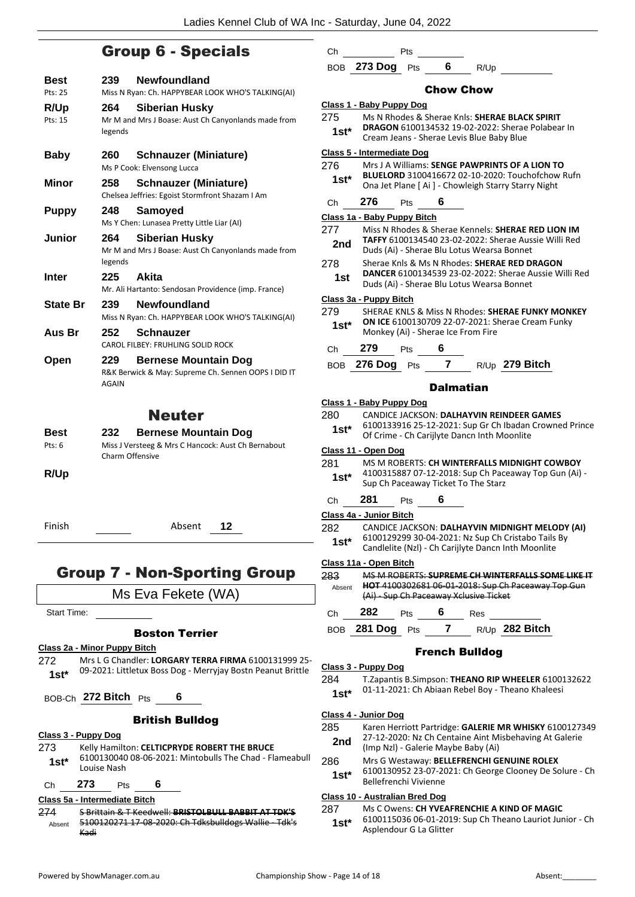Ch Pts

## Group 6 - Specials

| Best            | <b>Newfoundland</b><br>239                                                                                |
|-----------------|-----------------------------------------------------------------------------------------------------------|
| Pts: 25         | Miss N Ryan: Ch. HAPPYBEAR LOOK WHO'S TALKING(AI)                                                         |
| R/Up            | <b>Siberian Husky</b><br>264                                                                              |
| Pts: 15         | Mr M and Mrs J Boase: Aust Ch Canyonlands made from<br>legends                                            |
| <b>Baby</b>     | <b>Schnauzer (Miniature)</b><br>260                                                                       |
|                 | Ms P Cook: Elvensong Lucca                                                                                |
| Minor           | <b>Schnauzer (Miniature)</b><br>258<br>Chelsea Jeffries: Egoist Stormfront Shazam I Am                    |
| <b>Puppy</b>    | 248<br>Samoved                                                                                            |
|                 | Ms Y Chen: Lunasea Pretty Little Liar (AI)                                                                |
| Junior          | <b>Siberian Husky</b><br>264<br>Mr M and Mrs J Boase: Aust Ch Canyonlands made from<br>legends            |
| <b>Inter</b>    | 225<br>Akita                                                                                              |
|                 | Mr. Ali Hartanto: Sendosan Providence (imp. France)                                                       |
| <b>State Br</b> | <b>Newfoundland</b><br>239<br>Miss N Ryan: Ch. HAPPYBEAR LOOK WHO'S TALKING(AI)                           |
| Aus Br          | <b>Schnauzer</b><br>252<br>CAROL FILBEY: FRUHLING SOLID ROCK                                              |
| Open            | <b>Bernese Mountain Dog</b><br>229<br>R&K Berwick & May: Supreme Ch. Sennen OOPS I DID IT<br><b>AGAIN</b> |
|                 | <b>Neuter</b>                                                                                             |
| Best            | <b>Bernese Mountain Dog</b><br>232                                                                        |
| Pts. R          | Miss I Versteeg & Mrs C Hancock: Aust Ch Bernahout                                                        |

| Pts: $6$ | Miss J Versteeg & Mrs C Hancock: Aust Ch Bernabout |
|----------|----------------------------------------------------|
|          | Charm Offensive                                    |

**R/Up**

Finish Absent **12**

## Group 7 - Non-Sporting Group

Ms Eva Fekete (WA)

Start Time:

#### Boston Terrier

**Class 2a - Minor Puppy Bitch**

272 Mrs L G Chandler: **LORGARY TERRA FIRMA** 6100131999 25- 09-2021: Littletux Boss Dog - Merryjay Bostn Peanut Brittle **1st\***

BOB-Ch **272 Bitch** Pts **6**

## British Bulldog

## **Class 3 - Puppy Dog**

273 Kelly Hamilton: **CELTICPRYDE ROBERT THE BRUCE** 6100130040 08-06-2021: Mintobulls The Chad - Flameabull 1st<sup>\*</sup> b100130040<br>Louise Nash

Ch **273** Pts **6**

**Class 5a - Intermediate Bitch**

274 S Brittain & T Keedwell: **BRISTOLBULL BABBIT AT TDK'S** 5100120271 17-08-2020: Ch Tdksbulldogs Wallie - Tdk's Kadi Absent

- BOB **273 Dog** Pts **6** R/Up Chow Chow **Class 1 - Baby Puppy Dog** 275 Ms N Rhodes & Sherae Knls: **SHERAE BLACK SPIRIT DRAGON** 6100134532 19-02-2022: Sherae Polabear In **1st\*** DRAGON 6100134532 19-02-2022: Sherae<br>Cream Jeans - Sherae Levis Blue Baby Blue **Class 5 - Intermediate Dog** 276 Mrs J A Williams: **SENGE PAWPRINTS OF A LION TO BLUELORD** 3100416672 02-10-2020: Touchofchow Rufn **1st\*** BLUELORD 3100416672 02-10-2020: Touchorchow<br>Ona Jet Plane [ Ai ] - Chowleigh Starry Starry Night Ch **276** Pts **6 Class 1a - Baby Puppy Bitch** 277 Miss N Rhodes & Sherae Kennels: **SHERAE RED LION IM TAFFY** 6100134540 23-02-2022: Sherae Aussie Willi Red **2nd IAFFY 6100134540 23-02-2022: Sherae Aus**<br>Duds (Ai) - Sherae Blu Lotus Wearsa Bonnet 278 Sherae Knls & Ms N Rhodes: **SHERAE RED DRAGON DANCER** 6100134539 23-02-2022: Sherae Aussie Willi Red Duds (Ai) - Sherae Blu Lotus Wearsa Bonnet **1st Class 3a - Puppy Bitch** 279 SHERAE KNLS & Miss N Rhodes: **SHERAE FUNKY MONKEY ON ICE** 6100130709 22-07-2021: Sherae Cream Funky 1st\* **ON ICE 6100130709 22-07-2021: S**<br>Monkey (Ai) - Sherae Ice From Fire Ch **279** Pts **6** BOB **276 Dog** Pts **7** R/Up **279 Bitch** Dalmatian **Class 1 - Baby Puppy Dog** 280 CANDICE JACKSON: **DALHAYVIN REINDEER GAMES** 6100133916 25-12-2021: Sup Gr Ch Ibadan Crowned Prince **1st**\* b100133916 25-12-2021: Sup Gr Ch Ibadan<br>Of Crime - Ch Carijlyte Dancn Inth Moonlite **Class 11 - Open Dog** 281 MS M ROBERTS: **CH WINTERFALLS MIDNIGHT COWBOY** 4100315887 07-12-2018: Sup Ch Paceaway Top Gun (Ai) - **1st** 4100315887 07-12-2018: Sup Ch Pace<br>Sup Ch Paceaway Ticket To The Starz Ch **281** Pts **6 Class 4a - Junior Bitch** 282 CANDICE JACKSON: **DALHAYVIN MIDNIGHT MELODY (AI)**
- 6100129299 30-04-2021: Nz Sup Ch Cristabo Tails By Candlelite (Nzl) - Ch Carijlyte Dancn Inth Moonlite **1st\***

#### **Class 11a - Open Bitch**

|        |                    |            |                                        | MC M RORERTS: CHIDREME CH WINTEREALLS SOME LIKE IT |
|--------|--------------------|------------|----------------------------------------|----------------------------------------------------|
| Absent |                    |            |                                        | HOT 4100302681 06 01 2018: Sup Ch Paceaway Top Gun |
|        |                    |            | (Ai) - Sup Ch Paceaway Xclusive Ticket |                                                    |
| C.h    | 282                | Pts        | Res                                    |                                                    |
|        | <b>BOB</b> 281 Dog | <b>Pts</b> |                                        | $R/Up$ 282 Bitch                                   |

#### French Bulldog

- **Class 3 - Puppy Dog**
- 284 T.Zapantis B.Simpson: **THEANO RIP WHEELER** 6100132622 01-11-2021: Ch Abiaan Rebel Boy - Theano Khaleesi **1st\***

#### **Class 4 - Junior Dog**

- 285 Karen Herriott Partridge: **GALERIE MR WHISKY** 6100127349 27-12-2020: Nz Ch Centaine Aint Misbehaving At Galerie
- **2nd** 27-12-2020: No Christme Aint M<br>(Imp Nzl) Galerie Maybe Baby (Ai)
- 286 Mrs G Westaway: **BELLEFRENCHI GENUINE ROLEX**
	- 6100130952 23-07-2021: Ch George Clooney De Solure Ch Bellefrenchi Vivienne **1st\***

### **Class 10 - Australian Bred Dog**

287 Ms C Owens: **CH YVEAFRENCHIE A KIND OF MAGIC** 6100115036 06-01-2019: Sup Ch Theano Lauriot Junior - Ch Asplendour G La Glitter **1st\***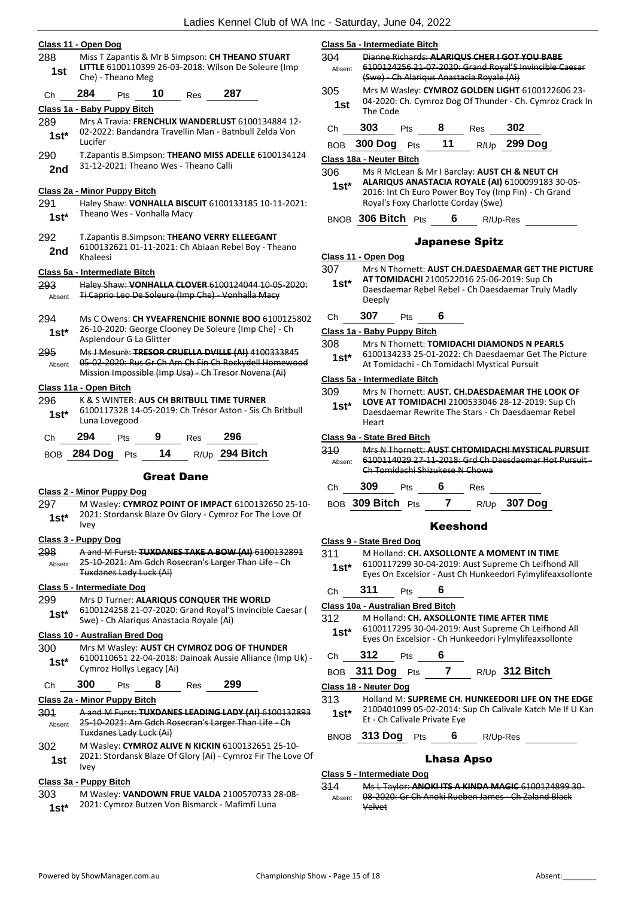|                                                    | Class 11 - Open Dog                                                                                               |  |  |  |  |  |
|----------------------------------------------------|-------------------------------------------------------------------------------------------------------------------|--|--|--|--|--|
| 288                                                | Miss T Zapantis & Mr B Simpson: CH THEANO STUART                                                                  |  |  |  |  |  |
| 1st                                                | LITTLE 6100110399 26-03-2018: Wilson De Soleure (Imp<br>Che) - Theano Meg                                         |  |  |  |  |  |
| Сh                                                 | 284<br>10<br>287<br>Pts<br>Res                                                                                    |  |  |  |  |  |
|                                                    | Class 1a - Baby Puppy Bitch                                                                                       |  |  |  |  |  |
| 289                                                | Mrs A Travia: FRENCHLIX WANDERLUST 6100134884 12-                                                                 |  |  |  |  |  |
| 1st*                                               | 02-2022: Bandandra Travellin Man - Batnbull Zelda Von<br>Lucifer                                                  |  |  |  |  |  |
| 290                                                | T.Zapantis B.Simpson: THEANO MISS ADELLE 6100134124                                                               |  |  |  |  |  |
| 2nd                                                | 31-12-2021: Theano Wes - Theano Calli                                                                             |  |  |  |  |  |
|                                                    |                                                                                                                   |  |  |  |  |  |
|                                                    | Class 2a - Minor Puppy Bitch                                                                                      |  |  |  |  |  |
| 291                                                | Haley Shaw: VONHALLA BISCUIT 6100133185 10-11-2021:<br>Theano Wes - Vonhalla Macy                                 |  |  |  |  |  |
| $1st^*$                                            |                                                                                                                   |  |  |  |  |  |
| 292                                                | T.Zapantis B.Simpson: THEANO VERRY ELLEEGANT                                                                      |  |  |  |  |  |
| 2nd                                                | 6100132621 01-11-2021: Ch Abiaan Rebel Boy - Theano                                                               |  |  |  |  |  |
|                                                    | Khaleesi                                                                                                          |  |  |  |  |  |
|                                                    | Class 5a - Intermediate Bitch<br>Haley Shaw: VONHALLA CLOVER 6100124044 10-05-2020:                               |  |  |  |  |  |
| 293<br>Absent                                      | Ti Caprio Leo De Soleure (Imp Che) - Vonhalla Macy                                                                |  |  |  |  |  |
|                                                    |                                                                                                                   |  |  |  |  |  |
| 294                                                | Ms C Owens: CH YVEAFRENCHIE BONNIE BOO 6100125802                                                                 |  |  |  |  |  |
| 1st*                                               | 26-10-2020: George Clooney De Soleure (Imp Che) - Ch<br>Asplendour G La Glitter                                   |  |  |  |  |  |
| 295                                                | Ms J Mesure: TRESOR CRUELLA DVILLE (AI) 4100333845                                                                |  |  |  |  |  |
| Absent                                             | 05 02 2020: Rus Gr Ch Am Ch Fin Ch Rockydell Homewood                                                             |  |  |  |  |  |
|                                                    | Mission Impossible (Imp Usa) - Ch Tresor Novena (Ai)                                                              |  |  |  |  |  |
|                                                    | Class 11a - Open Bitch                                                                                            |  |  |  |  |  |
| 296                                                | K & S WINTER: <b>AUS CH BRITBULL TIME TURNER</b>                                                                  |  |  |  |  |  |
| $1st*$                                             | 6100117328 14-05-2019: Ch Trèsor Aston - Sis Ch Britbull<br>Luna Lovegood                                         |  |  |  |  |  |
| Сh                                                 | 294<br>9<br>296<br><b>Res</b><br><b>Pts</b>                                                                       |  |  |  |  |  |
| <b>BOB</b>                                         | 14<br>R/Up 294 Bitch<br><b>284 Dog</b><br>Pts                                                                     |  |  |  |  |  |
|                                                    |                                                                                                                   |  |  |  |  |  |
|                                                    | <b>Great Dane</b>                                                                                                 |  |  |  |  |  |
|                                                    | <b>Class 2 - Minor Puppy Dog</b>                                                                                  |  |  |  |  |  |
| 297                                                | M Wasley: CYMROZ POINT OF IMPACT 6100132650 25-10-<br>2021: Stordansk Blaze Ov Glory - Cymroz For The Love Of     |  |  |  |  |  |
| 1st*                                               | Ivey                                                                                                              |  |  |  |  |  |
|                                                    | Class 3 - Puppy Dog                                                                                               |  |  |  |  |  |
| 298                                                | A and M Furst: TUXDANES TAKE A BOW (AI) 6100132891                                                                |  |  |  |  |  |
| Absent                                             | 25-10-2021: Am Gdch Rosecran's Larger Than Life - Ch<br>Tuxdanes Lady Luck (Ai)                                   |  |  |  |  |  |
|                                                    | Class 5 - Intermediate Dog                                                                                        |  |  |  |  |  |
| 299                                                | Mrs D Turner: ALARIQUS CONQUER THE WORLD                                                                          |  |  |  |  |  |
| $1st*$                                             | 6100124258 21-07-2020: Grand Royal'S Invincible Caesar (                                                          |  |  |  |  |  |
|                                                    | Swe) - Ch Alariqus Anastacia Royale (Ai)                                                                          |  |  |  |  |  |
|                                                    | <b>Class 10 - Australian Bred Dog</b>                                                                             |  |  |  |  |  |
| Mrs M Wasley: AUST CH CYMROZ DOG OF THUNDER<br>300 |                                                                                                                   |  |  |  |  |  |
| $1st*$                                             | 6100110651 22-04-2018: Dainoak Aussie Alliance (Imp Uk) -<br>Cymroz Hollys Legacy (Ai)                            |  |  |  |  |  |
| Ch                                                 | 300<br>299<br>8<br>Res<br>Pts                                                                                     |  |  |  |  |  |
|                                                    | Class 2a - Minor Puppy Bitch                                                                                      |  |  |  |  |  |
| 301                                                | A and M Furst: TUXDANES LEADING LADY (AI) 6100132893                                                              |  |  |  |  |  |
| Absent                                             | 25-10-2021: Am Gdch Rosecran's Larger Than Life - Ch                                                              |  |  |  |  |  |
|                                                    | Tuxdanes Lady Luck (Ai)                                                                                           |  |  |  |  |  |
| 302                                                | M Wasley: CYMROZ ALIVE N KICKIN 6100132651 25-10-<br>2021: Stordansk Blaze Of Glory (Ai) - Cymroz Fir The Love Of |  |  |  |  |  |
| 1st                                                | <b>Ivey</b>                                                                                                       |  |  |  |  |  |
|                                                    | Class 3a - Puppy Bitch                                                                                            |  |  |  |  |  |

303 M Wasley: **VANDOWN FRUE VALDA** 2100570733 28-08- 2021: Cymroz Butzen Von Bismarck - Mafimfi Luna **1st\***

| Absent      |                          | 6100124256 21-07-2020: Grand Royal'S Invincible<br>(Swe) - Ch Alarigus Anastacia Royale (Ai)                             |    |                                     |                                                                                                          |  |  |
|-------------|--------------------------|--------------------------------------------------------------------------------------------------------------------------|----|-------------------------------------|----------------------------------------------------------------------------------------------------------|--|--|
| 305<br>1st  |                          | Mrs M Wasley: CYMROZ GOLDEN LIGHT 6100122606 23-<br>04-2020: Ch. Cymroz Dog Of Thunder - Ch. Cymroz Crack In<br>The Code |    |                                     |                                                                                                          |  |  |
| Сh          | 303                      | Pts                                                                                                                      |    | <b>Res</b>                          | 302                                                                                                      |  |  |
| <b>BOB</b>  | <b>300 Dog</b>           | Pts                                                                                                                      | 11 | R/Up                                | <b>299 Dog</b>                                                                                           |  |  |
|             | Class 18a - Neuter Bitch |                                                                                                                          |    |                                     |                                                                                                          |  |  |
| 306         |                          |                                                                                                                          |    |                                     | Ms R McLean & Mr I Barclay: AUST CH & NEUT CH                                                            |  |  |
| $1st*$      |                          |                                                                                                                          |    | Royal's Foxy Charlotte Corday (Swe) | ALARIQUS ANASTACIA ROYALE (AI) 6100099183 30-05-<br>2016: Int Ch Euro Power Boy Toy (Imp Fin) - Ch Grand |  |  |
| <b>BNOB</b> | 306 Bitch                | Pts                                                                                                                      |    |                                     | R/Up-Res                                                                                                 |  |  |

## Japanese Spitz

| Class 11 - Open Dog |  |  |
|---------------------|--|--|
|                     |  |  |

- 307 Mrs N Thornett: **AUST CH.DAESDAEMAR GET THE PICTURE AT TOMIDACHI** 2100522016 25-06-2019: Sup Ch **1st\***
	- Daesdaemar Rebel Rebel Ch Daesdaemar Truly Madly Deeply
- Ch **307** Pts **6**

**Class 5a - Intermediate Bitch**

## **Class 1a - Baby Puppy Bitch**

- 308 Mrs N Thornett: **TOMIDACHI DIAMONDS N PEARLS**
- 6100134233 25-01-2022: Ch Daesdaemar Get The Picture At Tomidachi - Ch Tomidachi Mystical Pursuit **1st\***

## **Class 5a - Intermediate Bitch**

- 309 Mrs N Thornett: **AUST. CH.DAESDAEMAR THE LOOK OF** 
	- **LOVE AT TOMIDACHI** 2100533046 28-12-2019: Sup Ch Daesdaemar Rewrite The Stars - Ch Daesdaemar Rebel Heart **1st\***

### **Class 9a - State Bred Bitch**

310 Mrs N Thornett: **AUST CHTOMIDACHI MYSTICAL PURSUIT** 6100114029 27-11-2018: Grd Ch Daesdaemar Hot Pursuit - Ch Tomidachi Shizukese N Chowa Absent

## Ch **309** Pts **6** Res

BOB **309 Bitch** Pts **7** R/Up **307 Dog**

#### Keeshond

#### **Class 9 - State Bred Dog**

#### 311 M Holland: **CH. AXSOLLONTE A MOMENT IN TIME**

6100117299 30-04-2019: Aust Supreme Ch Leifhond All Eyes On Excelsior - Aust Ch Hunkeedori Fylmylifeaxsollonte **1st\***

#### Ch **311** Pts **6**

#### **Class 10a - Australian Bred Bitch**

- 312 M Holland: **CH. AXSOLLONTE TIME AFTER TIME**
- 6100117295 30-04-2019: Aust Supreme Ch Leifhond All Eyes On Excelsior - Ch Hunkeedori Fylmylifeaxsollonte **1st\***

## Ch **312** Pts **6**

BOB **311 Dog** Pts **7** R/Up **312 Bitch**

#### **Class 18 - Neuter Dog**

313 Holland M: **SUPREME CH. HUNKEEDORI LIFE ON THE EDGE** 2100401099 05-02-2014: Sup Ch Calivale Katch Me If U Kan Et - Ch Calivale Private Eye **1st\***

BNOB **313 Dog** Pts **6** R/Up-Res

## Lhasa Apso

#### **Class 5 - Intermediate Dog**

314 Ms L Taylor: **ANOKI ITS A KINDA MAGIC** 6100124899 30- 08-2020: Gr Ch Anoki Rueben James - Ch Zaland Black Velvet Absent

- 
- 
-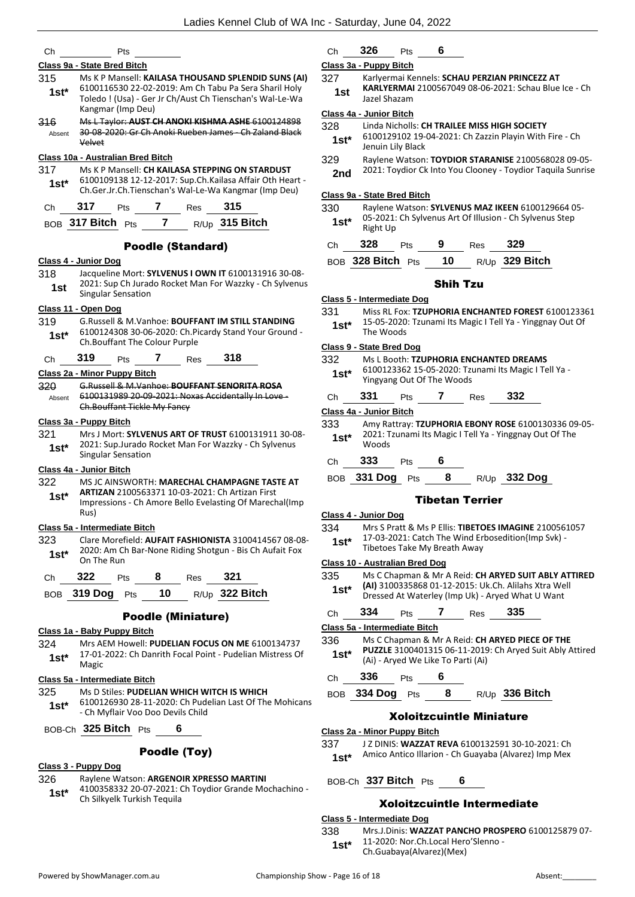| Ch             | Pts                                                                                                                                                                                                      | Ch                            |
|----------------|----------------------------------------------------------------------------------------------------------------------------------------------------------------------------------------------------------|-------------------------------|
|                | Class 9a - State Bred Bitch                                                                                                                                                                              | Class 3a                      |
| 315<br>$1st^*$ | Ms K P Mansell: KAILASA THOUSAND SPLENDID SUNS (AI)<br>6100116530 22-02-2019: Am Ch Tabu Pa Sera Sharil Holy<br>Toledo ! (Usa) - Ger Jr Ch/Aust Ch Tienschan's Wal-Le-Wa                                 | 327<br>1st                    |
| 316<br>Absent  | Kangmar (Imp Deu)<br>Ms L Taylor: AUST CH ANOKI KISHMA ASHE 6100124898<br>30 08 2020: Gr Ch Anoki Rueben James Ch Zaland Black<br>Velvet                                                                 | Class 4a<br>328<br>1st*       |
| 317<br>1st*    | Class 10a - Australian Bred Bitch<br>Ms K P Mansell: CH KAILASA STEPPING ON STARDUST<br>6100109138 12-12-2017: Sup.Ch.Kailasa Affair Oth Heart -<br>Ch.Ger.Jr.Ch.Tienschan's Wal-Le-Wa Kangmar (Imp Deu) | 329<br>2nd<br><u>Class 9a</u> |
| Ch             | 317 Pts 7 Res 315                                                                                                                                                                                        | 330                           |
|                | BOB 317 Bitch Pts 7 R/Up 315 Bitch                                                                                                                                                                       | 1st*                          |
|                | <b>Poodle (Standard)</b><br>Class 4 - Junior Dog                                                                                                                                                         | Ch<br>BOB                     |
| 318<br>1st     | Jacqueline Mort: SYLVENUS I OWN IT 6100131916 30-08-<br>2021: Sup Ch Jurado Rocket Man For Wazzky - Ch Sylvenus<br><b>Singular Sensation</b>                                                             | Class 5                       |
|                | Class 11 - Open Dog                                                                                                                                                                                      | 331                           |
| 319<br>$1st^*$ | G.Russell & M.Vanhoe: BOUFFANT IM STILL STANDING<br>6100124308 30-06-2020: Ch.Picardy Stand Your Ground -<br>Ch.Bouffant The Colour Purple                                                               | 1st*                          |
|                | 319                                                                                                                                                                                                      | Class 9                       |
| Ch             | Pts 7 Res 318                                                                                                                                                                                            | 332                           |
| 320<br>Absent  | Class 2a - Minor Puppy Bitch<br>G.Russell & M.Vanhoe: BOUFFANT SENORITA ROSA<br>6100131989 20-09-2021: Noxas Accidentally In Love -                                                                      | $1st^*$<br>Ch                 |
|                | Ch. Bouffant Tickle My Fancy                                                                                                                                                                             | Class 4a                      |
| 321<br>$1st^*$ | Class 3a - Puppy Bitch<br>Mrs J Mort: SYLVENUS ART OF TRUST 6100131911 30-08-<br>2021: Sup.Jurado Rocket Man For Wazzky - Ch Sylvenus<br><b>Singular Sensation</b>                                       | 333<br>$1st^*$                |
|                | Class 4a - Junior Bitch                                                                                                                                                                                  | Ch                            |
| 322<br>$1st^*$ | MS JC AINSWORTH: MARECHAL CHAMPAGNE TASTE AT<br>ARTIZAN 2100563371 10-03-2021: Ch Artizan First<br>Impressions - Ch Amore Bello Evelasting Of Marechal(Imp                                               | BOB                           |
|                | Rus)                                                                                                                                                                                                     | Class 4                       |
| 323<br>$1st*$  | Class 5a - Intermediate Bitch<br>Clare Morefield: AUFAIT FASHIONISTA 3100414567 08-08-<br>2020: Am Ch Bar-None Riding Shotgun - Bis Ch Aufait Fox                                                        | 334<br>1st*                   |
|                | On The Run                                                                                                                                                                                               | Class 10                      |
| Ch             | 322<br>8<br>321<br>Pts<br>Res                                                                                                                                                                            | 335                           |
|                | BOB 319 Dog Pts 10 R/Up 322 Bitch                                                                                                                                                                        | 1st*                          |
|                | <b>Poodle (Miniature)</b>                                                                                                                                                                                | Ch                            |
|                | Class 1a - Baby Puppy Bitch                                                                                                                                                                              | Class 5a                      |
| 324            | Mrs AEM Howell: PUDELIAN FOCUS ON ME 6100134737                                                                                                                                                          | 336                           |
| $1st*$         | 17-01-2022: Ch Danrith Focal Point - Pudelian Mistress Of<br>Magic                                                                                                                                       | $1st^*$                       |
|                | Class 5a - Intermediate Bitch                                                                                                                                                                            | Ch                            |
| 325            | Ms D Stiles: PUDELIAN WHICH WITCH IS WHICH                                                                                                                                                               | <b>BOB</b>                    |

6100126930 28-11-2020: Ch Pudelian Last Of The Mohicans **1st**\* 6100126930 28-11-2020: Ch Pud<br>Ch Myflair Voo Doo Devils Child

BOB-Ch **325 Bitch** Pts **6**

## Poodle (Toy)

## **Class 3 - Puppy Dog**

#### 326 Raylene Watson: **ARGENOIR XPRESSO MARTINI**

4100358332 20-07-2021: Ch Toydior Grande Mochachino - Ch Silkyelk Turkish Tequila **1st\***

## Ch **326** Pts **6**

## **Class 3a - Puppy Bitch**

327 Karlyermai Kennels: **SCHAU PERZIAN PRINCEZZ AT KARLYERMAI** 2100567049 08-06-2021: Schau Blue Ice - Ch Jazel Shazam

### **Class 4a - Junior Bitch**

| 328    | Linda Nicholls: CH TRAILEE MISS HIGH SOCIETY           |
|--------|--------------------------------------------------------|
| $1st*$ | 6100129102 19-04-2021: Ch Zazzin Playin With Fire - Ch |
|        | Jenuin Lily Black                                      |

- 329 Raylene Watson: **TOYDIOR STARANISE** 2100568028 09-05-
- 2021: Toydior Ck Into You Clooney Toydior Taquila Sunrise

### **Class 9a - State Bred Bitch**

| 330    | Raylene Watson: SYLVENUS MAZ IKEEN 6100129664 05-                   |
|--------|---------------------------------------------------------------------|
| $1st*$ | 05-2021: Ch Sylvenus Art Of Illusion - Ch Sylvenus Step<br>Right Up |

- Ch **328** Pts **9** Res **329**
- BOB **328 Bitch** Pts **10** R/Up **329 Bitch**

#### Shih Tzu

#### **Class 5 - Intermediate Dog**

331 Miss RL Fox: **TZUPHORIA ENCHANTED FOREST** 6100123361

15-05-2020: Tzunami Its Magic I Tell Ya - Yinggnay Out Of **The Woods** 

## **Class 9 - State Bred Dog**

| 332 | Ms L Booth: TZUPHORIA ENCHANTED DREAMS |  |
|-----|----------------------------------------|--|
|-----|----------------------------------------|--|

6100123362 15-05-2020: Tzunami Its Magic I Tell Ya - **Yingyang Out Of The Woods** 

| Ch | - 331 | Pts |  | Res | -332 |
|----|-------|-----|--|-----|------|
|----|-------|-----|--|-----|------|

#### **Class 4a - Junior Bitch**

| 333    | Amy Rattray: TZUPHORIA EBONY ROSE 6100130336 09-05-     |
|--------|---------------------------------------------------------|
| $1st*$ | 2021: Tzunami Its Magic I Tell Ya - Yinggnay Out Of The |
|        | Woods                                                   |

- Ch **333** Pts **6**
- BOB **331 Dog** Pts **8** R/Up **332 Dog**

#### Tibetan Terrier

#### **Class 4 - Junior Dog**

- 334 Mrs S Pratt & Ms P Ellis: **TIBETOES IMAGINE** 2100561057
- 17-03-2021: Catch The Wind Erbosedition{Imp Svk) **Tibetoes Take My Breath Away**

#### **Class 10 - Australian Bred Dog**

- 335 Ms C Chapman & Mr A Reid: **CH ARYED SUIT ABLY ATTIRED (AI)** 3100335868 01-12-2015: Uk.Ch. Alilahs Xtra Well
- Dressed At Waterley (Imp Uk) Aryed What U Want

## Ch **334** Pts **7** Res **335**

### **Class 5a - Intermediate Bitch**

- 336 Ms C Chapman & Mr A Reid: **CH ARYED PIECE OF THE PUZZLE** 3100401315 06-11-2019: Ch Aryed Suit Ably Attired (Ai) - Aryed We Like To Parti (Ai) **1st\***
- Ch **336** Pts **6**
- BOB **334 Dog** Pts **8** R/Up **336 Bitch**

## Xoloitzcuintle Miniature

#### **Class 2a - Minor Puppy Bitch**

- 337 J Z DINIS: **WAZZAT REVA** 6100132591 30-10-2021: Ch
	- Amico Antico Illarion Ch Guayaba (Alvarez) Imp Mex **1st\***

### BOB-Ch **337 Bitch** Pts **6**

## Xoloitzcuintle Intermediate

## **Class 5 - Intermediate Dog**

338 Mrs.J.Dinis: **WAZZAT PANCHO PROSPERO** 6100125879 07- 11-2020: Nor.Ch.Local Hero'Slenno - Ch.Guabaya(Alvarez)(Mex) **1st\***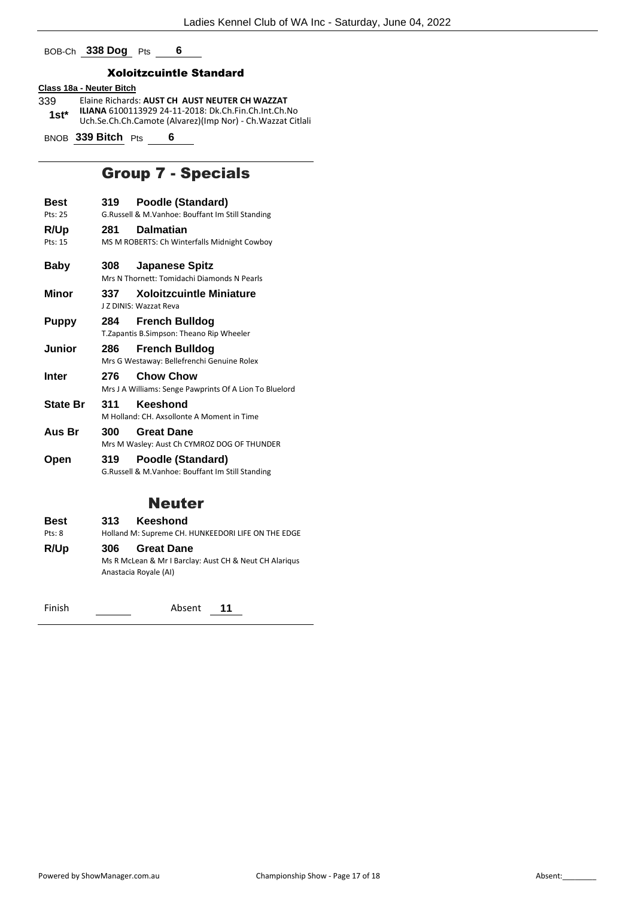BOB-Ch **338 Dog** Pts **6**

#### Xoloitzcuintle Standard

## **Class 18a - Neuter Bitch**

- 339 Elaine Richards: **AUST CH AUST NEUTER CH WAZZAT ILIANA** 6100113929 24-11-2018: Dk.Ch.Fin.Ch.Int.Ch.No Uch.Se.Ch.Ch.Camote (Alvarez)(Imp Nor) - Ch.Wazzat Citlali **1st\***
- BNOB **339 Bitch** Pts **6**

## Group 7 - Specials

- **Best 319 Poodle (Standard)**
- Pts: 25 G.Russell & M.Vanhoe: Bouffant Im Still Standing
- **R/Up 281 Dalmatian**
- Pts: 15 MS M ROBERTS: Ch Winterfalls Midnight Cowboy
- **Baby 308 Japanese Spitz**
- Mrs N Thornett: Tomidachi Diamonds N Pearls **Minor 337 Xoloitzcuintle Miniature**
	- J Z DINIS: Wazzat Reva
- **Puppy 284 French Bulldog** T.Zapantis B.Simpson: Theano Rip Wheeler
- **Junior 286 French Bulldog**
	- Mrs G Westaway: Bellefrenchi Genuine Rolex
- **Inter 276 Chow Chow** Mrs J A Williams: Senge Pawprints Of A Lion To Bluelord
- **State Br 311 Keeshond** M Holland: CH. Axsollonte A Moment in Time
- **Aus Br 300 Great Dane** Mrs M Wasley: Aust Ch CYMROZ DOG OF THUNDER
- **Open 319 Poodle (Standard)** G.Russell & M.Vanhoe: Bouffant Im Still Standing

## Neuter

**Best 313 Keeshond** Pts: 8 Holland M: Supreme CH. HUNKEEDORI LIFE ON THE EDGE **R/Up 306 Great Dane** Ms R McLean & Mr I Barclay: Aust CH & Neut CH Alariqus Anastacia Royale (AI)

Finish Absent **11**